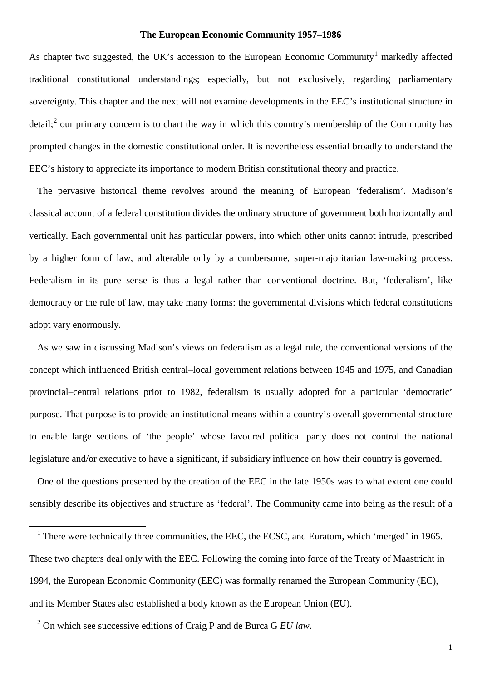#### **The European Economic Community 1957–1986**

As chapter two suggested, the UK's accession to the European Economic Community<sup>[1](#page-0-0)</sup> markedly affected traditional constitutional understandings; especially, but not exclusively, regarding parliamentary sovereignty. This chapter and the next will not examine developments in the EEC's institutional structure in  $\delta$  detail;<sup>[2](#page-0-1)</sup> our primary concern is to chart the way in which this country's membership of the Community has prompted changes in the domestic constitutional order. It is nevertheless essential broadly to understand the EEC's history to appreciate its importance to modern British constitutional theory and practice.

The pervasive historical theme revolves around the meaning of European 'federalism'. Madison's classical account of a federal constitution divides the ordinary structure of government both horizontally and vertically. Each governmental unit has particular powers, into which other units cannot intrude, prescribed by a higher form of law, and alterable only by a cumbersome, super-majoritarian law-making process. Federalism in its pure sense is thus a legal rather than conventional doctrine. But, 'federalism', like democracy or the rule of law, may take many forms: the governmental divisions which federal constitutions adopt vary enormously.

As we saw in discussing Madison's views on federalism as a legal rule, the conventional versions of the concept which influenced British central–local government relations between 1945 and 1975, and Canadian provincial–central relations prior to 1982, federalism is usually adopted for a particular 'democratic' purpose. That purpose is to provide an institutional means within a country's overall governmental structure to enable large sections of 'the people' whose favoured political party does not control the national legislature and/or executive to have a significant, if subsidiary influence on how their country is governed.

One of the questions presented by the creation of the EEC in the late 1950s was to what extent one could sensibly describe its objectives and structure as 'federal'. The Community came into being as the result of a

<u>.</u>

1

<span id="page-0-0"></span> $1$  There were technically three communities, the EEC, the ECSC, and Euratom, which 'merged' in 1965. These two chapters deal only with the EEC. Following the coming into force of the Treaty of Maastricht in 1994, the European Economic Community (EEC) was formally renamed the European Community (EC), and its Member States also established a body known as the European Union (EU).

<span id="page-0-1"></span><sup>2</sup> On which see successive editions of Craig P and de Burca G *EU law*.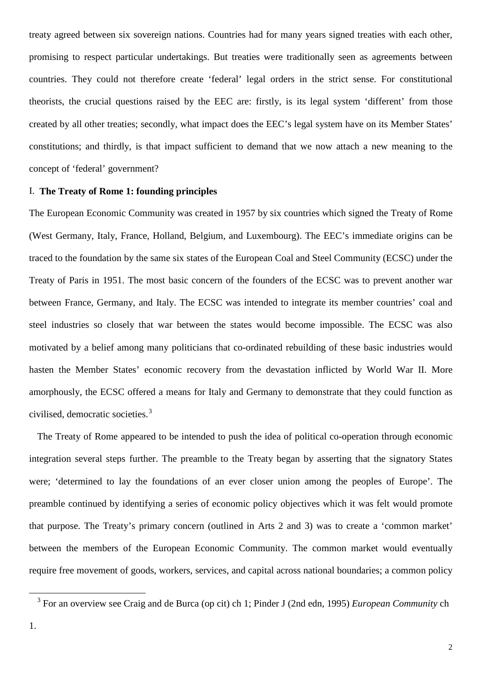treaty agreed between six sovereign nations. Countries had for many years signed treaties with each other, promising to respect particular undertakings. But treaties were traditionally seen as agreements between countries. They could not therefore create 'federal' legal orders in the strict sense. For constitutional theorists, the crucial questions raised by the EEC are: firstly, is its legal system 'different' from those created by all other treaties; secondly, what impact does the EEC's legal system have on its Member States' constitutions; and thirdly, is that impact sufficient to demand that we now attach a new meaning to the concept of 'federal' government?

## I. **The Treaty of Rome 1: founding principles**

The European Economic Community was created in 1957 by six countries which signed the Treaty of Rome (West Germany, Italy, France, Holland, Belgium, and Luxembourg). The EEC's immediate origins can be traced to the foundation by the same six states of the European Coal and Steel Community (ECSC) under the Treaty of Paris in 1951. The most basic concern of the founders of the ECSC was to prevent another war between France, Germany, and Italy. The ECSC was intended to integrate its member countries' coal and steel industries so closely that war between the states would become impossible. The ECSC was also motivated by a belief among many politicians that co-ordinated rebuilding of these basic industries would hasten the Member States' economic recovery from the devastation inflicted by World War II. More amorphously, the ECSC offered a means for Italy and Germany to demonstrate that they could function as civilised, democratic societies.[3](#page-1-0)

The Treaty of Rome appeared to be intended to push the idea of political co-operation through economic integration several steps further. The preamble to the Treaty began by asserting that the signatory States were; 'determined to lay the foundations of an ever closer union among the peoples of Europe'. The preamble continued by identifying a series of economic policy objectives which it was felt would promote that purpose. The Treaty's primary concern (outlined in Arts 2 and 3) was to create a 'common market' between the members of the European Economic Community. The common market would eventually require free movement of goods, workers, services, and capital across national boundaries; a common policy

<span id="page-1-0"></span><sup>3</sup> For an overview see Craig and de Burca (op cit) ch 1; Pinder J (2nd edn, 1995) *European Community* ch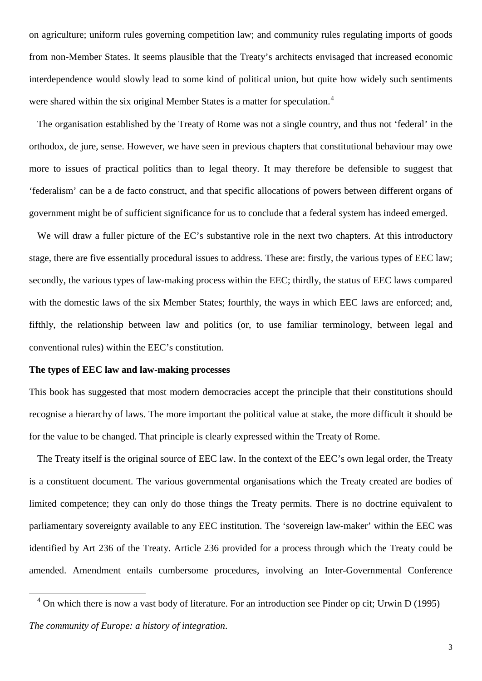on agriculture; uniform rules governing competition law; and community rules regulating imports of goods from non-Member States. It seems plausible that the Treaty's architects envisaged that increased economic interdependence would slowly lead to some kind of political union, but quite how widely such sentiments were shared within the six original Member States is a matter for speculation.<sup>[4](#page-2-0)</sup>

The organisation established by the Treaty of Rome was not a single country, and thus not 'federal' in the orthodox, de jure, sense. However, we have seen in previous chapters that constitutional behaviour may owe more to issues of practical politics than to legal theory. It may therefore be defensible to suggest that 'federalism' can be a de facto construct, and that specific allocations of powers between different organs of government might be of sufficient significance for us to conclude that a federal system has indeed emerged.

We will draw a fuller picture of the EC's substantive role in the next two chapters. At this introductory stage, there are five essentially procedural issues to address. These are: firstly, the various types of EEC law; secondly, the various types of law-making process within the EEC; thirdly, the status of EEC laws compared with the domestic laws of the six Member States; fourthly, the ways in which EEC laws are enforced; and, fifthly, the relationship between law and politics (or, to use familiar terminology, between legal and conventional rules) within the EEC's constitution.

## **The types of EEC law and law-making processes**

-

This book has suggested that most modern democracies accept the principle that their constitutions should recognise a hierarchy of laws. The more important the political value at stake, the more difficult it should be for the value to be changed. That principle is clearly expressed within the Treaty of Rome.

The Treaty itself is the original source of EEC law. In the context of the EEC's own legal order, the Treaty is a constituent document. The various governmental organisations which the Treaty created are bodies of limited competence; they can only do those things the Treaty permits. There is no doctrine equivalent to parliamentary sovereignty available to any EEC institution. The 'sovereign law-maker' within the EEC was identified by Art 236 of the Treaty. Article 236 provided for a process through which the Treaty could be amended. Amendment entails cumbersome procedures, involving an Inter-Governmental Conference

<span id="page-2-0"></span><sup>4</sup> On which there is now a vast body of literature. For an introduction see Pinder op cit; Urwin D (1995) *The community of Europe: a history of integration*.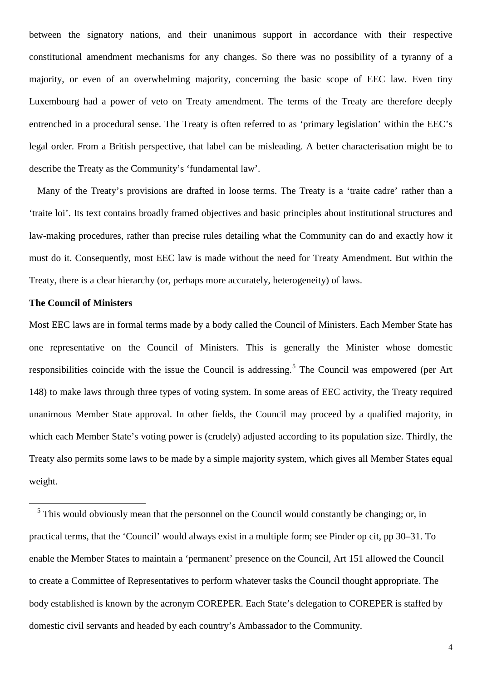between the signatory nations, and their unanimous support in accordance with their respective constitutional amendment mechanisms for any changes. So there was no possibility of a tyranny of a majority, or even of an overwhelming majority, concerning the basic scope of EEC law. Even tiny Luxembourg had a power of veto on Treaty amendment. The terms of the Treaty are therefore deeply entrenched in a procedural sense. The Treaty is often referred to as 'primary legislation' within the EEC's legal order. From a British perspective, that label can be misleading. A better characterisation might be to describe the Treaty as the Community's 'fundamental law'.

Many of the Treaty's provisions are drafted in loose terms. The Treaty is a 'traite cadre' rather than a 'traite loi'. Its text contains broadly framed objectives and basic principles about institutional structures and law-making procedures, rather than precise rules detailing what the Community can do and exactly how it must do it. Consequently, most EEC law is made without the need for Treaty Amendment. But within the Treaty, there is a clear hierarchy (or, perhaps more accurately, heterogeneity) of laws.

## **The Council of Ministers**

-

Most EEC laws are in formal terms made by a body called the Council of Ministers. Each Member State has one representative on the Council of Ministers. This is generally the Minister whose domestic responsibilities coincide with the issue the Council is addressing.<sup>[5](#page-3-0)</sup> The Council was empowered (per Art 148) to make laws through three types of voting system. In some areas of EEC activity, the Treaty required unanimous Member State approval. In other fields, the Council may proceed by a qualified majority, in which each Member State's voting power is (crudely) adjusted according to its population size. Thirdly, the Treaty also permits some laws to be made by a simple majority system, which gives all Member States equal weight.

<span id="page-3-0"></span><sup>5</sup> This would obviously mean that the personnel on the Council would constantly be changing; or, in practical terms, that the 'Council' would always exist in a multiple form; see Pinder op cit, pp 30–31. To enable the Member States to maintain a 'permanent' presence on the Council, Art 151 allowed the Council to create a Committee of Representatives to perform whatever tasks the Council thought appropriate. The body established is known by the acronym COREPER. Each State's delegation to COREPER is staffed by domestic civil servants and headed by each country's Ambassador to the Community.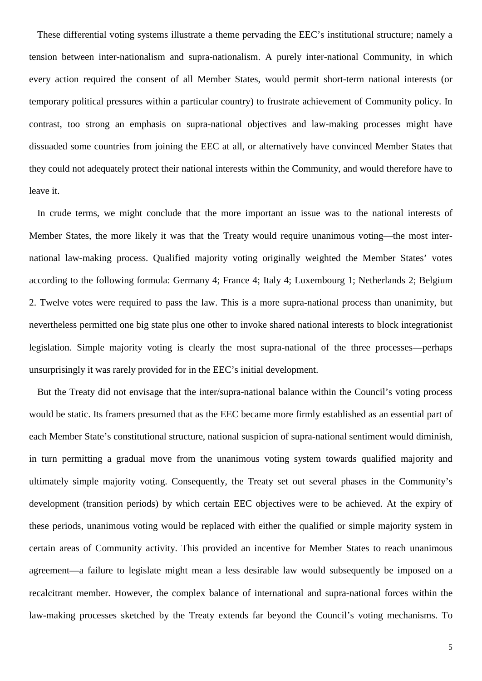These differential voting systems illustrate a theme pervading the EEC's institutional structure; namely a tension between inter-nationalism and supra-nationalism. A purely inter-national Community, in which every action required the consent of all Member States, would permit short-term national interests (or temporary political pressures within a particular country) to frustrate achievement of Community policy. In contrast, too strong an emphasis on supra-national objectives and law-making processes might have dissuaded some countries from joining the EEC at all, or alternatively have convinced Member States that they could not adequately protect their national interests within the Community, and would therefore have to leave it.

In crude terms, we might conclude that the more important an issue was to the national interests of Member States, the more likely it was that the Treaty would require unanimous voting—the most international law-making process. Qualified majority voting originally weighted the Member States' votes according to the following formula: Germany 4; France 4; Italy 4; Luxembourg 1; Netherlands 2; Belgium 2. Twelve votes were required to pass the law. This is a more supra-national process than unanimity, but nevertheless permitted one big state plus one other to invoke shared national interests to block integrationist legislation. Simple majority voting is clearly the most supra-national of the three processes—perhaps unsurprisingly it was rarely provided for in the EEC's initial development.

But the Treaty did not envisage that the inter/supra-national balance within the Council's voting process would be static. Its framers presumed that as the EEC became more firmly established as an essential part of each Member State's constitutional structure, national suspicion of supra-national sentiment would diminish, in turn permitting a gradual move from the unanimous voting system towards qualified majority and ultimately simple majority voting. Consequently, the Treaty set out several phases in the Community's development (transition periods) by which certain EEC objectives were to be achieved. At the expiry of these periods, unanimous voting would be replaced with either the qualified or simple majority system in certain areas of Community activity. This provided an incentive for Member States to reach unanimous agreement—a failure to legislate might mean a less desirable law would subsequently be imposed on a recalcitrant member. However, the complex balance of international and supra-national forces within the law-making processes sketched by the Treaty extends far beyond the Council's voting mechanisms. To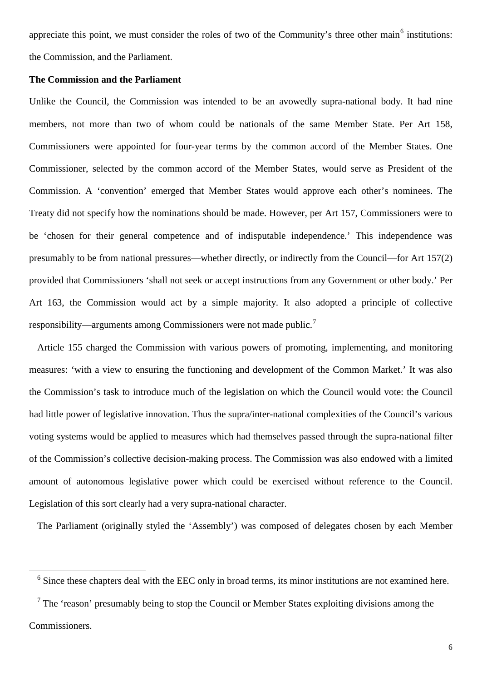appreciate this point, we must consider the roles of two of the Community's three other main<sup>[6](#page-5-0)</sup> institutions: the Commission, and the Parliament.

## **The Commission and the Parliament**

<span id="page-5-0"></span>-

Unlike the Council, the Commission was intended to be an avowedly supra-national body. It had nine members, not more than two of whom could be nationals of the same Member State. Per Art 158, Commissioners were appointed for four-year terms by the common accord of the Member States. One Commissioner, selected by the common accord of the Member States, would serve as President of the Commission. A 'convention' emerged that Member States would approve each other's nominees. The Treaty did not specify how the nominations should be made. However, per Art 157, Commissioners were to be 'chosen for their general competence and of indisputable independence.' This independence was presumably to be from national pressures—whether directly, or indirectly from the Council—for Art 157(2) provided that Commissioners 'shall not seek or accept instructions from any Government or other body.' Per Art 163, the Commission would act by a simple majority. It also adopted a principle of collective responsibility—arguments among Commissioners were not made public.<sup>[7](#page-5-1)</sup>

Article 155 charged the Commission with various powers of promoting, implementing, and monitoring measures: 'with a view to ensuring the functioning and development of the Common Market.' It was also the Commission's task to introduce much of the legislation on which the Council would vote: the Council had little power of legislative innovation. Thus the supra/inter-national complexities of the Council's various voting systems would be applied to measures which had themselves passed through the supra-national filter of the Commission's collective decision-making process. The Commission was also endowed with a limited amount of autonomous legislative power which could be exercised without reference to the Council. Legislation of this sort clearly had a very supra-national character.

The Parliament (originally styled the 'Assembly') was composed of delegates chosen by each Member

<sup>&</sup>lt;sup>6</sup> Since these chapters deal with the EEC only in broad terms, its minor institutions are not examined here.

<span id="page-5-1"></span> $<sup>7</sup>$  The 'reason' presumably being to stop the Council or Member States exploiting divisions among the</sup> Commissioners.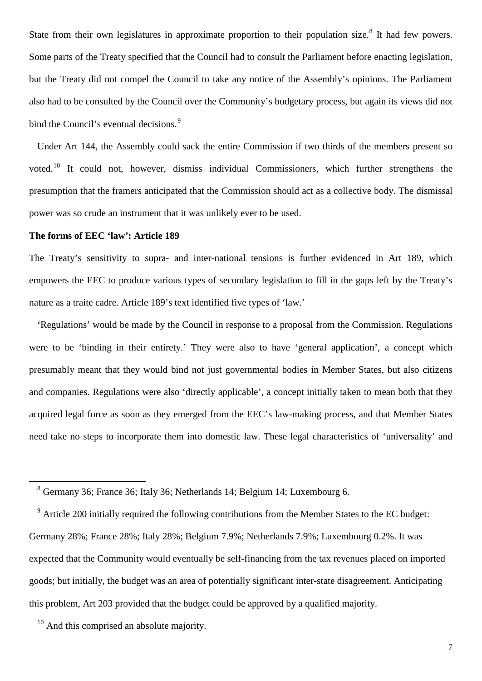State from their own legislatures in approximate proportion to their population size.<sup>[8](#page-6-0)</sup> It had few powers. Some parts of the Treaty specified that the Council had to consult the Parliament before enacting legislation, but the Treaty did not compel the Council to take any notice of the Assembly's opinions. The Parliament also had to be consulted by the Council over the Community's budgetary process, but again its views did not bind the Council's eventual decisions.<sup>[9](#page-6-1)</sup>

Under Art 144, the Assembly could sack the entire Commission if two thirds of the members present so voted.<sup>[10](#page-6-2)</sup> It could not, however, dismiss individual Commissioners, which further strengthens the presumption that the framers anticipated that the Commission should act as a collective body. The dismissal power was so crude an instrument that it was unlikely ever to be used.

## **The forms of EEC 'law': Article 189**

The Treaty's sensitivity to supra- and inter-national tensions is further evidenced in Art 189, which empowers the EEC to produce various types of secondary legislation to fill in the gaps left by the Treaty's nature as a traite cadre. Article 189's text identified five types of 'law.'

'Regulations' would be made by the Council in response to a proposal from the Commission. Regulations were to be 'binding in their entirety.' They were also to have 'general application', a concept which presumably meant that they would bind not just governmental bodies in Member States, but also citizens and companies. Regulations were also 'directly applicable', a concept initially taken to mean both that they acquired legal force as soon as they emerged from the EEC's law-making process, and that Member States need take no steps to incorporate them into domestic law. These legal characteristics of 'universality' and

<span id="page-6-1"></span><span id="page-6-0"></span><sup>9</sup> Article 200 initially required the following contributions from the Member States to the EC budget: Germany 28%; France 28%; Italy 28%; Belgium 7.9%; Netherlands 7.9%; Luxembourg 0.2%. It was expected that the Community would eventually be self-financing from the tax revenues placed on imported goods; but initially, the budget was an area of potentially significant inter-state disagreement. Anticipating this problem, Art 203 provided that the budget could be approved by a qualified majority.

<span id="page-6-2"></span><sup>10</sup> And this comprised an absolute majority.

<sup>8</sup> Germany 36; France 36; Italy 36; Netherlands 14; Belgium 14; Luxembourg 6.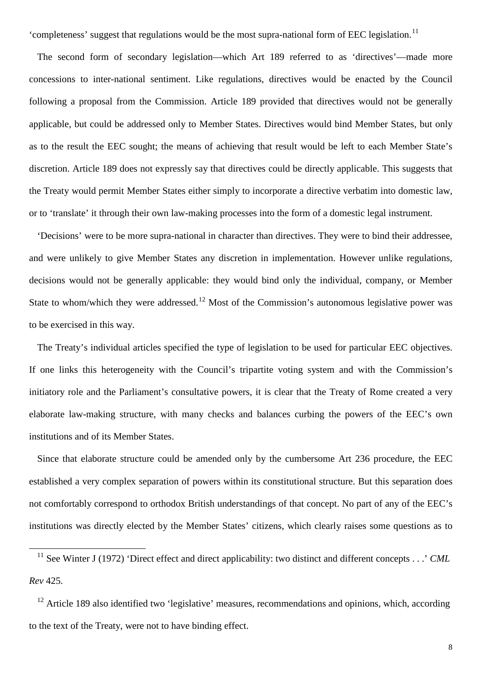'completeness' suggest that regulations would be the most supra-national form of EEC legislation.<sup>[11](#page-7-0)</sup>

The second form of secondary legislation—which Art 189 referred to as 'directives'—made more concessions to inter-national sentiment. Like regulations, directives would be enacted by the Council following a proposal from the Commission. Article 189 provided that directives would not be generally applicable, but could be addressed only to Member States. Directives would bind Member States, but only as to the result the EEC sought; the means of achieving that result would be left to each Member State's discretion. Article 189 does not expressly say that directives could be directly applicable. This suggests that the Treaty would permit Member States either simply to incorporate a directive verbatim into domestic law, or to 'translate' it through their own law-making processes into the form of a domestic legal instrument.

'Decisions' were to be more supra-national in character than directives. They were to bind their addressee, and were unlikely to give Member States any discretion in implementation. However unlike regulations, decisions would not be generally applicable: they would bind only the individual, company, or Member State to whom/which they were addressed.<sup>[12](#page-7-1)</sup> Most of the Commission's autonomous legislative power was to be exercised in this way.

The Treaty's individual articles specified the type of legislation to be used for particular EEC objectives. If one links this heterogeneity with the Council's tripartite voting system and with the Commission's initiatory role and the Parliament's consultative powers, it is clear that the Treaty of Rome created a very elaborate law-making structure, with many checks and balances curbing the powers of the EEC's own institutions and of its Member States.

Since that elaborate structure could be amended only by the cumbersome Art 236 procedure, the EEC established a very complex separation of powers within its constitutional structure. But this separation does not comfortably correspond to orthodox British understandings of that concept. No part of any of the EEC's institutions was directly elected by the Member States' citizens, which clearly raises some questions as to

<span id="page-7-0"></span><sup>&</sup>lt;sup>11</sup> See Winter J (1972) 'Direct effect and direct applicability: two distinct and different concepts . . .' *CML Rev* 425.

<span id="page-7-1"></span><sup>&</sup>lt;sup>12</sup> Article 189 also identified two 'legislative' measures, recommendations and opinions, which, according to the text of the Treaty, were not to have binding effect.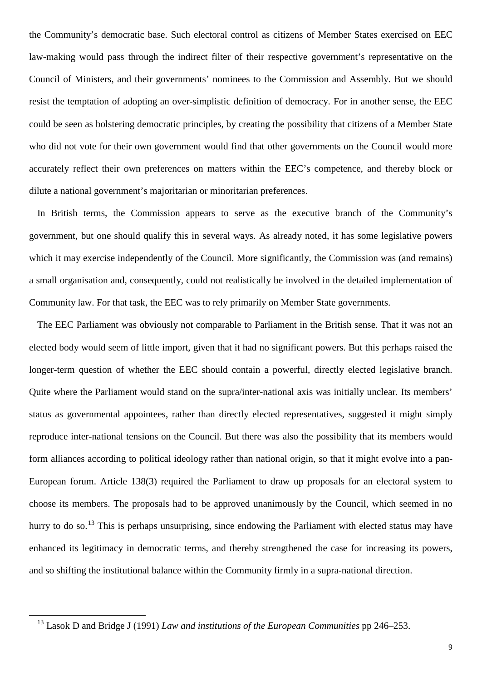the Community's democratic base. Such electoral control as citizens of Member States exercised on EEC law-making would pass through the indirect filter of their respective government's representative on the Council of Ministers, and their governments' nominees to the Commission and Assembly. But we should resist the temptation of adopting an over-simplistic definition of democracy. For in another sense, the EEC could be seen as bolstering democratic principles, by creating the possibility that citizens of a Member State who did not vote for their own government would find that other governments on the Council would more accurately reflect their own preferences on matters within the EEC's competence, and thereby block or dilute a national government's majoritarian or minoritarian preferences.

In British terms, the Commission appears to serve as the executive branch of the Community's government, but one should qualify this in several ways. As already noted, it has some legislative powers which it may exercise independently of the Council. More significantly, the Commission was (and remains) a small organisation and, consequently, could not realistically be involved in the detailed implementation of Community law. For that task, the EEC was to rely primarily on Member State governments.

The EEC Parliament was obviously not comparable to Parliament in the British sense. That it was not an elected body would seem of little import, given that it had no significant powers. But this perhaps raised the longer-term question of whether the EEC should contain a powerful, directly elected legislative branch. Quite where the Parliament would stand on the supra/inter-national axis was initially unclear. Its members' status as governmental appointees, rather than directly elected representatives, suggested it might simply reproduce inter-national tensions on the Council. But there was also the possibility that its members would form alliances according to political ideology rather than national origin, so that it might evolve into a pan-European forum. Article 138(3) required the Parliament to draw up proposals for an electoral system to choose its members. The proposals had to be approved unanimously by the Council, which seemed in no hurry to do so.<sup>[13](#page-8-0)</sup> This is perhaps unsurprising, since endowing the Parliament with elected status may have enhanced its legitimacy in democratic terms, and thereby strengthened the case for increasing its powers, and so shifting the institutional balance within the Community firmly in a supra-national direction.

<span id="page-8-0"></span><sup>13</sup> Lasok D and Bridge J (1991) *Law and institutions of the European Communities* pp 246–253.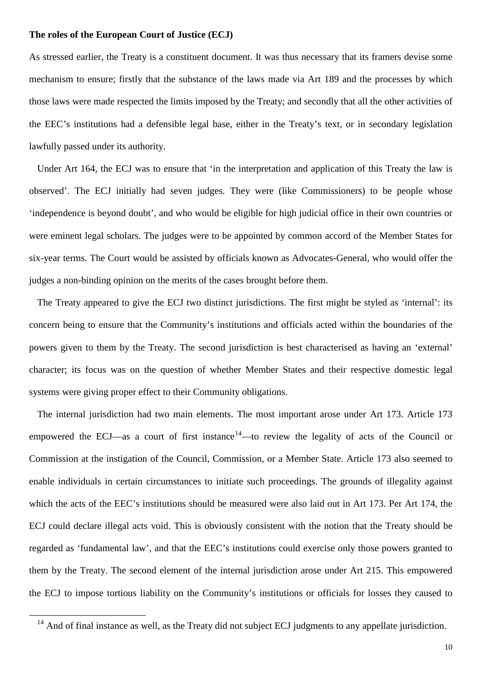### **The roles of the European Court of Justice (ECJ)**

As stressed earlier, the Treaty is a constituent document. It was thus necessary that its framers devise some mechanism to ensure; firstly that the substance of the laws made via Art 189 and the processes by which those laws were made respected the limits imposed by the Treaty; and secondly that all the other activities of the EEC's institutions had a defensible legal base, either in the Treaty's text, or in secondary legislation lawfully passed under its authority.

Under Art 164, the ECJ was to ensure that 'in the interpretation and application of this Treaty the law is observed'. The ECJ initially had seven judges. They were (like Commissioners) to be people whose 'independence is beyond doubt', and who would be eligible for high judicial office in their own countries or were eminent legal scholars. The judges were to be appointed by common accord of the Member States for six-year terms. The Court would be assisted by officials known as Advocates-General, who would offer the judges a non-binding opinion on the merits of the cases brought before them.

The Treaty appeared to give the ECJ two distinct jurisdictions. The first might be styled as 'internal': its concern being to ensure that the Community's institutions and officials acted within the boundaries of the powers given to them by the Treaty. The second jurisdiction is best characterised as having an 'external' character; its focus was on the question of whether Member States and their respective domestic legal systems were giving proper effect to their Community obligations.

The internal jurisdiction had two main elements. The most important arose under Art 173. Article 173 empowered the ECJ—as a court of first instance<sup>14</sup>—to review the legality of acts of the Council or Commission at the instigation of the Council, Commission, or a Member State. Article 173 also seemed to enable individuals in certain circumstances to initiate such proceedings. The grounds of illegality against which the acts of the EEC's institutions should be measured were also laid out in Art 173. Per Art 174, the ECJ could declare illegal acts void. This is obviously consistent with the notion that the Treaty should be regarded as 'fundamental law', and that the EEC's institutions could exercise only those powers granted to them by the Treaty. The second element of the internal jurisdiction arose under Art 215. This empowered the ECJ to impose tortious liability on the Community's institutions or officials for losses they caused to

<span id="page-9-0"></span><sup>&</sup>lt;sup>14</sup> And of final instance as well, as the Treaty did not subject ECJ judgments to any appellate jurisdiction.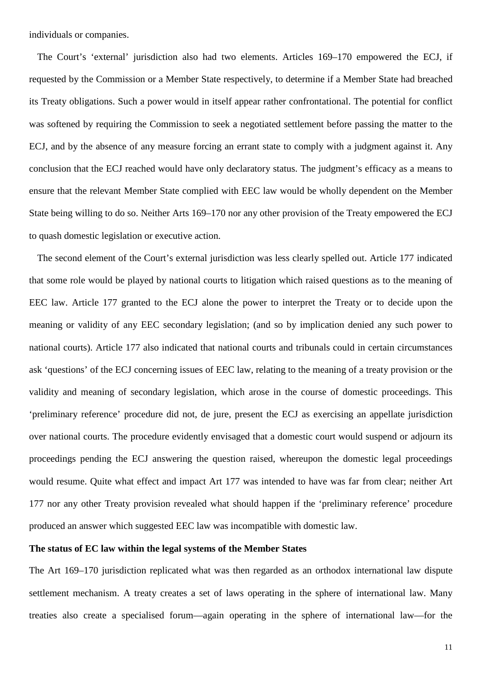individuals or companies.

The Court's 'external' jurisdiction also had two elements. Articles 169–170 empowered the ECJ, if requested by the Commission or a Member State respectively, to determine if a Member State had breached its Treaty obligations. Such a power would in itself appear rather confrontational. The potential for conflict was softened by requiring the Commission to seek a negotiated settlement before passing the matter to the ECJ, and by the absence of any measure forcing an errant state to comply with a judgment against it. Any conclusion that the ECJ reached would have only declaratory status. The judgment's efficacy as a means to ensure that the relevant Member State complied with EEC law would be wholly dependent on the Member State being willing to do so. Neither Arts 169–170 nor any other provision of the Treaty empowered the ECJ to quash domestic legislation or executive action.

The second element of the Court's external jurisdiction was less clearly spelled out. Article 177 indicated that some role would be played by national courts to litigation which raised questions as to the meaning of EEC law. Article 177 granted to the ECJ alone the power to interpret the Treaty or to decide upon the meaning or validity of any EEC secondary legislation; (and so by implication denied any such power to national courts). Article 177 also indicated that national courts and tribunals could in certain circumstances ask 'questions' of the ECJ concerning issues of EEC law, relating to the meaning of a treaty provision or the validity and meaning of secondary legislation, which arose in the course of domestic proceedings. This 'preliminary reference' procedure did not, de jure, present the ECJ as exercising an appellate jurisdiction over national courts. The procedure evidently envisaged that a domestic court would suspend or adjourn its proceedings pending the ECJ answering the question raised, whereupon the domestic legal proceedings would resume. Quite what effect and impact Art 177 was intended to have was far from clear; neither Art 177 nor any other Treaty provision revealed what should happen if the 'preliminary reference' procedure produced an answer which suggested EEC law was incompatible with domestic law.

## **The status of EC law within the legal systems of the Member States**

The Art 169–170 jurisdiction replicated what was then regarded as an orthodox international law dispute settlement mechanism. A treaty creates a set of laws operating in the sphere of international law. Many treaties also create a specialised forum—again operating in the sphere of international law—for the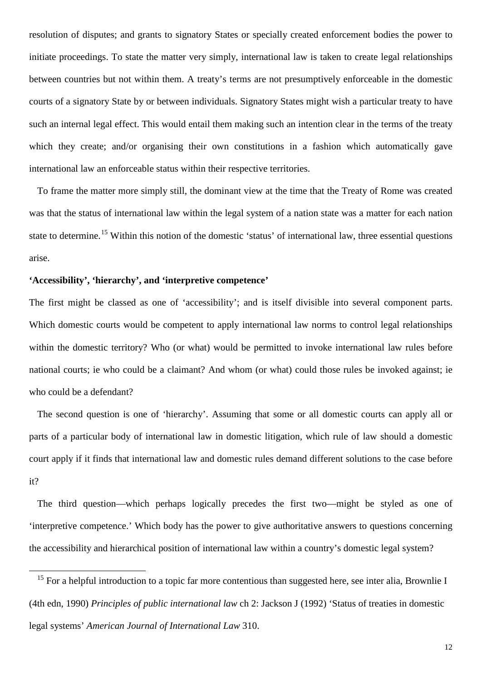resolution of disputes; and grants to signatory States or specially created enforcement bodies the power to initiate proceedings. To state the matter very simply, international law is taken to create legal relationships between countries but not within them. A treaty's terms are not presumptively enforceable in the domestic courts of a signatory State by or between individuals. Signatory States might wish a particular treaty to have such an internal legal effect. This would entail them making such an intention clear in the terms of the treaty which they create; and/or organising their own constitutions in a fashion which automatically gave international law an enforceable status within their respective territories.

To frame the matter more simply still, the dominant view at the time that the Treaty of Rome was created was that the status of international law within the legal system of a nation state was a matter for each nation state to determine.<sup>[15](#page-11-0)</sup> Within this notion of the domestic 'status' of international law, three essential questions arise.

# **'Accessibility', 'hierarchy', and 'interpretive competence'**

-

The first might be classed as one of 'accessibility'; and is itself divisible into several component parts. Which domestic courts would be competent to apply international law norms to control legal relationships within the domestic territory? Who (or what) would be permitted to invoke international law rules before national courts; ie who could be a claimant? And whom (or what) could those rules be invoked against; ie who could be a defendant?

The second question is one of 'hierarchy'. Assuming that some or all domestic courts can apply all or parts of a particular body of international law in domestic litigation, which rule of law should a domestic court apply if it finds that international law and domestic rules demand different solutions to the case before it?

The third question—which perhaps logically precedes the first two—might be styled as one of 'interpretive competence.' Which body has the power to give authoritative answers to questions concerning the accessibility and hierarchical position of international law within a country's domestic legal system?

<span id="page-11-0"></span><sup>&</sup>lt;sup>15</sup> For a helpful introduction to a topic far more contentious than suggested here, see inter alia, Brownlie I (4th edn, 1990) *Principles of public international law* ch 2: Jackson J (1992) 'Status of treaties in domestic legal systems' *American Journal of International Law* 310.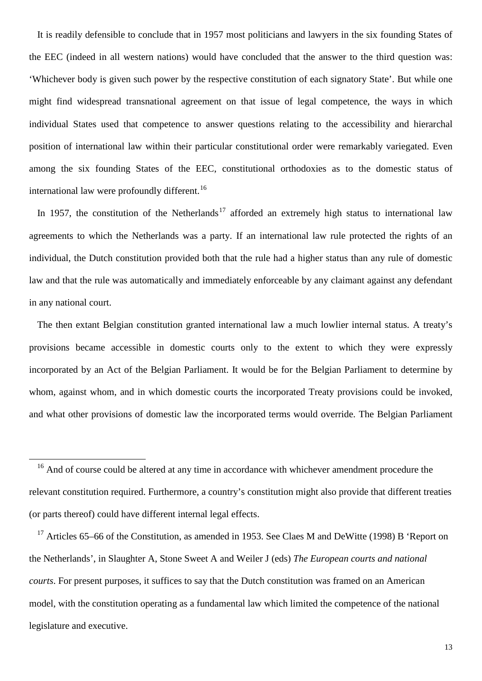It is readily defensible to conclude that in 1957 most politicians and lawyers in the six founding States of the EEC (indeed in all western nations) would have concluded that the answer to the third question was: 'Whichever body is given such power by the respective constitution of each signatory State'. But while one might find widespread transnational agreement on that issue of legal competence, the ways in which individual States used that competence to answer questions relating to the accessibility and hierarchal position of international law within their particular constitutional order were remarkably variegated. Even among the six founding States of the EEC, constitutional orthodoxies as to the domestic status of international law were profoundly different.<sup>[16](#page-12-0)</sup>

In 1957, the constitution of the Netherlands<sup>[17](#page-12-1)</sup> afforded an extremely high status to international law agreements to which the Netherlands was a party. If an international law rule protected the rights of an individual, the Dutch constitution provided both that the rule had a higher status than any rule of domestic law and that the rule was automatically and immediately enforceable by any claimant against any defendant in any national court.

The then extant Belgian constitution granted international law a much lowlier internal status. A treaty's provisions became accessible in domestic courts only to the extent to which they were expressly incorporated by an Act of the Belgian Parliament. It would be for the Belgian Parliament to determine by whom, against whom, and in which domestic courts the incorporated Treaty provisions could be invoked, and what other provisions of domestic law the incorporated terms would override. The Belgian Parliament

<span id="page-12-0"></span><sup>&</sup>lt;sup>16</sup> And of course could be altered at any time in accordance with whichever amendment procedure the relevant constitution required. Furthermore, a country's constitution might also provide that different treaties (or parts thereof) could have different internal legal effects.

<span id="page-12-1"></span><sup>&</sup>lt;sup>17</sup> Articles 65–66 of the Constitution, as amended in 1953. See Claes M and DeWitte (1998) B 'Report on the Netherlands', in Slaughter A, Stone Sweet A and Weiler J (eds) *The European courts and national courts*. For present purposes, it suffices to say that the Dutch constitution was framed on an American model, with the constitution operating as a fundamental law which limited the competence of the national legislature and executive.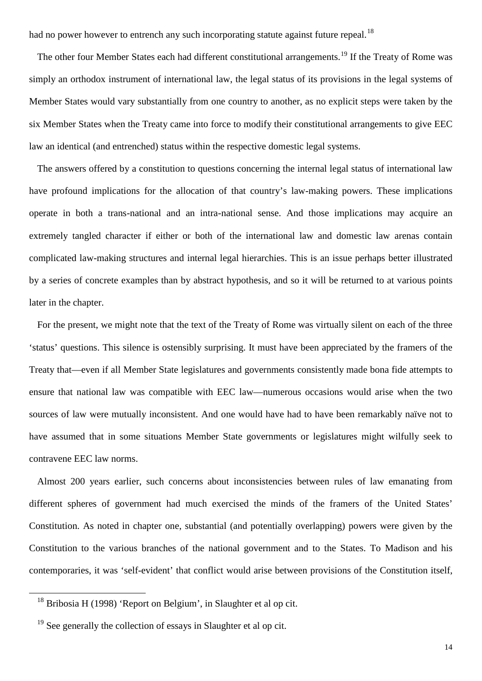had no power however to entrench any such incorporating statute against future repeal.<sup>[18](#page-13-0)</sup>

The other four Member States each had different constitutional arrangements.<sup>[19](#page-13-1)</sup> If the Treaty of Rome was simply an orthodox instrument of international law, the legal status of its provisions in the legal systems of Member States would vary substantially from one country to another, as no explicit steps were taken by the six Member States when the Treaty came into force to modify their constitutional arrangements to give EEC law an identical (and entrenched) status within the respective domestic legal systems.

The answers offered by a constitution to questions concerning the internal legal status of international law have profound implications for the allocation of that country's law-making powers. These implications operate in both a trans-national and an intra-national sense. And those implications may acquire an extremely tangled character if either or both of the international law and domestic law arenas contain complicated law-making structures and internal legal hierarchies. This is an issue perhaps better illustrated by a series of concrete examples than by abstract hypothesis, and so it will be returned to at various points later in the chapter.

For the present, we might note that the text of the Treaty of Rome was virtually silent on each of the three 'status' questions. This silence is ostensibly surprising. It must have been appreciated by the framers of the Treaty that—even if all Member State legislatures and governments consistently made bona fide attempts to ensure that national law was compatible with EEC law—numerous occasions would arise when the two sources of law were mutually inconsistent. And one would have had to have been remarkably naïve not to have assumed that in some situations Member State governments or legislatures might wilfully seek to contravene EEC law norms.

Almost 200 years earlier, such concerns about inconsistencies between rules of law emanating from different spheres of government had much exercised the minds of the framers of the United States' Constitution. As noted in chapter one, substantial (and potentially overlapping) powers were given by the Constitution to the various branches of the national government and to the States. To Madison and his contemporaries, it was 'self-evident' that conflict would arise between provisions of the Constitution itself,

<span id="page-13-0"></span> $18$  Bribosia H (1998) 'Report on Belgium', in Slaughter et al op cit.

<span id="page-13-1"></span> $19$  See generally the collection of essays in Slaughter et al op cit.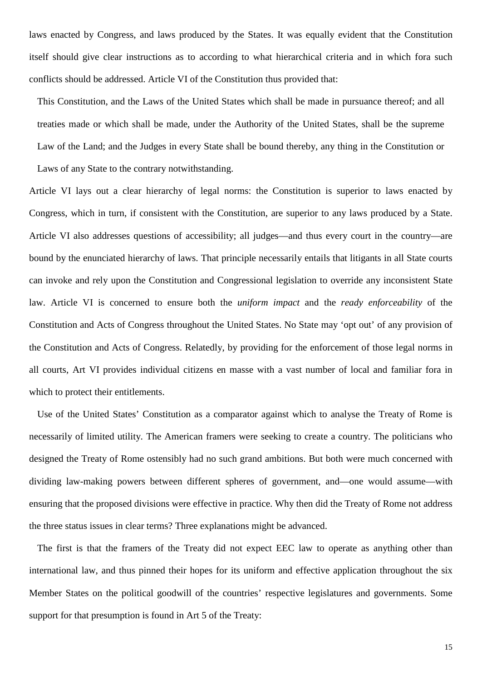laws enacted by Congress, and laws produced by the States. It was equally evident that the Constitution itself should give clear instructions as to according to what hierarchical criteria and in which fora such conflicts should be addressed. Article VI of the Constitution thus provided that:

This Constitution, and the Laws of the United States which shall be made in pursuance thereof; and all treaties made or which shall be made, under the Authority of the United States, shall be the supreme Law of the Land; and the Judges in every State shall be bound thereby, any thing in the Constitution or Laws of any State to the contrary notwithstanding.

Article VI lays out a clear hierarchy of legal norms: the Constitution is superior to laws enacted by Congress, which in turn, if consistent with the Constitution, are superior to any laws produced by a State. Article VI also addresses questions of accessibility; all judges—and thus every court in the country—are bound by the enunciated hierarchy of laws. That principle necessarily entails that litigants in all State courts can invoke and rely upon the Constitution and Congressional legislation to override any inconsistent State law. Article VI is concerned to ensure both the *uniform impact* and the *ready enforceability* of the Constitution and Acts of Congress throughout the United States. No State may 'opt out' of any provision of the Constitution and Acts of Congress. Relatedly, by providing for the enforcement of those legal norms in all courts, Art VI provides individual citizens en masse with a vast number of local and familiar fora in which to protect their entitlements.

Use of the United States' Constitution as a comparator against which to analyse the Treaty of Rome is necessarily of limited utility. The American framers were seeking to create a country. The politicians who designed the Treaty of Rome ostensibly had no such grand ambitions. But both were much concerned with dividing law-making powers between different spheres of government, and—one would assume—with ensuring that the proposed divisions were effective in practice. Why then did the Treaty of Rome not address the three status issues in clear terms? Three explanations might be advanced.

The first is that the framers of the Treaty did not expect EEC law to operate as anything other than international law, and thus pinned their hopes for its uniform and effective application throughout the six Member States on the political goodwill of the countries' respective legislatures and governments. Some support for that presumption is found in Art 5 of the Treaty: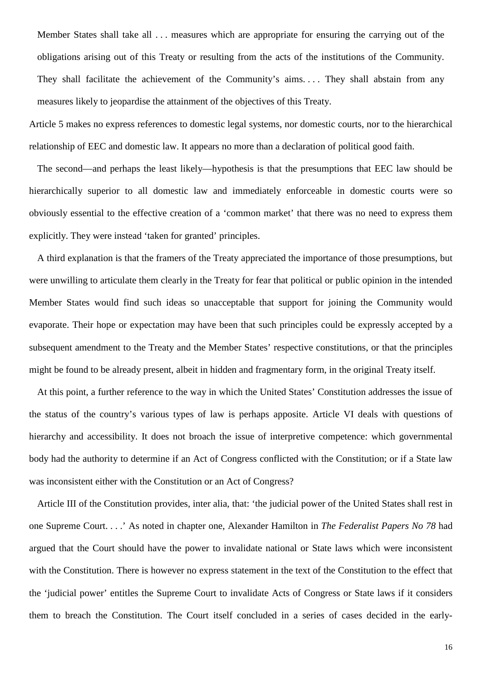Member States shall take all . . . measures which are appropriate for ensuring the carrying out of the obligations arising out of this Treaty or resulting from the acts of the institutions of the Community. They shall facilitate the achievement of the Community's aims.... They shall abstain from any measures likely to jeopardise the attainment of the objectives of this Treaty.

Article 5 makes no express references to domestic legal systems, nor domestic courts, nor to the hierarchical relationship of EEC and domestic law. It appears no more than a declaration of political good faith.

The second—and perhaps the least likely—hypothesis is that the presumptions that EEC law should be hierarchically superior to all domestic law and immediately enforceable in domestic courts were so obviously essential to the effective creation of a 'common market' that there was no need to express them explicitly. They were instead 'taken for granted' principles.

A third explanation is that the framers of the Treaty appreciated the importance of those presumptions, but were unwilling to articulate them clearly in the Treaty for fear that political or public opinion in the intended Member States would find such ideas so unacceptable that support for joining the Community would evaporate. Their hope or expectation may have been that such principles could be expressly accepted by a subsequent amendment to the Treaty and the Member States' respective constitutions, or that the principles might be found to be already present, albeit in hidden and fragmentary form, in the original Treaty itself.

At this point, a further reference to the way in which the United States' Constitution addresses the issue of the status of the country's various types of law is perhaps apposite. Article VI deals with questions of hierarchy and accessibility. It does not broach the issue of interpretive competence: which governmental body had the authority to determine if an Act of Congress conflicted with the Constitution; or if a State law was inconsistent either with the Constitution or an Act of Congress?

Article III of the Constitution provides, inter alia, that: 'the judicial power of the United States shall rest in one Supreme Court. . . .' As noted in chapter one, Alexander Hamilton in *The Federalist Papers No 78* had argued that the Court should have the power to invalidate national or State laws which were inconsistent with the Constitution. There is however no express statement in the text of the Constitution to the effect that the 'judicial power' entitles the Supreme Court to invalidate Acts of Congress or State laws if it considers them to breach the Constitution. The Court itself concluded in a series of cases decided in the early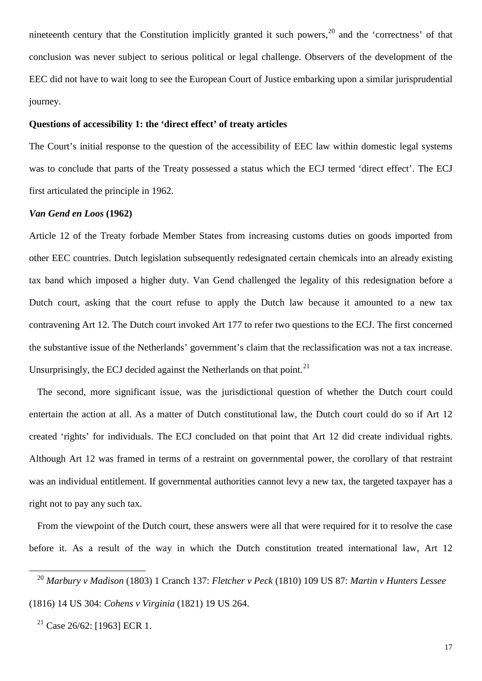nineteenth century that the Constitution implicitly granted it such powers,  $20$  and the 'correctness' of that conclusion was never subject to serious political or legal challenge. Observers of the development of the EEC did not have to wait long to see the European Court of Justice embarking upon a similar jurisprudential journey.

## **Questions of accessibility 1: the 'direct effect' of treaty articles**

The Court's initial response to the question of the accessibility of EEC law within domestic legal systems was to conclude that parts of the Treaty possessed a status which the ECJ termed 'direct effect'. The ECJ first articulated the principle in 1962.

## *Van Gend en Loos* **(1962)**

Article 12 of the Treaty forbade Member States from increasing customs duties on goods imported from other EEC countries. Dutch legislation subsequently redesignated certain chemicals into an already existing tax band which imposed a higher duty. Van Gend challenged the legality of this redesignation before a Dutch court, asking that the court refuse to apply the Dutch law because it amounted to a new tax contravening Art 12. The Dutch court invoked Art 177 to refer two questions to the ECJ. The first concerned the substantive issue of the Netherlands' government's claim that the reclassification was not a tax increase. Unsurprisingly, the ECJ decided against the Netherlands on that point.  $2<sup>1</sup>$ 

The second, more significant issue, was the jurisdictional question of whether the Dutch court could entertain the action at all. As a matter of Dutch constitutional law, the Dutch court could do so if Art 12 created 'rights' for individuals. The ECJ concluded on that point that Art 12 did create individual rights. Although Art 12 was framed in terms of a restraint on governmental power, the corollary of that restraint was an individual entitlement. If governmental authorities cannot levy a new tax, the targeted taxpayer has a right not to pay any such tax.

From the viewpoint of the Dutch court, these answers were all that were required for it to resolve the case before it. As a result of the way in which the Dutch constitution treated international law, Art 12

<span id="page-16-0"></span><sup>20</sup> *Marbury v Madison* (1803) 1 Cranch 137: *Fletcher v Peck* (1810) 109 US 87: *Martin v Hunters Lessee* (1816) 14 US 304: *Cohens v Virginia* (1821) 19 US 264.

<span id="page-16-1"></span><sup>&</sup>lt;sup>21</sup> Case 26/62: [1963] ECR 1.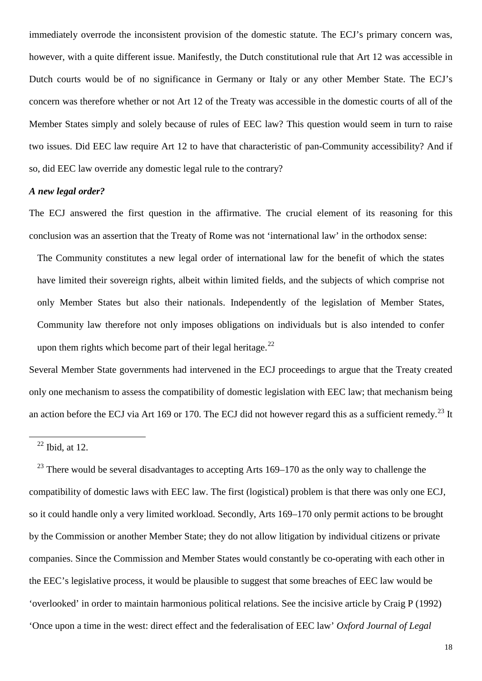immediately overrode the inconsistent provision of the domestic statute. The ECJ's primary concern was, however, with a quite different issue. Manifestly, the Dutch constitutional rule that Art 12 was accessible in Dutch courts would be of no significance in Germany or Italy or any other Member State. The ECJ's concern was therefore whether or not Art 12 of the Treaty was accessible in the domestic courts of all of the Member States simply and solely because of rules of EEC law? This question would seem in turn to raise two issues. Did EEC law require Art 12 to have that characteristic of pan-Community accessibility? And if so, did EEC law override any domestic legal rule to the contrary?

# *A new legal order?*

The ECJ answered the first question in the affirmative. The crucial element of its reasoning for this conclusion was an assertion that the Treaty of Rome was not 'international law' in the orthodox sense:

The Community constitutes a new legal order of international law for the benefit of which the states have limited their sovereign rights, albeit within limited fields, and the subjects of which comprise not only Member States but also their nationals. Independently of the legislation of Member States, Community law therefore not only imposes obligations on individuals but is also intended to confer upon them rights which become part of their legal heritage. $^{22}$  $^{22}$  $^{22}$ 

Several Member State governments had intervened in the ECJ proceedings to argue that the Treaty created only one mechanism to assess the compatibility of domestic legislation with EEC law; that mechanism being an action before the ECJ via Art 169 or 170. The ECJ did not however regard this as a sufficient remedy.<sup>[23](#page-17-1)</sup> It

<span id="page-17-0"></span>-

<span id="page-17-1"></span> $23$  There would be several disadvantages to accepting Arts 169–170 as the only way to challenge the compatibility of domestic laws with EEC law. The first (logistical) problem is that there was only one ECJ, so it could handle only a very limited workload. Secondly, Arts 169–170 only permit actions to be brought by the Commission or another Member State; they do not allow litigation by individual citizens or private companies. Since the Commission and Member States would constantly be co-operating with each other in the EEC's legislative process, it would be plausible to suggest that some breaches of EEC law would be 'overlooked' in order to maintain harmonious political relations. See the incisive article by Craig P (1992) 'Once upon a time in the west: direct effect and the federalisation of EEC law' *Oxford Journal of Legal* 

 $22$  Ibid, at 12.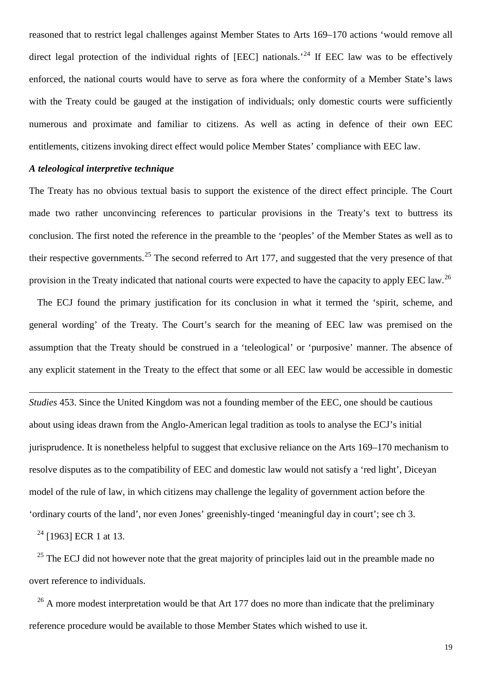reasoned that to restrict legal challenges against Member States to Arts 169–170 actions 'would remove all direct legal protection of the individual rights of [EEC] nationals.<sup>[24](#page-18-0)</sup> If EEC law was to be effectively enforced, the national courts would have to serve as fora where the conformity of a Member State's laws with the Treaty could be gauged at the instigation of individuals; only domestic courts were sufficiently numerous and proximate and familiar to citizens. As well as acting in defence of their own EEC entitlements, citizens invoking direct effect would police Member States' compliance with EEC law.

## *A teleological interpretive technique*

The Treaty has no obvious textual basis to support the existence of the direct effect principle. The Court made two rather unconvincing references to particular provisions in the Treaty's text to buttress its conclusion. The first noted the reference in the preamble to the 'peoples' of the Member States as well as to their respective governments.<sup>[25](#page-18-1)</sup> The second referred to Art 177, and suggested that the very presence of that provision in the Treaty indicated that national courts were expected to have the capacity to apply EEC law.[26](#page-18-2)

The ECJ found the primary justification for its conclusion in what it termed the 'spirit, scheme, and general wording' of the Treaty. The Court's search for the meaning of EEC law was premised on the assumption that the Treaty should be construed in a 'teleological' or 'purposive' manner. The absence of any explicit statement in the Treaty to the effect that some or all EEC law would be accessible in domestic

*Studies* 453. Since the United Kingdom was not a founding member of the EEC, one should be cautious about using ideas drawn from the Anglo-American legal tradition as tools to analyse the ECJ's initial jurisprudence. It is nonetheless helpful to suggest that exclusive reliance on the Arts 169–170 mechanism to resolve disputes as to the compatibility of EEC and domestic law would not satisfy a 'red light', Diceyan model of the rule of law, in which citizens may challenge the legality of government action before the 'ordinary courts of the land', nor even Jones' greenishly-tinged 'meaningful day in court'; see ch 3.

 $^{24}$  [1963] ECR 1 at 13.

-

<span id="page-18-1"></span><span id="page-18-0"></span><sup>25</sup> The ECJ did not however note that the great majority of principles laid out in the preamble made no overt reference to individuals.

<span id="page-18-2"></span> $26$  A more modest interpretation would be that Art 177 does no more than indicate that the preliminary reference procedure would be available to those Member States which wished to use it.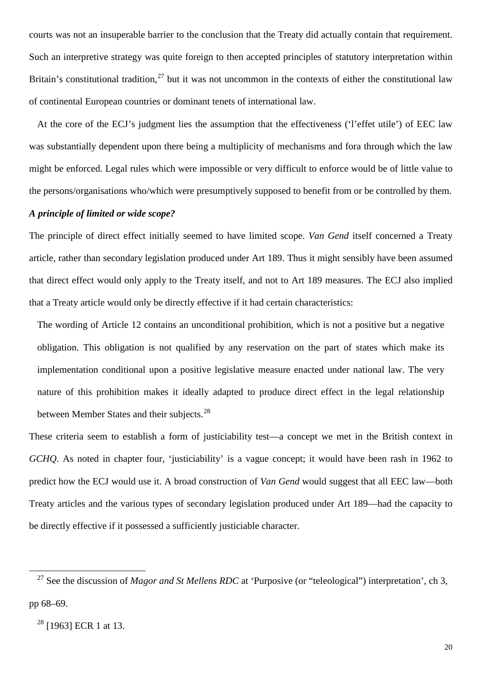courts was not an insuperable barrier to the conclusion that the Treaty did actually contain that requirement. Such an interpretive strategy was quite foreign to then accepted principles of statutory interpretation within Britain's constitutional tradition,  $27$  but it was not uncommon in the contexts of either the constitutional law of continental European countries or dominant tenets of international law.

At the core of the ECJ's judgment lies the assumption that the effectiveness ('l'effet utile') of EEC law was substantially dependent upon there being a multiplicity of mechanisms and fora through which the law might be enforced. Legal rules which were impossible or very difficult to enforce would be of little value to the persons/organisations who/which were presumptively supposed to benefit from or be controlled by them.

## *A principle of limited or wide scope?*

The principle of direct effect initially seemed to have limited scope. *Van Gend* itself concerned a Treaty article, rather than secondary legislation produced under Art 189. Thus it might sensibly have been assumed that direct effect would only apply to the Treaty itself, and not to Art 189 measures. The ECJ also implied that a Treaty article would only be directly effective if it had certain characteristics:

The wording of Article 12 contains an unconditional prohibition, which is not a positive but a negative obligation. This obligation is not qualified by any reservation on the part of states which make its implementation conditional upon a positive legislative measure enacted under national law. The very nature of this prohibition makes it ideally adapted to produce direct effect in the legal relationship between Member States and their subjects.<sup>[28](#page-19-1)</sup>

These criteria seem to establish a form of justiciability test—a concept we met in the British context in *GCHQ*. As noted in chapter four, 'justiciability' is a vague concept; it would have been rash in 1962 to predict how the ECJ would use it. A broad construction of *Van Gend* would suggest that all EEC law—both Treaty articles and the various types of secondary legislation produced under Art 189—had the capacity to be directly effective if it possessed a sufficiently justiciable character.

<span id="page-19-0"></span><sup>&</sup>lt;sup>27</sup> See the discussion of *Magor and St Mellens RDC* at 'Purposive (or "teleological") interpretation', ch 3, pp 68–69.

<span id="page-19-1"></span> $28$  [1963] ECR 1 at 13.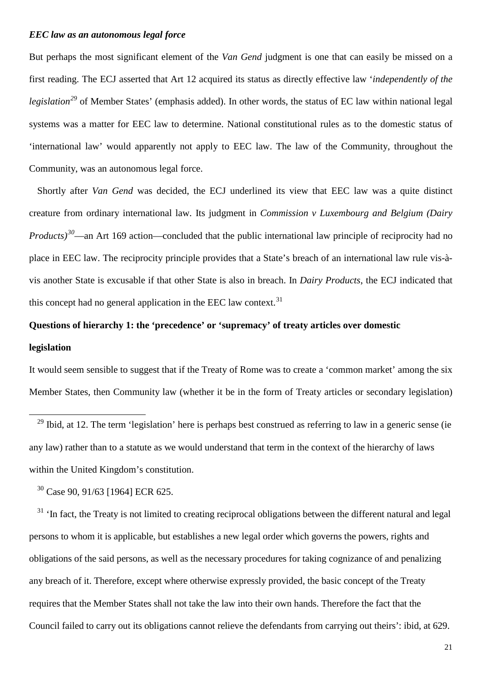## *EEC law as an autonomous legal force*

But perhaps the most significant element of the *Van Gend* judgment is one that can easily be missed on a first reading. The ECJ asserted that Art 12 acquired its status as directly effective law '*independently of the legislation[29](#page-20-0)* of Member States' (emphasis added). In other words, the status of EC law within national legal systems was a matter for EEC law to determine. National constitutional rules as to the domestic status of 'international law' would apparently not apply to EEC law. The law of the Community, throughout the Community, was an autonomous legal force.

Shortly after *Van Gend* was decided, the ECJ underlined its view that EEC law was a quite distinct creature from ordinary international law. Its judgment in *Commission v Luxembourg and Belgium (Dairy Products*<sup>[30](#page-20-1)</sup>—an Art 169 action—concluded that the public international law principle of reciprocity had no place in EEC law. The reciprocity principle provides that a State's breach of an international law rule vis-àvis another State is excusable if that other State is also in breach. In *Dairy Products*, the ECJ indicated that this concept had no general application in the EEC law context. $31$ 

# **Questions of hierarchy 1: the 'precedence' or 'supremacy' of treaty articles over domestic legislation**

It would seem sensible to suggest that if the Treaty of Rome was to create a 'common market' among the six Member States, then Community law (whether it be in the form of Treaty articles or secondary legislation)

<span id="page-20-0"></span> $^{29}$  Ibid, at 12. The term 'legislation' here is perhaps best construed as referring to law in a generic sense (ie any law) rather than to a statute as we would understand that term in the context of the hierarchy of laws within the United Kingdom's constitution.

 $30$  Case 90, 91/63 [1964] ECR 625.

-

<span id="page-20-2"></span><span id="page-20-1"></span> $31$  'In fact, the Treaty is not limited to creating reciprocal obligations between the different natural and legal persons to whom it is applicable, but establishes a new legal order which governs the powers, rights and obligations of the said persons, as well as the necessary procedures for taking cognizance of and penalizing any breach of it. Therefore, except where otherwise expressly provided, the basic concept of the Treaty requires that the Member States shall not take the law into their own hands. Therefore the fact that the Council failed to carry out its obligations cannot relieve the defendants from carrying out theirs': ibid, at 629.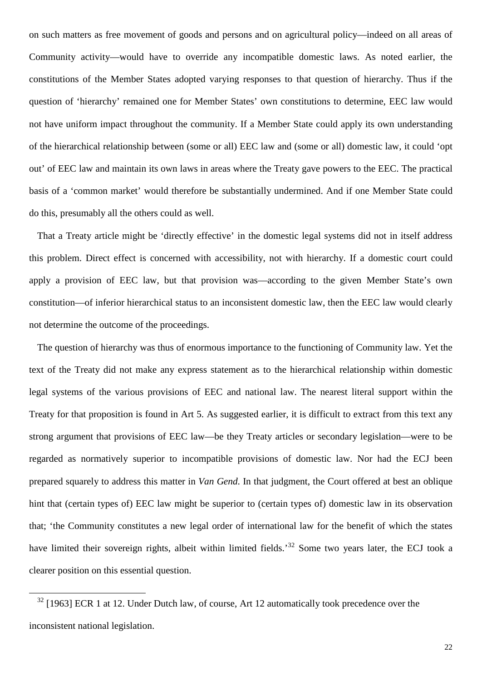on such matters as free movement of goods and persons and on agricultural policy—indeed on all areas of Community activity—would have to override any incompatible domestic laws. As noted earlier, the constitutions of the Member States adopted varying responses to that question of hierarchy. Thus if the question of 'hierarchy' remained one for Member States' own constitutions to determine, EEC law would not have uniform impact throughout the community. If a Member State could apply its own understanding of the hierarchical relationship between (some or all) EEC law and (some or all) domestic law, it could 'opt out' of EEC law and maintain its own laws in areas where the Treaty gave powers to the EEC. The practical basis of a 'common market' would therefore be substantially undermined. And if one Member State could do this, presumably all the others could as well.

That a Treaty article might be 'directly effective' in the domestic legal systems did not in itself address this problem. Direct effect is concerned with accessibility, not with hierarchy. If a domestic court could apply a provision of EEC law, but that provision was—according to the given Member State's own constitution—of inferior hierarchical status to an inconsistent domestic law, then the EEC law would clearly not determine the outcome of the proceedings.

The question of hierarchy was thus of enormous importance to the functioning of Community law. Yet the text of the Treaty did not make any express statement as to the hierarchical relationship within domestic legal systems of the various provisions of EEC and national law. The nearest literal support within the Treaty for that proposition is found in Art 5. As suggested earlier, it is difficult to extract from this text any strong argument that provisions of EEC law—be they Treaty articles or secondary legislation—were to be regarded as normatively superior to incompatible provisions of domestic law. Nor had the ECJ been prepared squarely to address this matter in *Van Gend*. In that judgment, the Court offered at best an oblique hint that (certain types of) EEC law might be superior to (certain types of) domestic law in its observation that; 'the Community constitutes a new legal order of international law for the benefit of which the states have limited their sovereign rights, albeit within limited fields.<sup>[32](#page-21-0)</sup> Some two years later, the ECJ took a clearer position on this essential question.

<span id="page-21-0"></span> $32$  [1963] ECR 1 at 12. Under Dutch law, of course, Art 12 automatically took precedence over the inconsistent national legislation.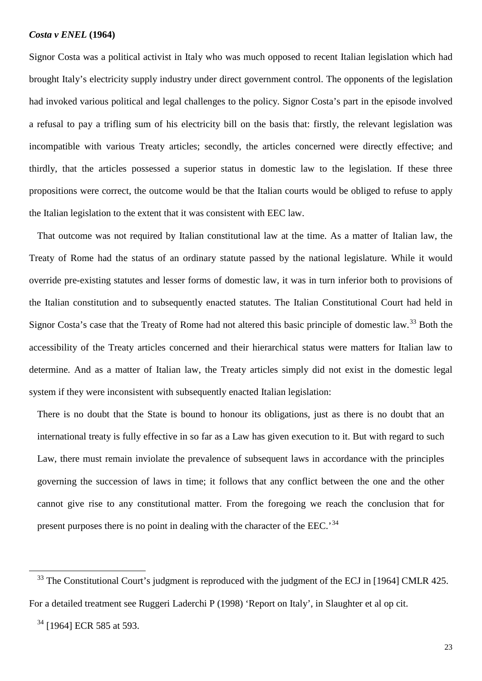#### *Costa v ENEL* **(1964)**

Signor Costa was a political activist in Italy who was much opposed to recent Italian legislation which had brought Italy's electricity supply industry under direct government control. The opponents of the legislation had invoked various political and legal challenges to the policy. Signor Costa's part in the episode involved a refusal to pay a trifling sum of his electricity bill on the basis that: firstly, the relevant legislation was incompatible with various Treaty articles; secondly, the articles concerned were directly effective; and thirdly, that the articles possessed a superior status in domestic law to the legislation. If these three propositions were correct, the outcome would be that the Italian courts would be obliged to refuse to apply the Italian legislation to the extent that it was consistent with EEC law.

That outcome was not required by Italian constitutional law at the time. As a matter of Italian law, the Treaty of Rome had the status of an ordinary statute passed by the national legislature. While it would override pre-existing statutes and lesser forms of domestic law, it was in turn inferior both to provisions of the Italian constitution and to subsequently enacted statutes. The Italian Constitutional Court had held in Signor Costa's case that the Treaty of Rome had not altered this basic principle of domestic law.<sup>[33](#page-22-0)</sup> Both the accessibility of the Treaty articles concerned and their hierarchical status were matters for Italian law to determine. And as a matter of Italian law, the Treaty articles simply did not exist in the domestic legal system if they were inconsistent with subsequently enacted Italian legislation:

There is no doubt that the State is bound to honour its obligations, just as there is no doubt that an international treaty is fully effective in so far as a Law has given execution to it. But with regard to such Law, there must remain inviolate the prevalence of subsequent laws in accordance with the principles governing the succession of laws in time; it follows that any conflict between the one and the other cannot give rise to any constitutional matter. From the foregoing we reach the conclusion that for present purposes there is no point in dealing with the character of the EEC.<sup>[34](#page-22-1)</sup>

<span id="page-22-0"></span><sup>&</sup>lt;sup>33</sup> The Constitutional Court's judgment is reproduced with the judgment of the ECJ in [1964] CMLR 425. For a detailed treatment see Ruggeri Laderchi P (1998) 'Report on Italy', in Slaughter et al op cit.

<span id="page-22-1"></span><sup>&</sup>lt;sup>34</sup> [1964] ECR 585 at 593.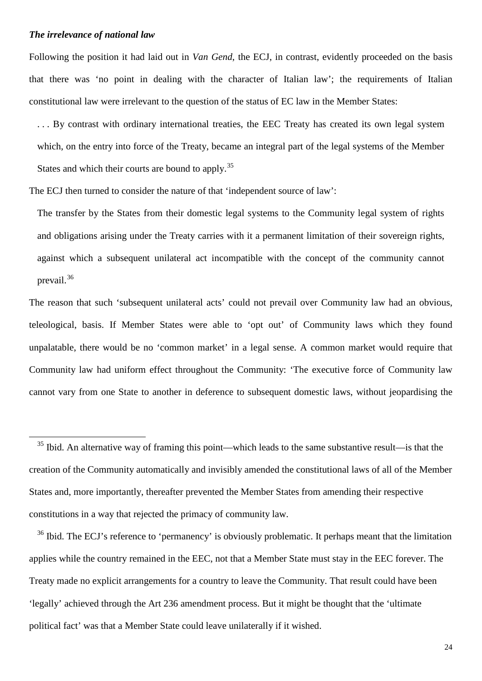## *The irrelevance of national law*

-

Following the position it had laid out in *Van Gend*, the ECJ, in contrast, evidently proceeded on the basis that there was 'no point in dealing with the character of Italian law'; the requirements of Italian constitutional law were irrelevant to the question of the status of EC law in the Member States:

. . . By contrast with ordinary international treaties, the EEC Treaty has created its own legal system which, on the entry into force of the Treaty, became an integral part of the legal systems of the Member States and which their courts are bound to apply.<sup>[35](#page-23-0)</sup>

The ECJ then turned to consider the nature of that 'independent source of law':

The transfer by the States from their domestic legal systems to the Community legal system of rights and obligations arising under the Treaty carries with it a permanent limitation of their sovereign rights, against which a subsequent unilateral act incompatible with the concept of the community cannot prevail.<sup>[36](#page-23-1)</sup>

The reason that such 'subsequent unilateral acts' could not prevail over Community law had an obvious, teleological, basis. If Member States were able to 'opt out' of Community laws which they found unpalatable, there would be no 'common market' in a legal sense. A common market would require that Community law had uniform effect throughout the Community: 'The executive force of Community law cannot vary from one State to another in deference to subsequent domestic laws, without jeopardising the

<span id="page-23-1"></span> $36$  Ibid. The ECJ's reference to 'permanency' is obviously problematic. It perhaps meant that the limitation applies while the country remained in the EEC, not that a Member State must stay in the EEC forever. The Treaty made no explicit arrangements for a country to leave the Community. That result could have been 'legally' achieved through the Art 236 amendment process. But it might be thought that the 'ultimate political fact' was that a Member State could leave unilaterally if it wished.

<span id="page-23-0"></span> $35$  Ibid. An alternative way of framing this point—which leads to the same substantive result—is that the creation of the Community automatically and invisibly amended the constitutional laws of all of the Member States and, more importantly, thereafter prevented the Member States from amending their respective constitutions in a way that rejected the primacy of community law.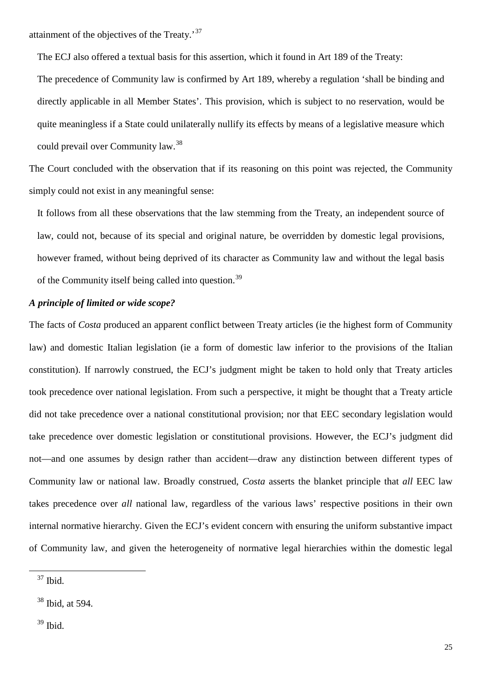attainment of the objectives of the Treaty.'[37](#page-24-0)

The ECJ also offered a textual basis for this assertion, which it found in Art 189 of the Treaty:

The precedence of Community law is confirmed by Art 189, whereby a regulation 'shall be binding and directly applicable in all Member States'. This provision, which is subject to no reservation, would be quite meaningless if a State could unilaterally nullify its effects by means of a legislative measure which could prevail over Community law.[38](#page-24-1)

The Court concluded with the observation that if its reasoning on this point was rejected, the Community simply could not exist in any meaningful sense:

It follows from all these observations that the law stemming from the Treaty, an independent source of law, could not, because of its special and original nature, be overridden by domestic legal provisions, however framed, without being deprived of its character as Community law and without the legal basis of the Community itself being called into question.<sup>[39](#page-24-2)</sup>

# *A principle of limited or wide scope?*

The facts of *Costa* produced an apparent conflict between Treaty articles (ie the highest form of Community law) and domestic Italian legislation (ie a form of domestic law inferior to the provisions of the Italian constitution). If narrowly construed, the ECJ's judgment might be taken to hold only that Treaty articles took precedence over national legislation. From such a perspective, it might be thought that a Treaty article did not take precedence over a national constitutional provision; nor that EEC secondary legislation would take precedence over domestic legislation or constitutional provisions. However, the ECJ's judgment did not—and one assumes by design rather than accident—draw any distinction between different types of Community law or national law. Broadly construed, *Costa* asserts the blanket principle that *all* EEC law takes precedence over *all* national law, regardless of the various laws' respective positions in their own internal normative hierarchy. Given the ECJ's evident concern with ensuring the uniform substantive impact of Community law, and given the heterogeneity of normative legal hierarchies within the domestic legal

<span id="page-24-0"></span><sup>37</sup> Ibid.

<span id="page-24-1"></span><sup>38</sup> Ibid, at 594.

<span id="page-24-2"></span><sup>39</sup> Ibid.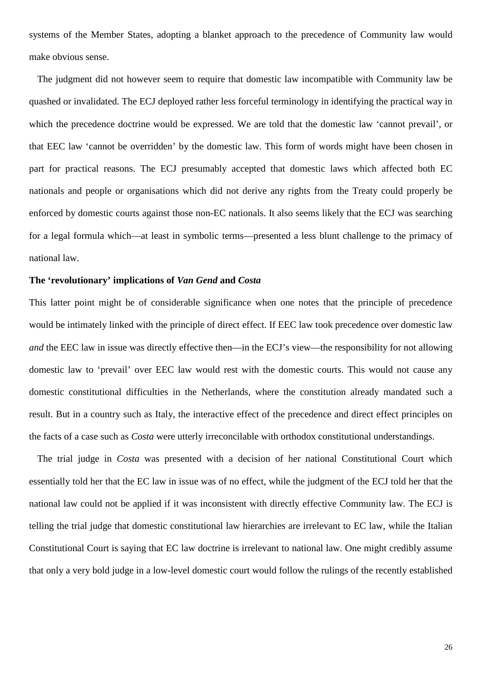systems of the Member States, adopting a blanket approach to the precedence of Community law would make obvious sense.

The judgment did not however seem to require that domestic law incompatible with Community law be quashed or invalidated. The ECJ deployed rather less forceful terminology in identifying the practical way in which the precedence doctrine would be expressed. We are told that the domestic law 'cannot prevail', or that EEC law 'cannot be overridden' by the domestic law. This form of words might have been chosen in part for practical reasons. The ECJ presumably accepted that domestic laws which affected both EC nationals and people or organisations which did not derive any rights from the Treaty could properly be enforced by domestic courts against those non-EC nationals. It also seems likely that the ECJ was searching for a legal formula which—at least in symbolic terms—presented a less blunt challenge to the primacy of national law.

## **The 'revolutionary' implications of** *Van Gend* **and** *Costa*

This latter point might be of considerable significance when one notes that the principle of precedence would be intimately linked with the principle of direct effect. If EEC law took precedence over domestic law *and* the EEC law in issue was directly effective then—in the ECJ's view—the responsibility for not allowing domestic law to 'prevail' over EEC law would rest with the domestic courts. This would not cause any domestic constitutional difficulties in the Netherlands, where the constitution already mandated such a result. But in a country such as Italy, the interactive effect of the precedence and direct effect principles on the facts of a case such as *Costa* were utterly irreconcilable with orthodox constitutional understandings.

The trial judge in *Costa* was presented with a decision of her national Constitutional Court which essentially told her that the EC law in issue was of no effect, while the judgment of the ECJ told her that the national law could not be applied if it was inconsistent with directly effective Community law. The ECJ is telling the trial judge that domestic constitutional law hierarchies are irrelevant to EC law, while the Italian Constitutional Court is saying that EC law doctrine is irrelevant to national law. One might credibly assume that only a very bold judge in a low-level domestic court would follow the rulings of the recently established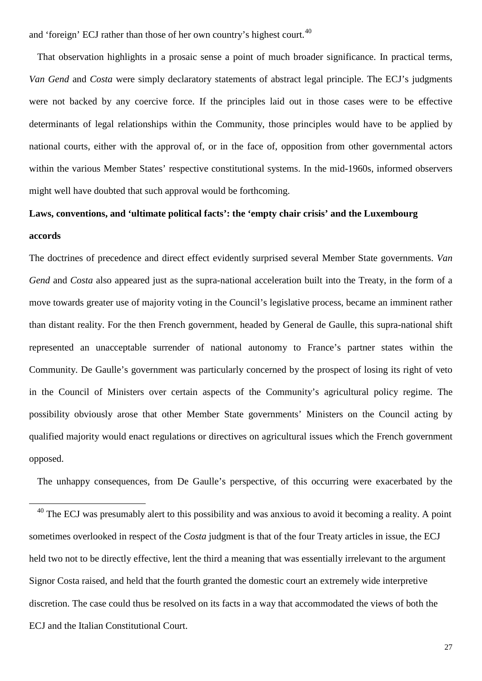and 'foreign' ECJ rather than those of her own country's highest court.<sup>[40](#page-26-0)</sup>

That observation highlights in a prosaic sense a point of much broader significance. In practical terms, *Van Gend* and *Costa* were simply declaratory statements of abstract legal principle. The ECJ's judgments were not backed by any coercive force. If the principles laid out in those cases were to be effective determinants of legal relationships within the Community, those principles would have to be applied by national courts, either with the approval of, or in the face of, opposition from other governmental actors within the various Member States' respective constitutional systems. In the mid-1960s, informed observers might well have doubted that such approval would be forthcoming.

# **Laws, conventions, and 'ultimate political facts': the 'empty chair crisis' and the Luxembourg accords**

The doctrines of precedence and direct effect evidently surprised several Member State governments. *Van Gend* and *Costa* also appeared just as the supra-national acceleration built into the Treaty, in the form of a move towards greater use of majority voting in the Council's legislative process, became an imminent rather than distant reality. For the then French government, headed by General de Gaulle, this supra-national shift represented an unacceptable surrender of national autonomy to France's partner states within the Community. De Gaulle's government was particularly concerned by the prospect of losing its right of veto in the Council of Ministers over certain aspects of the Community's agricultural policy regime. The possibility obviously arose that other Member State governments' Ministers on the Council acting by qualified majority would enact regulations or directives on agricultural issues which the French government opposed.

The unhappy consequences, from De Gaulle's perspective, of this occurring were exacerbated by the

-

<span id="page-26-0"></span><sup>40</sup> The ECJ was presumably alert to this possibility and was anxious to avoid it becoming a reality. A point sometimes overlooked in respect of the *Costa* judgment is that of the four Treaty articles in issue, the ECJ held two not to be directly effective, lent the third a meaning that was essentially irrelevant to the argument Signor Costa raised, and held that the fourth granted the domestic court an extremely wide interpretive discretion. The case could thus be resolved on its facts in a way that accommodated the views of both the ECJ and the Italian Constitutional Court.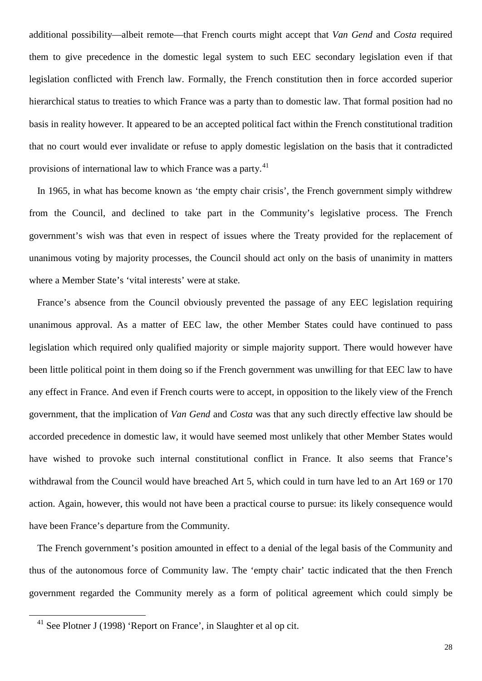additional possibility—albeit remote—that French courts might accept that *Van Gend* and *Costa* required them to give precedence in the domestic legal system to such EEC secondary legislation even if that legislation conflicted with French law. Formally, the French constitution then in force accorded superior hierarchical status to treaties to which France was a party than to domestic law. That formal position had no basis in reality however. It appeared to be an accepted political fact within the French constitutional tradition that no court would ever invalidate or refuse to apply domestic legislation on the basis that it contradicted provisions of international law to which France was a party.<sup>[41](#page-27-0)</sup>

In 1965, in what has become known as 'the empty chair crisis', the French government simply withdrew from the Council, and declined to take part in the Community's legislative process. The French government's wish was that even in respect of issues where the Treaty provided for the replacement of unanimous voting by majority processes, the Council should act only on the basis of unanimity in matters where a Member State's 'vital interests' were at stake.

France's absence from the Council obviously prevented the passage of any EEC legislation requiring unanimous approval. As a matter of EEC law, the other Member States could have continued to pass legislation which required only qualified majority or simple majority support. There would however have been little political point in them doing so if the French government was unwilling for that EEC law to have any effect in France. And even if French courts were to accept, in opposition to the likely view of the French government, that the implication of *Van Gend* and *Costa* was that any such directly effective law should be accorded precedence in domestic law, it would have seemed most unlikely that other Member States would have wished to provoke such internal constitutional conflict in France. It also seems that France's withdrawal from the Council would have breached Art 5, which could in turn have led to an Art 169 or 170 action. Again, however, this would not have been a practical course to pursue: its likely consequence would have been France's departure from the Community.

The French government's position amounted in effect to a denial of the legal basis of the Community and thus of the autonomous force of Community law. The 'empty chair' tactic indicated that the then French government regarded the Community merely as a form of political agreement which could simply be

<span id="page-27-0"></span><sup>41</sup> See Plotner J (1998) 'Report on France', in Slaughter et al op cit.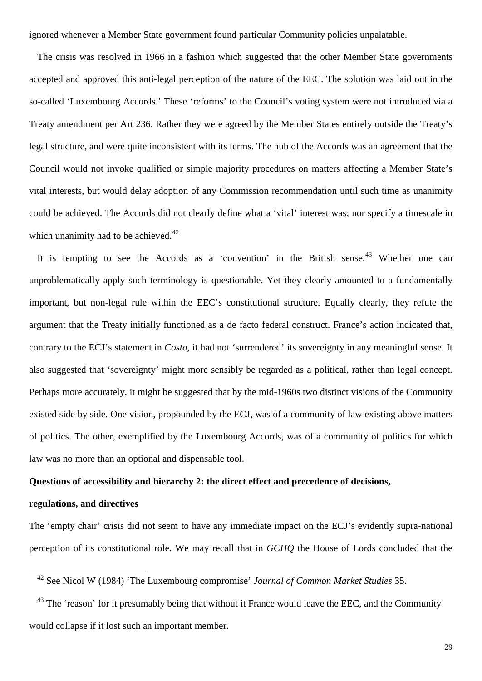ignored whenever a Member State government found particular Community policies unpalatable.

The crisis was resolved in 1966 in a fashion which suggested that the other Member State governments accepted and approved this anti-legal perception of the nature of the EEC. The solution was laid out in the so-called 'Luxembourg Accords.' These 'reforms' to the Council's voting system were not introduced via a Treaty amendment per Art 236. Rather they were agreed by the Member States entirely outside the Treaty's legal structure, and were quite inconsistent with its terms. The nub of the Accords was an agreement that the Council would not invoke qualified or simple majority procedures on matters affecting a Member State's vital interests, but would delay adoption of any Commission recommendation until such time as unanimity could be achieved. The Accords did not clearly define what a 'vital' interest was; nor specify a timescale in which unanimity had to be achieved.<sup>[42](#page-28-0)</sup>

It is tempting to see the Accords as a 'convention' in the British sense. $43$  Whether one can unproblematically apply such terminology is questionable. Yet they clearly amounted to a fundamentally important, but non-legal rule within the EEC's constitutional structure. Equally clearly, they refute the argument that the Treaty initially functioned as a de facto federal construct. France's action indicated that, contrary to the ECJ's statement in *Costa*, it had not 'surrendered' its sovereignty in any meaningful sense. It also suggested that 'sovereignty' might more sensibly be regarded as a political, rather than legal concept. Perhaps more accurately, it might be suggested that by the mid-1960s two distinct visions of the Community existed side by side. One vision, propounded by the ECJ, was of a community of law existing above matters of politics. The other, exemplified by the Luxembourg Accords, was of a community of politics for which law was no more than an optional and dispensable tool.

#### **Questions of accessibility and hierarchy 2: the direct effect and precedence of decisions,**

# **regulations, and directives**

<span id="page-28-0"></span>-

The 'empty chair' crisis did not seem to have any immediate impact on the ECJ's evidently supra-national perception of its constitutional role. We may recall that in *GCHQ* the House of Lords concluded that the

<sup>42</sup> See Nicol W (1984) 'The Luxembourg compromise' *Journal of Common Market Studies* 35.

<span id="page-28-1"></span><sup>&</sup>lt;sup>43</sup> The 'reason' for it presumably being that without it France would leave the EEC, and the Community would collapse if it lost such an important member.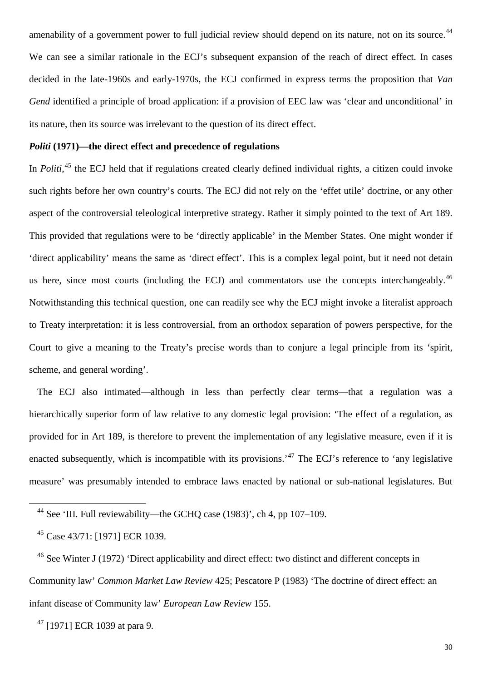amenability of a government power to full judicial review should depend on its nature, not on its source.<sup>[44](#page-29-0)</sup> We can see a similar rationale in the ECJ's subsequent expansion of the reach of direct effect. In cases decided in the late-1960s and early-1970s, the ECJ confirmed in express terms the proposition that *Van Gend* identified a principle of broad application: if a provision of EEC law was 'clear and unconditional' in its nature, then its source was irrelevant to the question of its direct effect.

# *Politi* **(1971)—the direct effect and precedence of regulations**

In *Politi*,<sup>[45](#page-29-1)</sup> the ECJ held that if regulations created clearly defined individual rights, a citizen could invoke such rights before her own country's courts. The ECJ did not rely on the 'effet utile' doctrine, or any other aspect of the controversial teleological interpretive strategy. Rather it simply pointed to the text of Art 189. This provided that regulations were to be 'directly applicable' in the Member States. One might wonder if 'direct applicability' means the same as 'direct effect'. This is a complex legal point, but it need not detain us here, since most courts (including the ECJ) and commentators use the concepts interchangeably.<sup>[46](#page-29-2)</sup> Notwithstanding this technical question, one can readily see why the ECJ might invoke a literalist approach to Treaty interpretation: it is less controversial, from an orthodox separation of powers perspective, for the Court to give a meaning to the Treaty's precise words than to conjure a legal principle from its 'spirit, scheme, and general wording'.

The ECJ also intimated—although in less than perfectly clear terms—that a regulation was a hierarchically superior form of law relative to any domestic legal provision: 'The effect of a regulation, as provided for in Art 189, is therefore to prevent the implementation of any legislative measure, even if it is enacted subsequently, which is incompatible with its provisions.<sup>[47](#page-29-3)</sup> The ECJ's reference to 'any legislative measure' was presumably intended to embrace laws enacted by national or sub-national legislatures. But

<span id="page-29-0"></span>-

<span id="page-29-2"></span><span id="page-29-1"></span> $46$  See Winter J (1972) 'Direct applicability and direct effect: two distinct and different concepts in Community law' *Common Market Law Review* 425; Pescatore P (1983) 'The doctrine of direct effect: an infant disease of Community law' *European Law Review* 155.

<span id="page-29-3"></span> $47$  [1971] ECR 1039 at para 9.

<sup>44</sup> See 'III. Full reviewability—the GCHQ case (1983)', ch 4, pp 107–109.

 $45$  Case  $43/71$ : [1971] ECR 1039.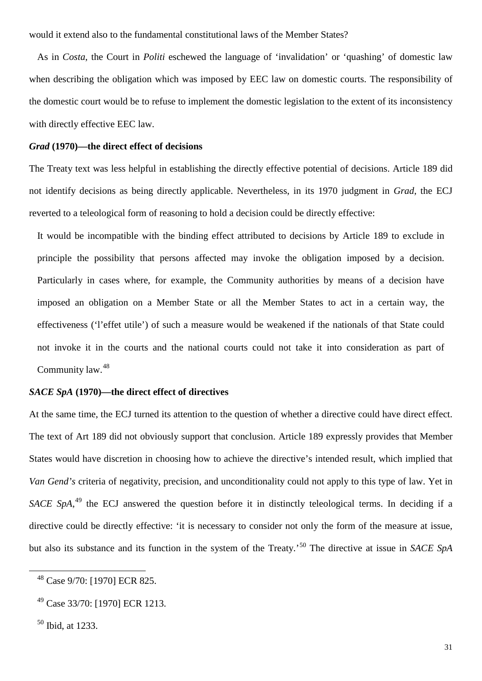would it extend also to the fundamental constitutional laws of the Member States?

As in *Costa*, the Court in *Politi* eschewed the language of 'invalidation' or 'quashing' of domestic law when describing the obligation which was imposed by EEC law on domestic courts. The responsibility of the domestic court would be to refuse to implement the domestic legislation to the extent of its inconsistency with directly effective EEC law.

## *Grad* **(1970)—the direct effect of decisions**

The Treaty text was less helpful in establishing the directly effective potential of decisions. Article 189 did not identify decisions as being directly applicable. Nevertheless, in its 1970 judgment in *Grad*, the ECJ reverted to a teleological form of reasoning to hold a decision could be directly effective:

It would be incompatible with the binding effect attributed to decisions by Article 189 to exclude in principle the possibility that persons affected may invoke the obligation imposed by a decision. Particularly in cases where, for example, the Community authorities by means of a decision have imposed an obligation on a Member State or all the Member States to act in a certain way, the effectiveness ('l'effet utile') of such a measure would be weakened if the nationals of that State could not invoke it in the courts and the national courts could not take it into consideration as part of Community law.[48](#page-30-0)

## *SACE SpA* **(1970)—the direct effect of directives**

At the same time, the ECJ turned its attention to the question of whether a directive could have direct effect. The text of Art 189 did not obviously support that conclusion. Article 189 expressly provides that Member States would have discretion in choosing how to achieve the directive's intended result, which implied that *Van Gend's* criteria of negativity, precision, and unconditionality could not apply to this type of law. Yet in SACE SpA,<sup>[49](#page-30-1)</sup> the ECJ answered the question before it in distinctly teleological terms. In deciding if a directive could be directly effective: 'it is necessary to consider not only the form of the measure at issue, but also its substance and its function in the system of the Treaty.'[50](#page-30-2) The directive at issue in *SACE SpA*

<span id="page-30-2"></span> $50$  Ibid, at 1233.

<span id="page-30-0"></span><sup>48</sup> Case 9/70: [1970] ECR 825.

<span id="page-30-1"></span><sup>49</sup> Case 33/70: [1970] ECR 1213.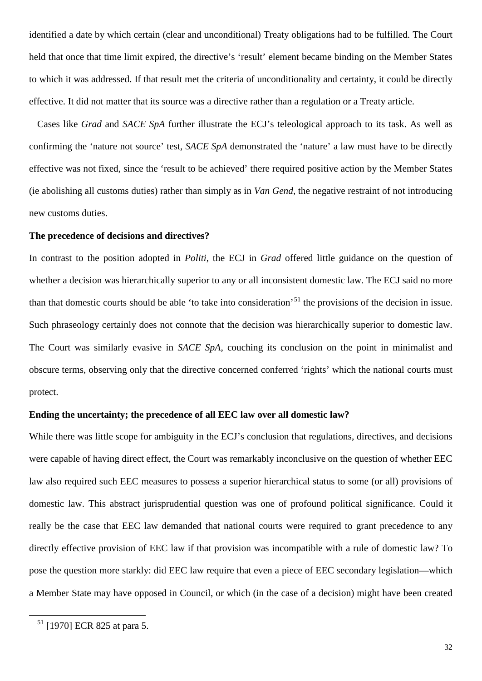identified a date by which certain (clear and unconditional) Treaty obligations had to be fulfilled. The Court held that once that time limit expired, the directive's 'result' element became binding on the Member States to which it was addressed. If that result met the criteria of unconditionality and certainty, it could be directly effective. It did not matter that its source was a directive rather than a regulation or a Treaty article.

Cases like *Grad* and *SACE SpA* further illustrate the ECJ's teleological approach to its task. As well as confirming the 'nature not source' test, *SACE SpA* demonstrated the 'nature' a law must have to be directly effective was not fixed, since the 'result to be achieved' there required positive action by the Member States (ie abolishing all customs duties) rather than simply as in *Van Gend*, the negative restraint of not introducing new customs duties.

## **The precedence of decisions and directives?**

In contrast to the position adopted in *Politi*, the ECJ in *Grad* offered little guidance on the question of whether a decision was hierarchically superior to any or all inconsistent domestic law. The ECJ said no more than that domestic courts should be able 'to take into consideration'[51](#page-31-0) the provisions of the decision in issue. Such phraseology certainly does not connote that the decision was hierarchically superior to domestic law. The Court was similarly evasive in *SACE SpA*, couching its conclusion on the point in minimalist and obscure terms, observing only that the directive concerned conferred 'rights' which the national courts must protect.

## **Ending the uncertainty; the precedence of all EEC law over all domestic law?**

While there was little scope for ambiguity in the ECJ's conclusion that regulations, directives, and decisions were capable of having direct effect, the Court was remarkably inconclusive on the question of whether EEC law also required such EEC measures to possess a superior hierarchical status to some (or all) provisions of domestic law. This abstract jurisprudential question was one of profound political significance. Could it really be the case that EEC law demanded that national courts were required to grant precedence to any directly effective provision of EEC law if that provision was incompatible with a rule of domestic law? To pose the question more starkly: did EEC law require that even a piece of EEC secondary legislation—which a Member State may have opposed in Council, or which (in the case of a decision) might have been created

<span id="page-31-0"></span><sup>51</sup> [1970] ECR 825 at para 5.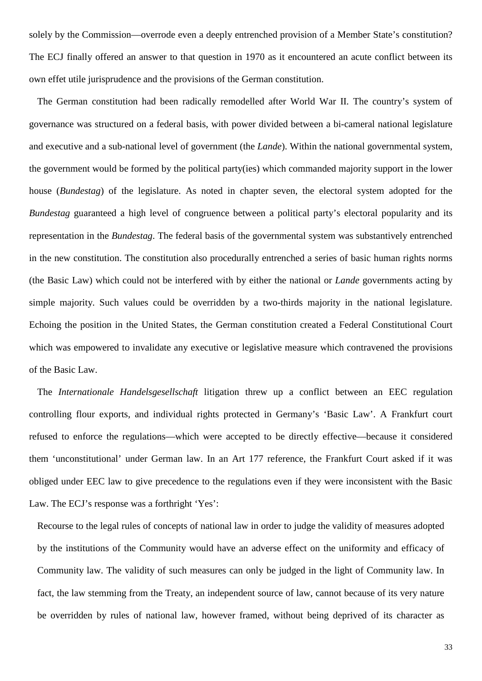solely by the Commission—overrode even a deeply entrenched provision of a Member State's constitution? The ECJ finally offered an answer to that question in 1970 as it encountered an acute conflict between its own effet utile jurisprudence and the provisions of the German constitution.

The German constitution had been radically remodelled after World War II. The country's system of governance was structured on a federal basis, with power divided between a bi-cameral national legislature and executive and a sub-national level of government (the *Lande*). Within the national governmental system, the government would be formed by the political party(ies) which commanded majority support in the lower house (*Bundestag*) of the legislature. As noted in chapter seven, the electoral system adopted for the *Bundestag* guaranteed a high level of congruence between a political party's electoral popularity and its representation in the *Bundestag*. The federal basis of the governmental system was substantively entrenched in the new constitution. The constitution also procedurally entrenched a series of basic human rights norms (the Basic Law) which could not be interfered with by either the national or *Lande* governments acting by simple majority. Such values could be overridden by a two-thirds majority in the national legislature. Echoing the position in the United States, the German constitution created a Federal Constitutional Court which was empowered to invalidate any executive or legislative measure which contravened the provisions of the Basic Law.

The *Internationale Handelsgesellschaft* litigation threw up a conflict between an EEC regulation controlling flour exports, and individual rights protected in Germany's 'Basic Law'. A Frankfurt court refused to enforce the regulations—which were accepted to be directly effective—because it considered them 'unconstitutional' under German law. In an Art 177 reference, the Frankfurt Court asked if it was obliged under EEC law to give precedence to the regulations even if they were inconsistent with the Basic Law. The ECJ's response was a forthright 'Yes':

Recourse to the legal rules of concepts of national law in order to judge the validity of measures adopted by the institutions of the Community would have an adverse effect on the uniformity and efficacy of Community law. The validity of such measures can only be judged in the light of Community law. In fact, the law stemming from the Treaty, an independent source of law, cannot because of its very nature be overridden by rules of national law, however framed, without being deprived of its character as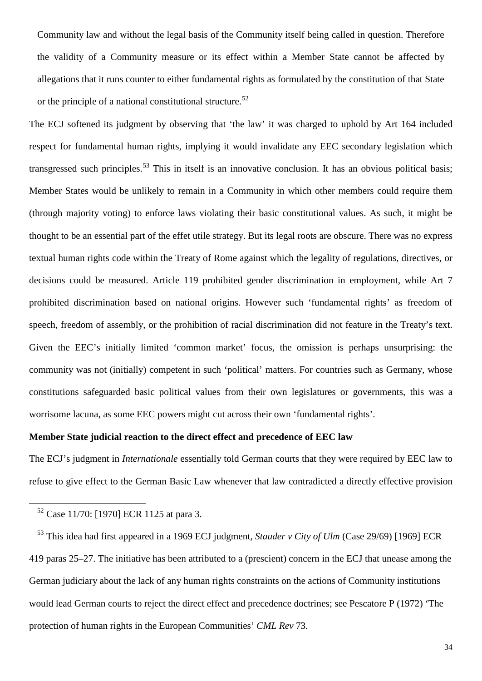Community law and without the legal basis of the Community itself being called in question. Therefore the validity of a Community measure or its effect within a Member State cannot be affected by allegations that it runs counter to either fundamental rights as formulated by the constitution of that State or the principle of a national constitutional structure.<sup>[52](#page-33-0)</sup>

The ECJ softened its judgment by observing that 'the law' it was charged to uphold by Art 164 included respect for fundamental human rights, implying it would invalidate any EEC secondary legislation which transgressed such principles.<sup>[53](#page-33-1)</sup> This in itself is an innovative conclusion. It has an obvious political basis; Member States would be unlikely to remain in a Community in which other members could require them (through majority voting) to enforce laws violating their basic constitutional values. As such, it might be thought to be an essential part of the effet utile strategy. But its legal roots are obscure. There was no express textual human rights code within the Treaty of Rome against which the legality of regulations, directives, or decisions could be measured. Article 119 prohibited gender discrimination in employment, while Art 7 prohibited discrimination based on national origins. However such 'fundamental rights' as freedom of speech, freedom of assembly, or the prohibition of racial discrimination did not feature in the Treaty's text. Given the EEC's initially limited 'common market' focus, the omission is perhaps unsurprising: the community was not (initially) competent in such 'political' matters. For countries such as Germany, whose constitutions safeguarded basic political values from their own legislatures or governments, this was a worrisome lacuna, as some EEC powers might cut across their own 'fundamental rights'.

## **Member State judicial reaction to the direct effect and precedence of EEC law**

The ECJ's judgment in *Internationale* essentially told German courts that they were required by EEC law to refuse to give effect to the German Basic Law whenever that law contradicted a directly effective provision

<span id="page-33-0"></span><sup>52</sup> Case 11/70: [1970] ECR 1125 at para 3.

<span id="page-33-1"></span><sup>53</sup> This idea had first appeared in a 1969 ECJ judgment, *Stauder v City of Ulm* (Case 29/69) [1969] ECR 419 paras 25–27. The initiative has been attributed to a (prescient) concern in the ECJ that unease among the German judiciary about the lack of any human rights constraints on the actions of Community institutions would lead German courts to reject the direct effect and precedence doctrines; see Pescatore P (1972) 'The protection of human rights in the European Communities' *CML Rev* 73.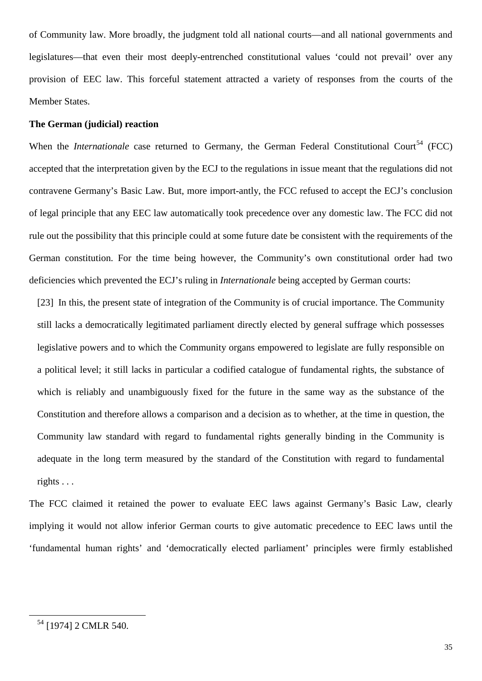of Community law. More broadly, the judgment told all national courts—and all national governments and legislatures—that even their most deeply-entrenched constitutional values 'could not prevail' over any provision of EEC law. This forceful statement attracted a variety of responses from the courts of the Member States.

## **The German (judicial) reaction**

When the *Internationale* case returned to Germany, the German Federal Constitutional Court<sup>[54](#page-34-0)</sup> (FCC) accepted that the interpretation given by the ECJ to the regulations in issue meant that the regulations did not contravene Germany's Basic Law. But, more import-antly, the FCC refused to accept the ECJ's conclusion of legal principle that any EEC law automatically took precedence over any domestic law. The FCC did not rule out the possibility that this principle could at some future date be consistent with the requirements of the German constitution. For the time being however, the Community's own constitutional order had two deficiencies which prevented the ECJ's ruling in *Internationale* being accepted by German courts:

[23] In this, the present state of integration of the Community is of crucial importance. The Community still lacks a democratically legitimated parliament directly elected by general suffrage which possesses legislative powers and to which the Community organs empowered to legislate are fully responsible on a political level; it still lacks in particular a codified catalogue of fundamental rights, the substance of which is reliably and unambiguously fixed for the future in the same way as the substance of the Constitution and therefore allows a comparison and a decision as to whether, at the time in question, the Community law standard with regard to fundamental rights generally binding in the Community is adequate in the long term measured by the standard of the Constitution with regard to fundamental rights . . .

The FCC claimed it retained the power to evaluate EEC laws against Germany's Basic Law, clearly implying it would not allow inferior German courts to give automatic precedence to EEC laws until the 'fundamental human rights' and 'democratically elected parliament' principles were firmly established

<span id="page-34-0"></span><sup>54</sup> [1974] 2 CMLR 540.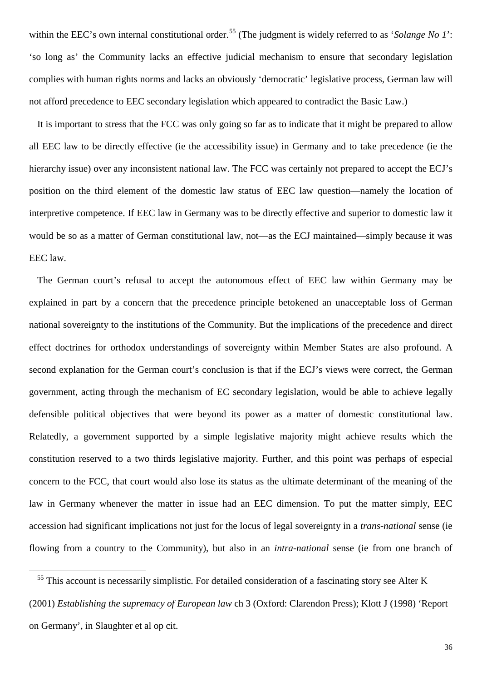within the EEC's own internal constitutional order.<sup>[55](#page-35-0)</sup> (The judgment is widely referred to as '*Solange No 1*': 'so long as' the Community lacks an effective judicial mechanism to ensure that secondary legislation complies with human rights norms and lacks an obviously 'democratic' legislative process, German law will not afford precedence to EEC secondary legislation which appeared to contradict the Basic Law.)

It is important to stress that the FCC was only going so far as to indicate that it might be prepared to allow all EEC law to be directly effective (ie the accessibility issue) in Germany and to take precedence (ie the hierarchy issue) over any inconsistent national law. The FCC was certainly not prepared to accept the ECJ's position on the third element of the domestic law status of EEC law question—namely the location of interpretive competence. If EEC law in Germany was to be directly effective and superior to domestic law it would be so as a matter of German constitutional law, not—as the ECJ maintained—simply because it was EEC law.

The German court's refusal to accept the autonomous effect of EEC law within Germany may be explained in part by a concern that the precedence principle betokened an unacceptable loss of German national sovereignty to the institutions of the Community. But the implications of the precedence and direct effect doctrines for orthodox understandings of sovereignty within Member States are also profound. A second explanation for the German court's conclusion is that if the ECJ's views were correct, the German government, acting through the mechanism of EC secondary legislation, would be able to achieve legally defensible political objectives that were beyond its power as a matter of domestic constitutional law. Relatedly, a government supported by a simple legislative majority might achieve results which the constitution reserved to a two thirds legislative majority. Further, and this point was perhaps of especial concern to the FCC, that court would also lose its status as the ultimate determinant of the meaning of the law in Germany whenever the matter in issue had an EEC dimension. To put the matter simply, EEC accession had significant implications not just for the locus of legal sovereignty in a *trans-national* sense (ie flowing from a country to the Community), but also in an *intra-national* sense (ie from one branch of

<span id="page-35-0"></span><sup>&</sup>lt;sup>55</sup> This account is necessarily simplistic. For detailed consideration of a fascinating story see Alter K (2001) *Establishing the supremacy of European law* ch 3 (Oxford: Clarendon Press); Klott J (1998) 'Report on Germany', in Slaughter et al op cit.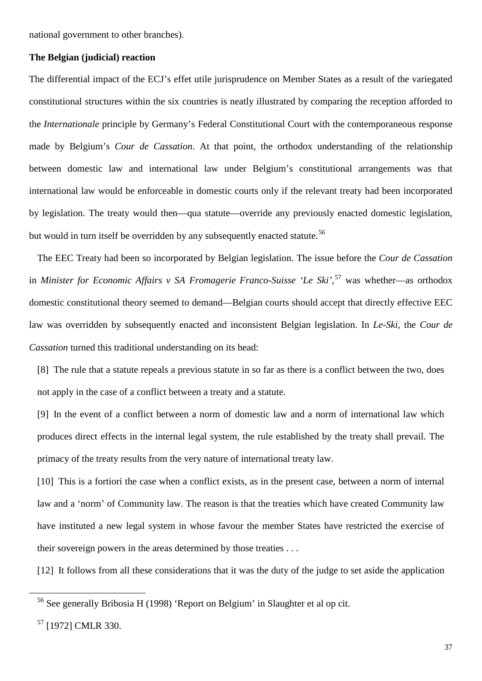national government to other branches).

#### **The Belgian (judicial) reaction**

The differential impact of the ECJ's effet utile jurisprudence on Member States as a result of the variegated constitutional structures within the six countries is neatly illustrated by comparing the reception afforded to the *Internationale* principle by Germany's Federal Constitutional Court with the contemporaneous response made by Belgium's *Cour de Cassation*. At that point, the orthodox understanding of the relationship between domestic law and international law under Belgium's constitutional arrangements was that international law would be enforceable in domestic courts only if the relevant treaty had been incorporated by legislation. The treaty would then—qua statute—override any previously enacted domestic legislation, but would in turn itself be overridden by any subsequently enacted statute.<sup>[56](#page-36-0)</sup>

The EEC Treaty had been so incorporated by Belgian legislation. The issue before the *Cour de Cassation* in *Minister for Economic Affairs v SA Fromagerie Franco-Suisse 'Le Ski'*, [57](#page-36-1) was whether—as orthodox domestic constitutional theory seemed to demand—Belgian courts should accept that directly effective EEC law was overridden by subsequently enacted and inconsistent Belgian legislation. In *Le-Ski*, the *Cour de Cassation* turned this traditional understanding on its head:

[8] The rule that a statute repeals a previous statute in so far as there is a conflict between the two, does not apply in the case of a conflict between a treaty and a statute.

[9] In the event of a conflict between a norm of domestic law and a norm of international law which produces direct effects in the internal legal system, the rule established by the treaty shall prevail. The primacy of the treaty results from the very nature of international treaty law.

[10] This is a fortiori the case when a conflict exists, as in the present case, between a norm of internal law and a 'norm' of Community law. The reason is that the treaties which have created Community law have instituted a new legal system in whose favour the member States have restricted the exercise of their sovereign powers in the areas determined by those treaties . . .

[12] It follows from all these considerations that it was the duty of the judge to set aside the application

<span id="page-36-0"></span><sup>56</sup> See generally Bribosia H (1998) 'Report on Belgium' in Slaughter et al op cit.

<span id="page-36-1"></span><sup>57</sup> [1972] CMLR 330.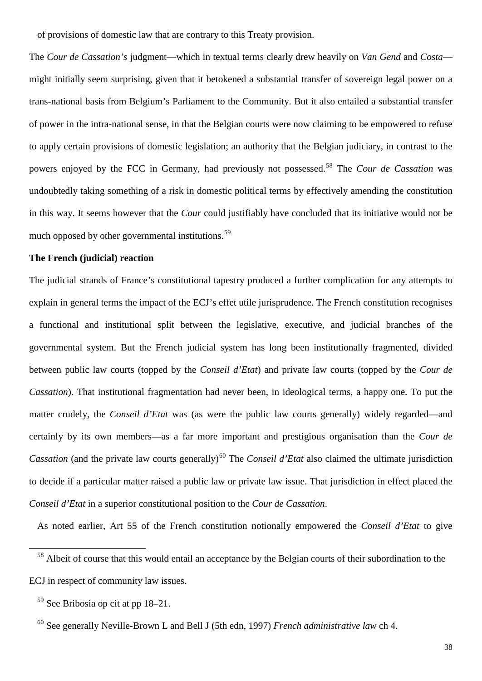of provisions of domestic law that are contrary to this Treaty provision.

The *Cour de Cassation's* judgment—which in textual terms clearly drew heavily on *Van Gend* and *Costa* might initially seem surprising, given that it betokened a substantial transfer of sovereign legal power on a trans-national basis from Belgium's Parliament to the Community. But it also entailed a substantial transfer of power in the intra-national sense, in that the Belgian courts were now claiming to be empowered to refuse to apply certain provisions of domestic legislation; an authority that the Belgian judiciary, in contrast to the powers enjoyed by the FCC in Germany, had previously not possessed.[58](#page-37-0) The *Cour de Cassation* was undoubtedly taking something of a risk in domestic political terms by effectively amending the constitution in this way. It seems however that the *Cour* could justifiably have concluded that its initiative would not be much opposed by other governmental institutions.<sup>[59](#page-37-1)</sup>

#### **The French (judicial) reaction**

The judicial strands of France's constitutional tapestry produced a further complication for any attempts to explain in general terms the impact of the ECJ's effet utile jurisprudence. The French constitution recognises a functional and institutional split between the legislative, executive, and judicial branches of the governmental system. But the French judicial system has long been institutionally fragmented, divided between public law courts (topped by the *Conseil d'Etat*) and private law courts (topped by the *Cour de Cassation*). That institutional fragmentation had never been, in ideological terms, a happy one. To put the matter crudely, the *Conseil d'Etat* was (as were the public law courts generally) widely regarded—and certainly by its own members—as a far more important and prestigious organisation than the *Cour de Cassation* (and the private law courts generally)<sup>[60](#page-37-2)</sup> The *Conseil d'Etat* also claimed the ultimate jurisdiction to decide if a particular matter raised a public law or private law issue. That jurisdiction in effect placed the *Conseil d'Etat* in a superior constitutional position to the *Cour de Cassation*.

As noted earlier, Art 55 of the French constitution notionally empowered the *Conseil d'Etat* to give

<span id="page-37-0"></span><sup>&</sup>lt;sup>58</sup> Albeit of course that this would entail an acceptance by the Belgian courts of their subordination to the ECJ in respect of community law issues.

<span id="page-37-1"></span> $59$  See Bribosia op cit at pp 18–21.

<span id="page-37-2"></span><sup>60</sup> See generally Neville-Brown L and Bell J (5th edn, 1997) *French administrative law* ch 4.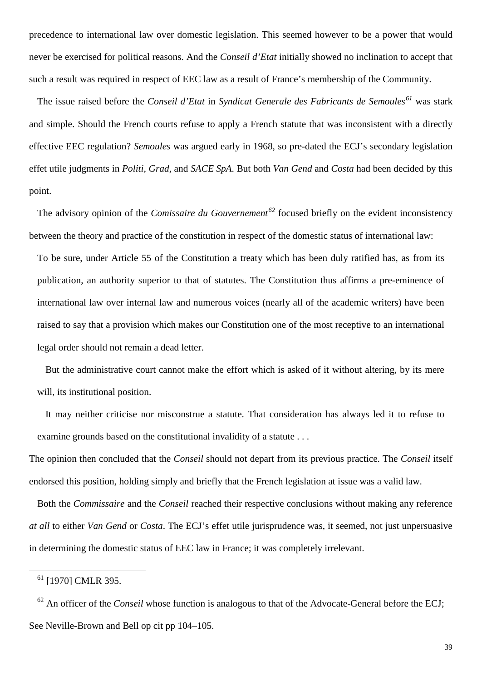precedence to international law over domestic legislation. This seemed however to be a power that would never be exercised for political reasons. And the *Conseil d'Etat* initially showed no inclination to accept that such a result was required in respect of EEC law as a result of France's membership of the Community.

The issue raised before the *Conseil d'Etat* in *Syndicat Generale des Fabricants de Semoules[61](#page-38-0)* was stark and simple. Should the French courts refuse to apply a French statute that was inconsistent with a directly effective EEC regulation? *Semoules* was argued early in 1968, so pre-dated the ECJ's secondary legislation effet utile judgments in *Politi, Grad*, and *SACE SpA*. But both *Van Gend* and *Costa* had been decided by this point.

The advisory opinion of the *Comissaire du Gouvernement[62](#page-38-1)* focused briefly on the evident inconsistency between the theory and practice of the constitution in respect of the domestic status of international law:

To be sure, under Article 55 of the Constitution a treaty which has been duly ratified has, as from its publication, an authority superior to that of statutes. The Constitution thus affirms a pre-eminence of international law over internal law and numerous voices (nearly all of the academic writers) have been raised to say that a provision which makes our Constitution one of the most receptive to an international legal order should not remain a dead letter.

But the administrative court cannot make the effort which is asked of it without altering, by its mere will, its institutional position.

It may neither criticise nor misconstrue a statute. That consideration has always led it to refuse to examine grounds based on the constitutional invalidity of a statute . . .

The opinion then concluded that the *Conseil* should not depart from its previous practice. The *Conseil* itself endorsed this position, holding simply and briefly that the French legislation at issue was a valid law.

Both the *Commissaire* and the *Conseil* reached their respective conclusions without making any reference *at all* to either *Van Gend* or *Costa*. The ECJ's effet utile jurisprudence was, it seemed, not just unpersuasive in determining the domestic status of EEC law in France; it was completely irrelevant.

<sup>&</sup>lt;sup>61</sup> [1970] CMLR 395.

<span id="page-38-1"></span><span id="page-38-0"></span><sup>&</sup>lt;sup>62</sup> An officer of the *Conseil* whose function is analogous to that of the Advocate-General before the ECJ; See Neville-Brown and Bell op cit pp 104–105.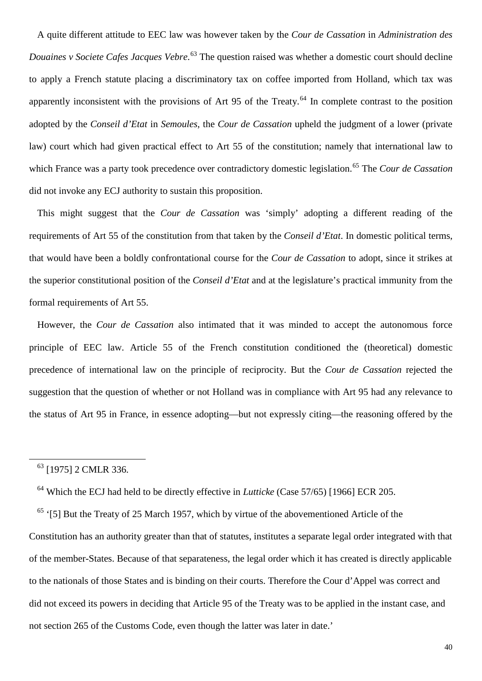A quite different attitude to EEC law was however taken by the *Cour de Cassation* in *Administration des Douaines v Societe Cafes Jacques Vebre*. [63](#page-39-0) The question raised was whether a domestic court should decline to apply a French statute placing a discriminatory tax on coffee imported from Holland, which tax was apparently inconsistent with the provisions of Art 95 of the Treaty.<sup>[64](#page-39-1)</sup> In complete contrast to the position adopted by the *Conseil d'Etat* in *Semoules*, the *Cour de Cassation* upheld the judgment of a lower (private law) court which had given practical effect to Art 55 of the constitution; namely that international law to which France was a party took precedence over contradictory domestic legislation.<sup>[65](#page-39-2)</sup> The *Cour de Cassation* did not invoke any ECJ authority to sustain this proposition.

This might suggest that the *Cour de Cassation* was 'simply' adopting a different reading of the requirements of Art 55 of the constitution from that taken by the *Conseil d'Etat*. In domestic political terms, that would have been a boldly confrontational course for the *Cour de Cassation* to adopt, since it strikes at the superior constitutional position of the *Conseil d'Etat* and at the legislature's practical immunity from the formal requirements of Art 55.

However, the *Cour de Cassation* also intimated that it was minded to accept the autonomous force principle of EEC law. Article 55 of the French constitution conditioned the (theoretical) domestic precedence of international law on the principle of reciprocity. But the *Cour de Cassation* rejected the suggestion that the question of whether or not Holland was in compliance with Art 95 had any relevance to the status of Art 95 in France, in essence adopting—but not expressly citing—the reasoning offered by the

<sup>63</sup> [1975] 2 CMLR 336.

<span id="page-39-0"></span>-

<sup>64</sup> Which the ECJ had held to be directly effective in *Lutticke* (Case 57/65) [1966] ECR 205.

<span id="page-39-2"></span><span id="page-39-1"></span> $65$  '[5] But the Treaty of 25 March 1957, which by virtue of the abovementioned Article of the Constitution has an authority greater than that of statutes, institutes a separate legal order integrated with that of the member-States. Because of that separateness, the legal order which it has created is directly applicable to the nationals of those States and is binding on their courts. Therefore the Cour d'Appel was correct and did not exceed its powers in deciding that Article 95 of the Treaty was to be applied in the instant case, and not section 265 of the Customs Code, even though the latter was later in date.'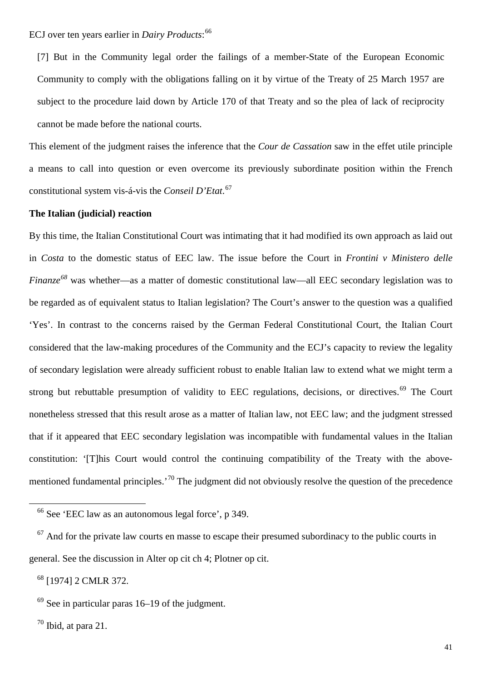ECJ over ten years earlier in *Dairy Products*: [66](#page-40-0)

[7] But in the Community legal order the failings of a member-State of the European Economic Community to comply with the obligations falling on it by virtue of the Treaty of 25 March 1957 are subject to the procedure laid down by Article 170 of that Treaty and so the plea of lack of reciprocity cannot be made before the national courts.

This element of the judgment raises the inference that the *Cour de Cassation* saw in the effet utile principle a means to call into question or even overcome its previously subordinate position within the French constitutional system vis-á-vis the *Conseil D'Etat*. [67](#page-40-1)

#### **The Italian (judicial) reaction**

By this time, the Italian Constitutional Court was intimating that it had modified its own approach as laid out in *Costa* to the domestic status of EEC law. The issue before the Court in *Frontini v Ministero delle Finanze*<sup>[68](#page-40-2)</sup> was whether—as a matter of domestic constitutional law—all EEC secondary legislation was to be regarded as of equivalent status to Italian legislation? The Court's answer to the question was a qualified 'Yes'. In contrast to the concerns raised by the German Federal Constitutional Court, the Italian Court considered that the law-making procedures of the Community and the ECJ's capacity to review the legality of secondary legislation were already sufficient robust to enable Italian law to extend what we might term a strong but rebuttable presumption of validity to EEC regulations, decisions, or directives.<sup>[69](#page-40-3)</sup> The Court nonetheless stressed that this result arose as a matter of Italian law, not EEC law; and the judgment stressed that if it appeared that EEC secondary legislation was incompatible with fundamental values in the Italian constitution: '[T]his Court would control the continuing compatibility of the Treaty with the above-mentioned fundamental principles.<sup>[70](#page-40-4)</sup> The judgment did not obviously resolve the question of the precedence

<span id="page-40-2"></span><sup>68</sup> [1974] 2 CMLR 372.

<span id="page-40-4"></span> $70$  Ibid, at para 21.

<sup>66</sup> See 'EEC law as an autonomous legal force', p 349.

<span id="page-40-1"></span><span id="page-40-0"></span> $67$  And for the private law courts en masse to escape their presumed subordinacy to the public courts in general. See the discussion in Alter op cit ch 4; Plotner op cit.

<span id="page-40-3"></span> $69$  See in particular paras 16–19 of the judgment.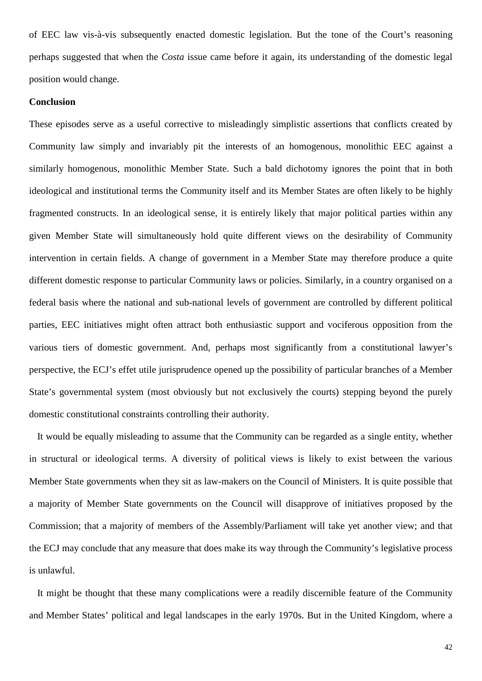of EEC law vis-à-vis subsequently enacted domestic legislation. But the tone of the Court's reasoning perhaps suggested that when the *Costa* issue came before it again, its understanding of the domestic legal position would change.

### **Conclusion**

These episodes serve as a useful corrective to misleadingly simplistic assertions that conflicts created by Community law simply and invariably pit the interests of an homogenous, monolithic EEC against a similarly homogenous, monolithic Member State. Such a bald dichotomy ignores the point that in both ideological and institutional terms the Community itself and its Member States are often likely to be highly fragmented constructs. In an ideological sense, it is entirely likely that major political parties within any given Member State will simultaneously hold quite different views on the desirability of Community intervention in certain fields. A change of government in a Member State may therefore produce a quite different domestic response to particular Community laws or policies. Similarly, in a country organised on a federal basis where the national and sub-national levels of government are controlled by different political parties, EEC initiatives might often attract both enthusiastic support and vociferous opposition from the various tiers of domestic government. And, perhaps most significantly from a constitutional lawyer's perspective, the ECJ's effet utile jurisprudence opened up the possibility of particular branches of a Member State's governmental system (most obviously but not exclusively the courts) stepping beyond the purely domestic constitutional constraints controlling their authority.

It would be equally misleading to assume that the Community can be regarded as a single entity, whether in structural or ideological terms. A diversity of political views is likely to exist between the various Member State governments when they sit as law-makers on the Council of Ministers. It is quite possible that a majority of Member State governments on the Council will disapprove of initiatives proposed by the Commission; that a majority of members of the Assembly/Parliament will take yet another view; and that the ECJ may conclude that any measure that does make its way through the Community's legislative process is unlawful.

It might be thought that these many complications were a readily discernible feature of the Community and Member States' political and legal landscapes in the early 1970s. But in the United Kingdom, where a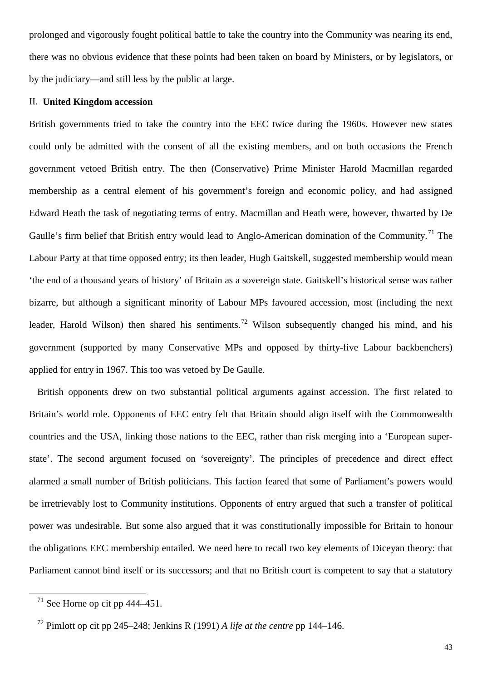prolonged and vigorously fought political battle to take the country into the Community was nearing its end, there was no obvious evidence that these points had been taken on board by Ministers, or by legislators, or by the judiciary—and still less by the public at large.

## II. **United Kingdom accession**

British governments tried to take the country into the EEC twice during the 1960s. However new states could only be admitted with the consent of all the existing members, and on both occasions the French government vetoed British entry. The then (Conservative) Prime Minister Harold Macmillan regarded membership as a central element of his government's foreign and economic policy, and had assigned Edward Heath the task of negotiating terms of entry. Macmillan and Heath were, however, thwarted by De Gaulle's firm belief that British entry would lead to Anglo-American domination of the Community.<sup>[71](#page-42-0)</sup> The Labour Party at that time opposed entry; its then leader, Hugh Gaitskell, suggested membership would mean 'the end of a thousand years of history' of Britain as a sovereign state. Gaitskell's historical sense was rather bizarre, but although a significant minority of Labour MPs favoured accession, most (including the next leader, Harold Wilson) then shared his sentiments.<sup>[72](#page-42-1)</sup> Wilson subsequently changed his mind, and his government (supported by many Conservative MPs and opposed by thirty-five Labour backbenchers) applied for entry in 1967. This too was vetoed by De Gaulle.

British opponents drew on two substantial political arguments against accession. The first related to Britain's world role. Opponents of EEC entry felt that Britain should align itself with the Commonwealth countries and the USA, linking those nations to the EEC, rather than risk merging into a 'European superstate'. The second argument focused on 'sovereignty'. The principles of precedence and direct effect alarmed a small number of British politicians. This faction feared that some of Parliament's powers would be irretrievably lost to Community institutions. Opponents of entry argued that such a transfer of political power was undesirable. But some also argued that it was constitutionally impossible for Britain to honour the obligations EEC membership entailed. We need here to recall two key elements of Diceyan theory: that Parliament cannot bind itself or its successors; and that no British court is competent to say that a statutory

<span id="page-42-0"></span> $71$  See Horne op cit pp 444–451.

<span id="page-42-1"></span><sup>72</sup> Pimlott op cit pp 245–248; Jenkins R (1991) *A life at the centre* pp 144–146.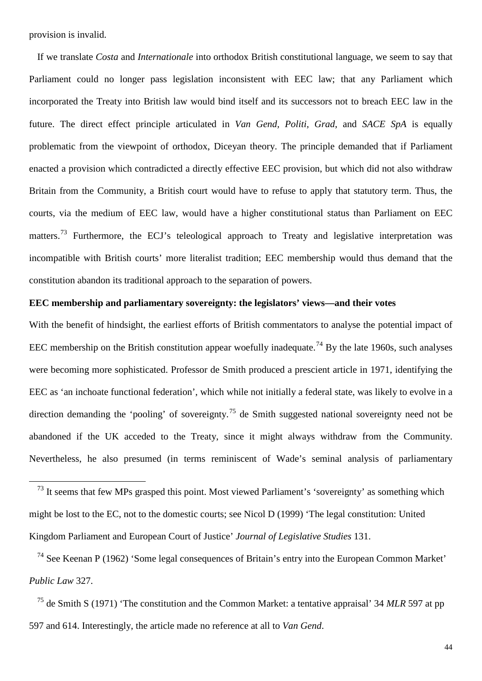provision is invalid.

-

If we translate *Costa* and *Internationale* into orthodox British constitutional language, we seem to say that Parliament could no longer pass legislation inconsistent with EEC law; that any Parliament which incorporated the Treaty into British law would bind itself and its successors not to breach EEC law in the future. The direct effect principle articulated in *Van Gend, Politi, Grad*, and *SACE SpA* is equally problematic from the viewpoint of orthodox, Diceyan theory. The principle demanded that if Parliament enacted a provision which contradicted a directly effective EEC provision, but which did not also withdraw Britain from the Community, a British court would have to refuse to apply that statutory term. Thus, the courts, via the medium of EEC law, would have a higher constitutional status than Parliament on EEC matters.<sup>[73](#page-43-0)</sup> Furthermore, the ECJ's teleological approach to Treaty and legislative interpretation was incompatible with British courts' more literalist tradition; EEC membership would thus demand that the constitution abandon its traditional approach to the separation of powers.

#### **EEC membership and parliamentary sovereignty: the legislators' views—and their votes**

With the benefit of hindsight, the earliest efforts of British commentators to analyse the potential impact of EEC membership on the British constitution appear woefully inadequate.<sup>[74](#page-43-1)</sup> By the late 1960s, such analyses were becoming more sophisticated. Professor de Smith produced a prescient article in 1971, identifying the EEC as 'an inchoate functional federation', which while not initially a federal state, was likely to evolve in a direction demanding the 'pooling' of sovereignty.<sup>[75](#page-43-2)</sup> de Smith suggested national sovereignty need not be abandoned if the UK acceded to the Treaty, since it might always withdraw from the Community. Nevertheless, he also presumed (in terms reminiscent of Wade's seminal analysis of parliamentary

<span id="page-43-0"></span><sup>73</sup> It seems that few MPs grasped this point. Most viewed Parliament's 'sovereignty' as something which might be lost to the EC, not to the domestic courts; see Nicol D (1999) 'The legal constitution: United Kingdom Parliament and European Court of Justice' *Journal of Legislative Studies* 131.

<span id="page-43-1"></span><sup>74</sup> See Keenan P (1962) 'Some legal consequences of Britain's entry into the European Common Market' *Public Law* 327.

<span id="page-43-2"></span><sup>75</sup> de Smith S (1971) 'The constitution and the Common Market: a tentative appraisal' 34 *MLR* 597 at pp 597 and 614. Interestingly, the article made no reference at all to *Van Gend*.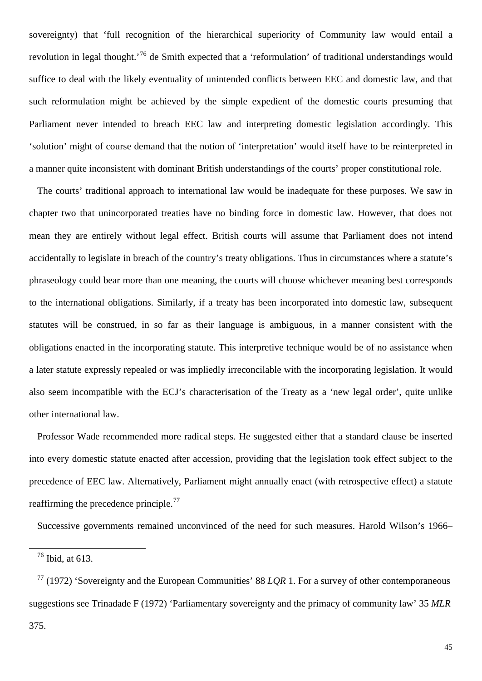sovereignty) that 'full recognition of the hierarchical superiority of Community law would entail a revolution in legal thought.'[76](#page-44-0) de Smith expected that a 'reformulation' of traditional understandings would suffice to deal with the likely eventuality of unintended conflicts between EEC and domestic law, and that such reformulation might be achieved by the simple expedient of the domestic courts presuming that Parliament never intended to breach EEC law and interpreting domestic legislation accordingly. This 'solution' might of course demand that the notion of 'interpretation' would itself have to be reinterpreted in a manner quite inconsistent with dominant British understandings of the courts' proper constitutional role.

The courts' traditional approach to international law would be inadequate for these purposes. We saw in chapter two that unincorporated treaties have no binding force in domestic law. However, that does not mean they are entirely without legal effect. British courts will assume that Parliament does not intend accidentally to legislate in breach of the country's treaty obligations. Thus in circumstances where a statute's phraseology could bear more than one meaning, the courts will choose whichever meaning best corresponds to the international obligations. Similarly, if a treaty has been incorporated into domestic law, subsequent statutes will be construed, in so far as their language is ambiguous, in a manner consistent with the obligations enacted in the incorporating statute. This interpretive technique would be of no assistance when a later statute expressly repealed or was impliedly irreconcilable with the incorporating legislation. It would also seem incompatible with the ECJ's characterisation of the Treaty as a 'new legal order', quite unlike other international law.

Professor Wade recommended more radical steps. He suggested either that a standard clause be inserted into every domestic statute enacted after accession, providing that the legislation took effect subject to the precedence of EEC law. Alternatively, Parliament might annually enact (with retrospective effect) a statute reaffirming the precedence principle.[77](#page-44-1)

Successive governments remained unconvinced of the need for such measures. Harold Wilson's 1966–

<sup>76</sup> Ibid, at 613.

<span id="page-44-1"></span><span id="page-44-0"></span><sup>77</sup> (1972) 'Sovereignty and the European Communities' 88 *LQR* 1. For a survey of other contemporaneous suggestions see Trinadade F (1972) 'Parliamentary sovereignty and the primacy of community law' 35 *MLR*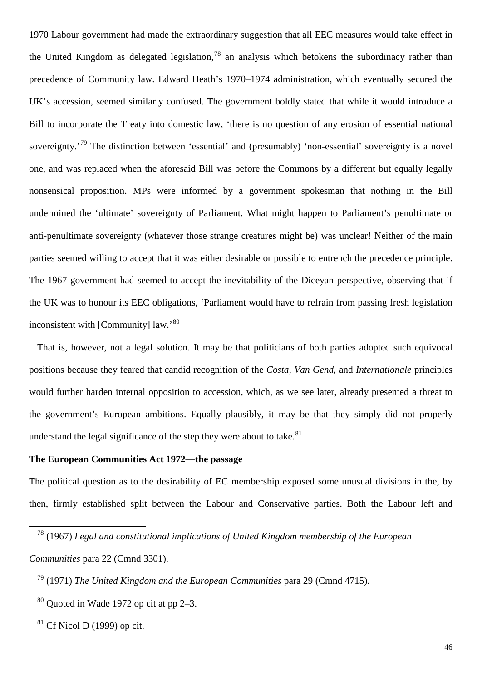1970 Labour government had made the extraordinary suggestion that all EEC measures would take effect in the United Kingdom as delegated legislation,<sup>[78](#page-45-0)</sup> an analysis which betokens the subordinacy rather than precedence of Community law. Edward Heath's 1970–1974 administration, which eventually secured the UK's accession, seemed similarly confused. The government boldly stated that while it would introduce a Bill to incorporate the Treaty into domestic law, 'there is no question of any erosion of essential national sovereignty.<sup>'[79](#page-45-1)</sup> The distinction between 'essential' and (presumably) 'non-essential' sovereignty is a novel one, and was replaced when the aforesaid Bill was before the Commons by a different but equally legally nonsensical proposition. MPs were informed by a government spokesman that nothing in the Bill undermined the 'ultimate' sovereignty of Parliament. What might happen to Parliament's penultimate or anti-penultimate sovereignty (whatever those strange creatures might be) was unclear! Neither of the main parties seemed willing to accept that it was either desirable or possible to entrench the precedence principle. The 1967 government had seemed to accept the inevitability of the Diceyan perspective, observing that if the UK was to honour its EEC obligations, 'Parliament would have to refrain from passing fresh legislation inconsistent with [Community] law.'[80](#page-45-2)

That is, however, not a legal solution. It may be that politicians of both parties adopted such equivocal positions because they feared that candid recognition of the *Costa, Van Gend*, and *Internationale* principles would further harden internal opposition to accession, which, as we see later, already presented a threat to the government's European ambitions. Equally plausibly, it may be that they simply did not properly understand the legal significance of the step they were about to take. $81$ 

#### **The European Communities Act 1972—the passage**

The political question as to the desirability of EC membership exposed some unusual divisions in the, by then, firmly established split between the Labour and Conservative parties. Both the Labour left and

<span id="page-45-1"></span>*Communities* para 22 (Cmnd 3301).

<span id="page-45-0"></span><u>.</u>

<sup>78</sup> (1967) *Legal and constitutional implications of United Kingdom membership of the European* 

<sup>79</sup> (1971) *The United Kingdom and the European Communities* para 29 (Cmnd 4715).

<span id="page-45-2"></span> $80$  Quoted in Wade 1972 op cit at pp 2–3.

<span id="page-45-3"></span> $81$  Cf Nicol D (1999) op cit.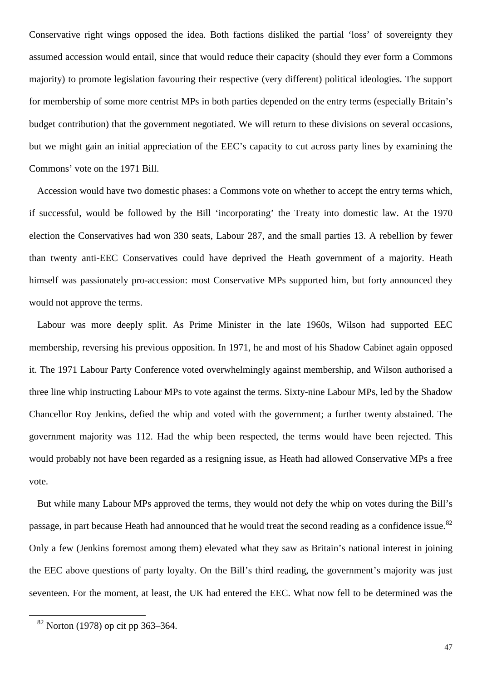Conservative right wings opposed the idea. Both factions disliked the partial 'loss' of sovereignty they assumed accession would entail, since that would reduce their capacity (should they ever form a Commons majority) to promote legislation favouring their respective (very different) political ideologies. The support for membership of some more centrist MPs in both parties depended on the entry terms (especially Britain's budget contribution) that the government negotiated. We will return to these divisions on several occasions, but we might gain an initial appreciation of the EEC's capacity to cut across party lines by examining the Commons' vote on the 1971 Bill.

Accession would have two domestic phases: a Commons vote on whether to accept the entry terms which, if successful, would be followed by the Bill 'incorporating' the Treaty into domestic law. At the 1970 election the Conservatives had won 330 seats, Labour 287, and the small parties 13. A rebellion by fewer than twenty anti-EEC Conservatives could have deprived the Heath government of a majority. Heath himself was passionately pro-accession: most Conservative MPs supported him, but forty announced they would not approve the terms.

Labour was more deeply split. As Prime Minister in the late 1960s, Wilson had supported EEC membership, reversing his previous opposition. In 1971, he and most of his Shadow Cabinet again opposed it. The 1971 Labour Party Conference voted overwhelmingly against membership, and Wilson authorised a three line whip instructing Labour MPs to vote against the terms. Sixty-nine Labour MPs, led by the Shadow Chancellor Roy Jenkins, defied the whip and voted with the government; a further twenty abstained. The government majority was 112. Had the whip been respected, the terms would have been rejected. This would probably not have been regarded as a resigning issue, as Heath had allowed Conservative MPs a free vote.

But while many Labour MPs approved the terms, they would not defy the whip on votes during the Bill's passage, in part because Heath had announced that he would treat the second reading as a confidence issue.<sup>[82](#page-46-0)</sup> Only a few (Jenkins foremost among them) elevated what they saw as Britain's national interest in joining the EEC above questions of party loyalty. On the Bill's third reading, the government's majority was just seventeen. For the moment, at least, the UK had entered the EEC. What now fell to be determined was the

<span id="page-46-0"></span><sup>82</sup> Norton (1978) op cit pp 363–364.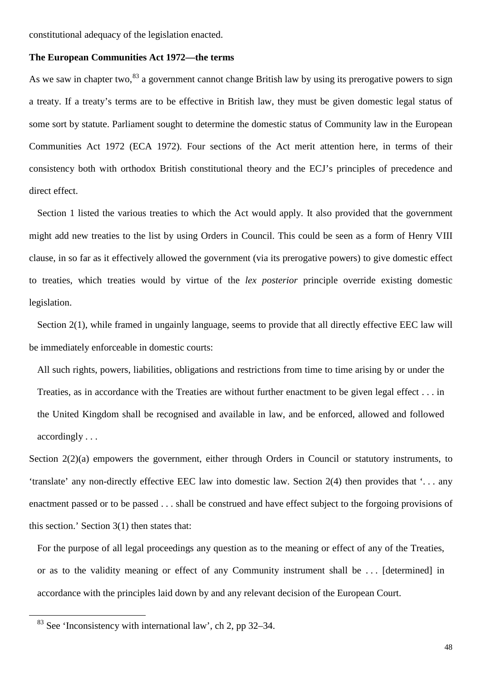constitutional adequacy of the legislation enacted.

### **The European Communities Act 1972—the terms**

As we saw in chapter two,  $83$  a government cannot change British law by using its prerogative powers to sign a treaty. If a treaty's terms are to be effective in British law, they must be given domestic legal status of some sort by statute. Parliament sought to determine the domestic status of Community law in the European Communities Act 1972 (ECA 1972). Four sections of the Act merit attention here, in terms of their consistency both with orthodox British constitutional theory and the ECJ's principles of precedence and direct effect.

Section 1 listed the various treaties to which the Act would apply. It also provided that the government might add new treaties to the list by using Orders in Council. This could be seen as a form of Henry VIII clause, in so far as it effectively allowed the government (via its prerogative powers) to give domestic effect to treaties, which treaties would by virtue of the *lex posterior* principle override existing domestic legislation.

Section 2(1), while framed in ungainly language, seems to provide that all directly effective EEC law will be immediately enforceable in domestic courts:

All such rights, powers, liabilities, obligations and restrictions from time to time arising by or under the Treaties, as in accordance with the Treaties are without further enactment to be given legal effect . . . in the United Kingdom shall be recognised and available in law, and be enforced, allowed and followed accordingly . . .

Section 2(2)(a) empowers the government, either through Orders in Council or statutory instruments, to 'translate' any non-directly effective EEC law into domestic law. Section 2(4) then provides that '. . . any enactment passed or to be passed . . . shall be construed and have effect subject to the forgoing provisions of this section.' Section 3(1) then states that:

For the purpose of all legal proceedings any question as to the meaning or effect of any of the Treaties, or as to the validity meaning or effect of any Community instrument shall be . . . [determined] in accordance with the principles laid down by and any relevant decision of the European Court.

<span id="page-47-0"></span><sup>83</sup> See 'Inconsistency with international law', ch 2, pp 32–34.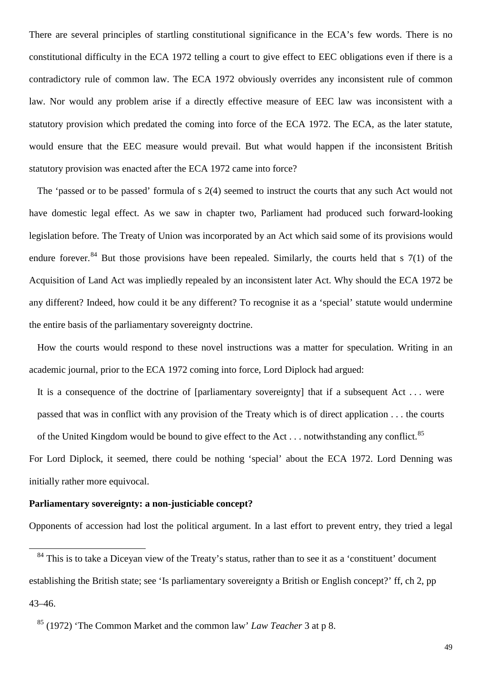There are several principles of startling constitutional significance in the ECA's few words. There is no constitutional difficulty in the ECA 1972 telling a court to give effect to EEC obligations even if there is a contradictory rule of common law. The ECA 1972 obviously overrides any inconsistent rule of common law. Nor would any problem arise if a directly effective measure of EEC law was inconsistent with a statutory provision which predated the coming into force of the ECA 1972. The ECA, as the later statute, would ensure that the EEC measure would prevail. But what would happen if the inconsistent British statutory provision was enacted after the ECA 1972 came into force?

The 'passed or to be passed' formula of s 2(4) seemed to instruct the courts that any such Act would not have domestic legal effect. As we saw in chapter two, Parliament had produced such forward-looking legislation before. The Treaty of Union was incorporated by an Act which said some of its provisions would endure forever.<sup>[84](#page-48-0)</sup> But those provisions have been repealed. Similarly, the courts held that s  $7(1)$  of the Acquisition of Land Act was impliedly repealed by an inconsistent later Act. Why should the ECA 1972 be any different? Indeed, how could it be any different? To recognise it as a 'special' statute would undermine the entire basis of the parliamentary sovereignty doctrine.

How the courts would respond to these novel instructions was a matter for speculation. Writing in an academic journal, prior to the ECA 1972 coming into force, Lord Diplock had argued:

It is a consequence of the doctrine of [parliamentary sovereignty] that if a subsequent Act . . . were passed that was in conflict with any provision of the Treaty which is of direct application . . . the courts of the United Kingdom would be bound to give effect to the Act  $\dots$  notwithstanding any conflict.<sup>[85](#page-48-1)</sup> For Lord Diplock, it seemed, there could be nothing 'special' about the ECA 1972. Lord Denning was initially rather more equivocal.

## **Parliamentary sovereignty: a non-justiciable concept?**

-

Opponents of accession had lost the political argument. In a last effort to prevent entry, they tried a legal

<span id="page-48-0"></span><sup>&</sup>lt;sup>84</sup> This is to take a Diceyan view of the Treaty's status, rather than to see it as a 'constituent' document establishing the British state; see 'Is parliamentary sovereignty a British or English concept?' ff, ch 2, pp 43–46.

<span id="page-48-1"></span><sup>85</sup> (1972) 'The Common Market and the common law' *Law Teacher* 3 at p 8.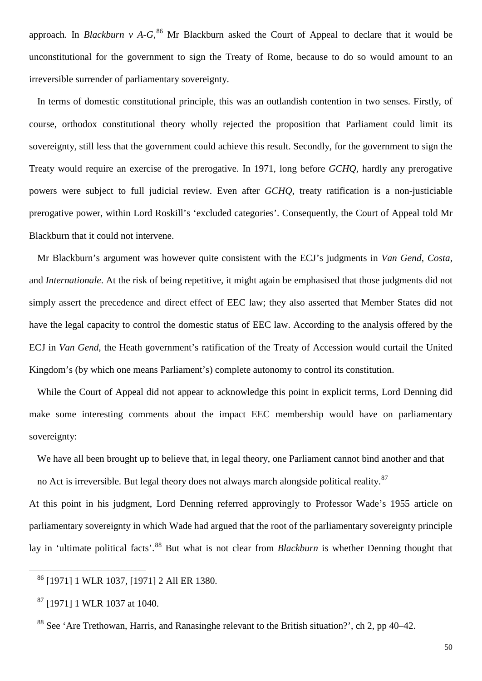approach. In *Blackburn v A-G*,<sup>[86](#page-49-0)</sup> Mr Blackburn asked the Court of Appeal to declare that it would be unconstitutional for the government to sign the Treaty of Rome, because to do so would amount to an irreversible surrender of parliamentary sovereignty.

In terms of domestic constitutional principle, this was an outlandish contention in two senses. Firstly, of course, orthodox constitutional theory wholly rejected the proposition that Parliament could limit its sovereignty, still less that the government could achieve this result. Secondly, for the government to sign the Treaty would require an exercise of the prerogative. In 1971, long before *GCHQ*, hardly any prerogative powers were subject to full judicial review. Even after *GCHQ*, treaty ratification is a non-justiciable prerogative power, within Lord Roskill's 'excluded categories'. Consequently, the Court of Appeal told Mr Blackburn that it could not intervene.

Mr Blackburn's argument was however quite consistent with the ECJ's judgments in *Van Gend, Costa*, and *Internationale*. At the risk of being repetitive, it might again be emphasised that those judgments did not simply assert the precedence and direct effect of EEC law; they also asserted that Member States did not have the legal capacity to control the domestic status of EEC law. According to the analysis offered by the ECJ in *Van Gend*, the Heath government's ratification of the Treaty of Accession would curtail the United Kingdom's (by which one means Parliament's) complete autonomy to control its constitution.

While the Court of Appeal did not appear to acknowledge this point in explicit terms, Lord Denning did make some interesting comments about the impact EEC membership would have on parliamentary sovereignty:

We have all been brought up to believe that, in legal theory, one Parliament cannot bind another and that

no Act is irreversible. But legal theory does not always march alongside political reality.<sup>[87](#page-49-1)</sup>

At this point in his judgment, Lord Denning referred approvingly to Professor Wade's 1955 article on parliamentary sovereignty in which Wade had argued that the root of the parliamentary sovereignty principle lay in 'ultimate political facts'.<sup>[88](#page-49-2)</sup> But what is not clear from *Blackburn* is whether Denning thought that

<span id="page-49-0"></span><sup>86</sup> [1971] 1 WLR 1037, [1971] 2 All ER 1380.

<span id="page-49-1"></span><sup>87</sup> [1971] 1 WLR 1037 at 1040.

<span id="page-49-2"></span><sup>88</sup> See 'Are Trethowan, Harris, and Ranasinghe relevant to the British situation?', ch 2, pp 40–42.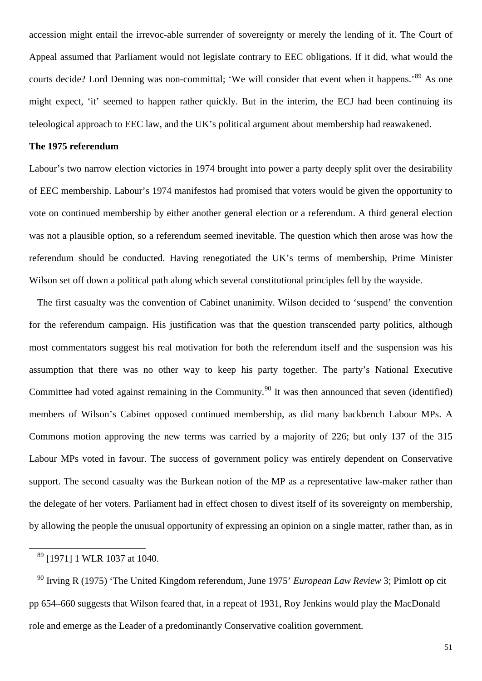accession might entail the irrevoc-able surrender of sovereignty or merely the lending of it. The Court of Appeal assumed that Parliament would not legislate contrary to EEC obligations. If it did, what would the courts decide? Lord Denning was non-committal; 'We will consider that event when it happens.'<sup>[89](#page-50-0)</sup> As one might expect, 'it' seemed to happen rather quickly. But in the interim, the ECJ had been continuing its teleological approach to EEC law, and the UK's political argument about membership had reawakened.

### **The 1975 referendum**

Labour's two narrow election victories in 1974 brought into power a party deeply split over the desirability of EEC membership. Labour's 1974 manifestos had promised that voters would be given the opportunity to vote on continued membership by either another general election or a referendum. A third general election was not a plausible option, so a referendum seemed inevitable. The question which then arose was how the referendum should be conducted. Having renegotiated the UK's terms of membership, Prime Minister Wilson set off down a political path along which several constitutional principles fell by the wayside.

The first casualty was the convention of Cabinet unanimity. Wilson decided to 'suspend' the convention for the referendum campaign. His justification was that the question transcended party politics, although most commentators suggest his real motivation for both the referendum itself and the suspension was his assumption that there was no other way to keep his party together. The party's National Executive Committee had voted against remaining in the Community.<sup>[90](#page-50-1)</sup> It was then announced that seven (identified) members of Wilson's Cabinet opposed continued membership, as did many backbench Labour MPs. A Commons motion approving the new terms was carried by a majority of 226; but only 137 of the 315 Labour MPs voted in favour. The success of government policy was entirely dependent on Conservative support. The second casualty was the Burkean notion of the MP as a representative law-maker rather than the delegate of her voters. Parliament had in effect chosen to divest itself of its sovereignty on membership, by allowing the people the unusual opportunity of expressing an opinion on a single matter, rather than, as in

<sup>89</sup> [1971] 1 WLR 1037 at 1040.

<span id="page-50-1"></span><span id="page-50-0"></span><sup>90</sup> Irving R (1975) 'The United Kingdom referendum, June 1975' *European Law Review* 3; Pimlott op cit pp 654–660 suggests that Wilson feared that, in a repeat of 1931, Roy Jenkins would play the MacDonald role and emerge as the Leader of a predominantly Conservative coalition government.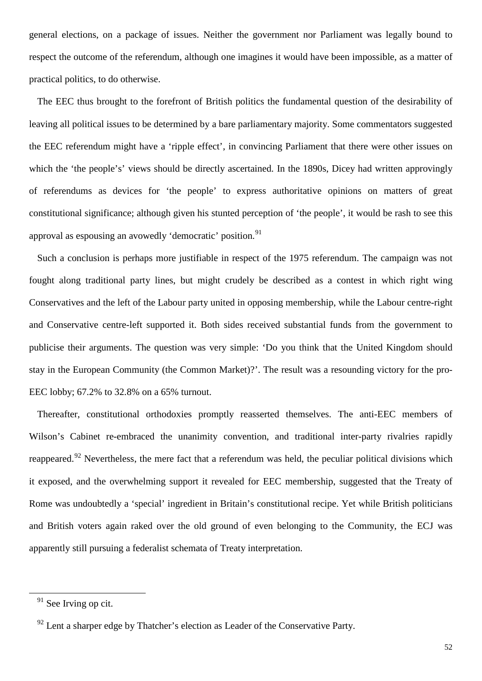general elections, on a package of issues. Neither the government nor Parliament was legally bound to respect the outcome of the referendum, although one imagines it would have been impossible, as a matter of practical politics, to do otherwise.

The EEC thus brought to the forefront of British politics the fundamental question of the desirability of leaving all political issues to be determined by a bare parliamentary majority. Some commentators suggested the EEC referendum might have a 'ripple effect', in convincing Parliament that there were other issues on which the 'the people's' views should be directly ascertained. In the 1890s, Dicey had written approvingly of referendums as devices for 'the people' to express authoritative opinions on matters of great constitutional significance; although given his stunted perception of 'the people', it would be rash to see this approval as espousing an avowedly 'democratic' position.<sup>[91](#page-51-0)</sup>

Such a conclusion is perhaps more justifiable in respect of the 1975 referendum. The campaign was not fought along traditional party lines, but might crudely be described as a contest in which right wing Conservatives and the left of the Labour party united in opposing membership, while the Labour centre-right and Conservative centre-left supported it. Both sides received substantial funds from the government to publicise their arguments. The question was very simple: 'Do you think that the United Kingdom should stay in the European Community (the Common Market)?'. The result was a resounding victory for the pro-EEC lobby; 67.2% to 32.8% on a 65% turnout.

Thereafter, constitutional orthodoxies promptly reasserted themselves. The anti-EEC members of Wilson's Cabinet re-embraced the unanimity convention, and traditional inter-party rivalries rapidly reappeared.<sup>[92](#page-51-1)</sup> Nevertheless, the mere fact that a referendum was held, the peculiar political divisions which it exposed, and the overwhelming support it revealed for EEC membership, suggested that the Treaty of Rome was undoubtedly a 'special' ingredient in Britain's constitutional recipe. Yet while British politicians and British voters again raked over the old ground of even belonging to the Community, the ECJ was apparently still pursuing a federalist schemata of Treaty interpretation.

<span id="page-51-0"></span> $91$  See Irving op cit.

<span id="page-51-1"></span> $92$  Lent a sharper edge by Thatcher's election as Leader of the Conservative Party.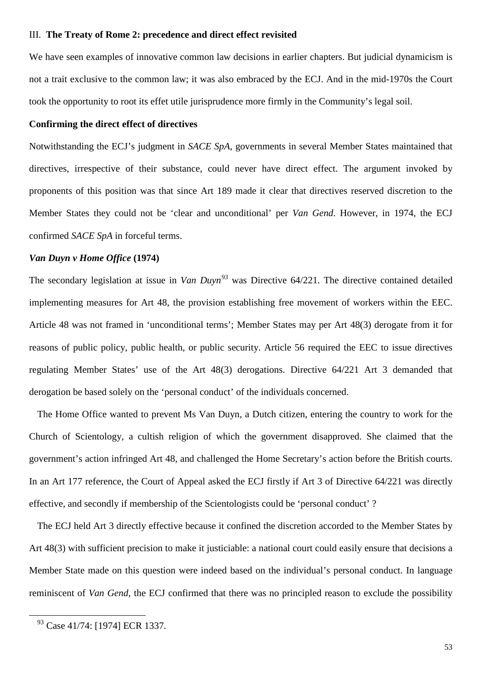#### III. **The Treaty of Rome 2: precedence and direct effect revisited**

We have seen examples of innovative common law decisions in earlier chapters. But judicial dynamicism is not a trait exclusive to the common law; it was also embraced by the ECJ. And in the mid-1970s the Court took the opportunity to root its effet utile jurisprudence more firmly in the Community's legal soil.

### **Confirming the direct effect of directives**

Notwithstanding the ECJ's judgment in *SACE SpA*, governments in several Member States maintained that directives, irrespective of their substance, could never have direct effect. The argument invoked by proponents of this position was that since Art 189 made it clear that directives reserved discretion to the Member States they could not be 'clear and unconditional' per *Van Gend*. However, in 1974, the ECJ confirmed *SACE SpA* in forceful terms.

#### *Van Duyn v Home Office* **(1974)**

The secondary legislation at issue in *Van Duyn[93](#page-52-0)* was Directive 64/221. The directive contained detailed implementing measures for Art 48, the provision establishing free movement of workers within the EEC. Article 48 was not framed in 'unconditional terms'; Member States may per Art 48(3) derogate from it for reasons of public policy, public health, or public security. Article 56 required the EEC to issue directives regulating Member States' use of the Art 48(3) derogations. Directive 64/221 Art 3 demanded that derogation be based solely on the 'personal conduct' of the individuals concerned.

The Home Office wanted to prevent Ms Van Duyn, a Dutch citizen, entering the country to work for the Church of Scientology, a cultish religion of which the government disapproved. She claimed that the government's action infringed Art 48, and challenged the Home Secretary's action before the British courts. In an Art 177 reference, the Court of Appeal asked the ECJ firstly if Art 3 of Directive 64/221 was directly effective, and secondly if membership of the Scientologists could be 'personal conduct' ?

The ECJ held Art 3 directly effective because it confined the discretion accorded to the Member States by Art 48(3) with sufficient precision to make it justiciable: a national court could easily ensure that decisions a Member State made on this question were indeed based on the individual's personal conduct. In language reminiscent of *Van Gend*, the ECJ confirmed that there was no principled reason to exclude the possibility

<span id="page-52-0"></span><sup>93</sup> Case 41/74: [1974] ECR 1337.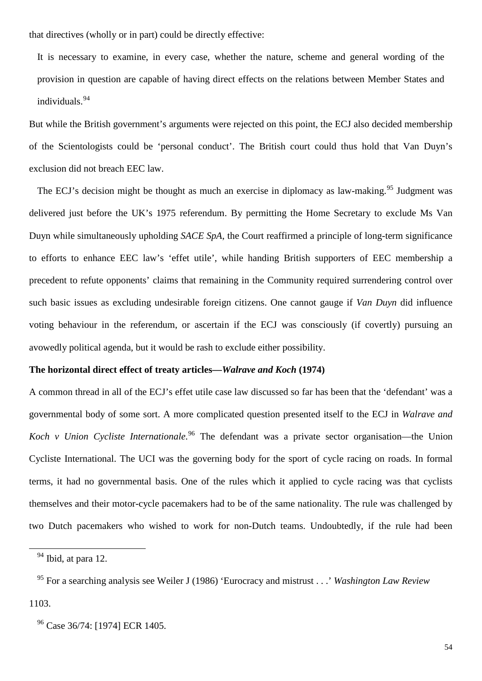that directives (wholly or in part) could be directly effective:

It is necessary to examine, in every case, whether the nature, scheme and general wording of the provision in question are capable of having direct effects on the relations between Member States and individuals.<sup>[94](#page-53-0)</sup>

But while the British government's arguments were rejected on this point, the ECJ also decided membership of the Scientologists could be 'personal conduct'. The British court could thus hold that Van Duyn's exclusion did not breach EEC law.

The ECJ's decision might be thought as much an exercise in diplomacy as law-making.<sup>[95](#page-53-1)</sup> Judgment was delivered just before the UK's 1975 referendum. By permitting the Home Secretary to exclude Ms Van Duyn while simultaneously upholding *SACE SpA*, the Court reaffirmed a principle of long-term significance to efforts to enhance EEC law's 'effet utile', while handing British supporters of EEC membership a precedent to refute opponents' claims that remaining in the Community required surrendering control over such basic issues as excluding undesirable foreign citizens. One cannot gauge if *Van Duyn* did influence voting behaviour in the referendum, or ascertain if the ECJ was consciously (if covertly) pursuing an avowedly political agenda, but it would be rash to exclude either possibility.

### **The horizontal direct effect of treaty articles—***Walrave and Koch* **(1974)**

A common thread in all of the ECJ's effet utile case law discussed so far has been that the 'defendant' was a governmental body of some sort. A more complicated question presented itself to the ECJ in *Walrave and*  Koch v Union Cycliste Internationale.<sup>[96](#page-53-2)</sup> The defendant was a private sector organisation—the Union Cycliste International. The UCI was the governing body for the sport of cycle racing on roads. In formal terms, it had no governmental basis. One of the rules which it applied to cycle racing was that cyclists themselves and their motor-cycle pacemakers had to be of the same nationality. The rule was challenged by two Dutch pacemakers who wished to work for non-Dutch teams. Undoubtedly, if the rule had been

 $94$  Ibid, at para 12.

<span id="page-53-1"></span><span id="page-53-0"></span><sup>95</sup> For a searching analysis see Weiler J (1986) 'Eurocracy and mistrust . . .' *Washington Law Review* 1103.

<span id="page-53-2"></span><sup>96</sup> Case 36/74: [1974] ECR 1405.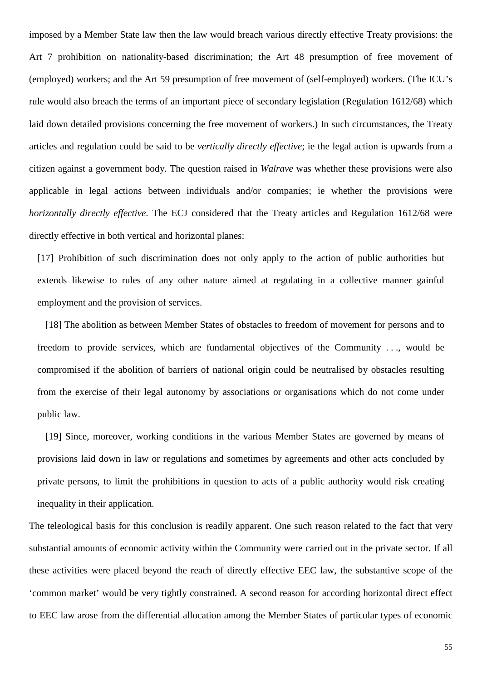imposed by a Member State law then the law would breach various directly effective Treaty provisions: the Art 7 prohibition on nationality-based discrimination; the Art 48 presumption of free movement of (employed) workers; and the Art 59 presumption of free movement of (self-employed) workers. (The ICU's rule would also breach the terms of an important piece of secondary legislation (Regulation 1612/68) which laid down detailed provisions concerning the free movement of workers.) In such circumstances, the Treaty articles and regulation could be said to be *vertically directly effective*; ie the legal action is upwards from a citizen against a government body. The question raised in *Walrave* was whether these provisions were also applicable in legal actions between individuals and/or companies; ie whether the provisions were *horizontally directly effective*. The ECJ considered that the Treaty articles and Regulation 1612/68 were directly effective in both vertical and horizontal planes:

[17] Prohibition of such discrimination does not only apply to the action of public authorities but extends likewise to rules of any other nature aimed at regulating in a collective manner gainful employment and the provision of services.

[18] The abolition as between Member States of obstacles to freedom of movement for persons and to freedom to provide services, which are fundamental objectives of the Community . . ., would be compromised if the abolition of barriers of national origin could be neutralised by obstacles resulting from the exercise of their legal autonomy by associations or organisations which do not come under public law.

[19] Since, moreover, working conditions in the various Member States are governed by means of provisions laid down in law or regulations and sometimes by agreements and other acts concluded by private persons, to limit the prohibitions in question to acts of a public authority would risk creating inequality in their application.

The teleological basis for this conclusion is readily apparent. One such reason related to the fact that very substantial amounts of economic activity within the Community were carried out in the private sector. If all these activities were placed beyond the reach of directly effective EEC law, the substantive scope of the 'common market' would be very tightly constrained. A second reason for according horizontal direct effect to EEC law arose from the differential allocation among the Member States of particular types of economic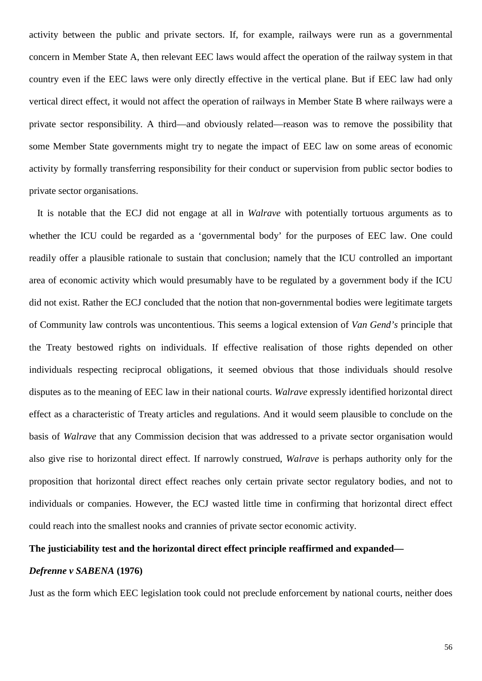activity between the public and private sectors. If, for example, railways were run as a governmental concern in Member State A, then relevant EEC laws would affect the operation of the railway system in that country even if the EEC laws were only directly effective in the vertical plane. But if EEC law had only vertical direct effect, it would not affect the operation of railways in Member State B where railways were a private sector responsibility. A third—and obviously related—reason was to remove the possibility that some Member State governments might try to negate the impact of EEC law on some areas of economic activity by formally transferring responsibility for their conduct or supervision from public sector bodies to private sector organisations.

It is notable that the ECJ did not engage at all in *Walrave* with potentially tortuous arguments as to whether the ICU could be regarded as a 'governmental body' for the purposes of EEC law. One could readily offer a plausible rationale to sustain that conclusion; namely that the ICU controlled an important area of economic activity which would presumably have to be regulated by a government body if the ICU did not exist. Rather the ECJ concluded that the notion that non-governmental bodies were legitimate targets of Community law controls was uncontentious. This seems a logical extension of *Van Gend's* principle that the Treaty bestowed rights on individuals. If effective realisation of those rights depended on other individuals respecting reciprocal obligations, it seemed obvious that those individuals should resolve disputes as to the meaning of EEC law in their national courts. *Walrave* expressly identified horizontal direct effect as a characteristic of Treaty articles and regulations. And it would seem plausible to conclude on the basis of *Walrave* that any Commission decision that was addressed to a private sector organisation would also give rise to horizontal direct effect. If narrowly construed, *Walrave* is perhaps authority only for the proposition that horizontal direct effect reaches only certain private sector regulatory bodies, and not to individuals or companies. However, the ECJ wasted little time in confirming that horizontal direct effect could reach into the smallest nooks and crannies of private sector economic activity.

### **The justiciability test and the horizontal direct effect principle reaffirmed and expanded—**

# *Defrenne v SABENA* **(1976)**

Just as the form which EEC legislation took could not preclude enforcement by national courts, neither does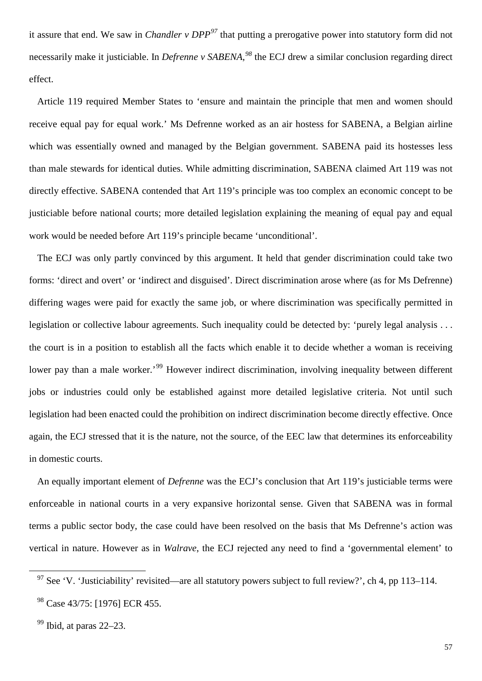it assure that end. We saw in *Chandler v DPP[97](#page-56-0)* that putting a prerogative power into statutory form did not necessarily make it justiciable. In *Defrenne v SABENA,[98](#page-56-1)* the ECJ drew a similar conclusion regarding direct effect.

Article 119 required Member States to 'ensure and maintain the principle that men and women should receive equal pay for equal work.' Ms Defrenne worked as an air hostess for SABENA, a Belgian airline which was essentially owned and managed by the Belgian government. SABENA paid its hostesses less than male stewards for identical duties. While admitting discrimination, SABENA claimed Art 119 was not directly effective. SABENA contended that Art 119's principle was too complex an economic concept to be justiciable before national courts; more detailed legislation explaining the meaning of equal pay and equal work would be needed before Art 119's principle became 'unconditional'.

The ECJ was only partly convinced by this argument. It held that gender discrimination could take two forms: 'direct and overt' or 'indirect and disguised'. Direct discrimination arose where (as for Ms Defrenne) differing wages were paid for exactly the same job, or where discrimination was specifically permitted in legislation or collective labour agreements. Such inequality could be detected by: 'purely legal analysis . . . the court is in a position to establish all the facts which enable it to decide whether a woman is receiving lower pay than a male worker.<sup>[99](#page-56-2)</sup> However indirect discrimination, involving inequality between different jobs or industries could only be established against more detailed legislative criteria. Not until such legislation had been enacted could the prohibition on indirect discrimination become directly effective. Once again, the ECJ stressed that it is the nature, not the source, of the EEC law that determines its enforceability in domestic courts.

An equally important element of *Defrenne* was the ECJ's conclusion that Art 119's justiciable terms were enforceable in national courts in a very expansive horizontal sense. Given that SABENA was in formal terms a public sector body, the case could have been resolved on the basis that Ms Defrenne's action was vertical in nature. However as in *Walrave*, the ECJ rejected any need to find a 'governmental element' to

<span id="page-56-0"></span> $97$  See 'V. 'Justiciability' revisited—are all statutory powers subject to full review?', ch 4, pp 113–114.

<span id="page-56-1"></span><sup>&</sup>lt;sup>98</sup> Case 43/75: [1976] ECR 455.

<span id="page-56-2"></span> $99$  Ibid, at paras 22–23.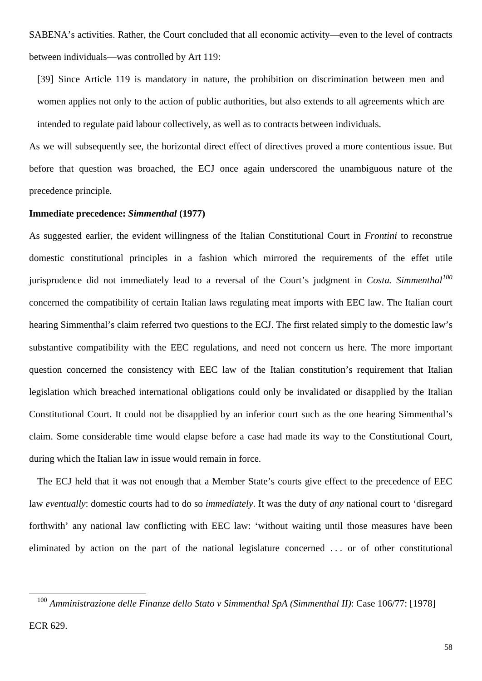SABENA's activities. Rather, the Court concluded that all economic activity—even to the level of contracts between individuals—was controlled by Art 119:

[39] Since Article 119 is mandatory in nature, the prohibition on discrimination between men and women applies not only to the action of public authorities, but also extends to all agreements which are intended to regulate paid labour collectively, as well as to contracts between individuals.

As we will subsequently see, the horizontal direct effect of directives proved a more contentious issue. But before that question was broached, the ECJ once again underscored the unambiguous nature of the precedence principle.

### **Immediate precedence:** *Simmenthal* **(1977)**

-

As suggested earlier, the evident willingness of the Italian Constitutional Court in *Frontini* to reconstrue domestic constitutional principles in a fashion which mirrored the requirements of the effet utile jurisprudence did not immediately lead to a reversal of the Court's judgment in *Costa. Simmenthal[100](#page-57-0)* concerned the compatibility of certain Italian laws regulating meat imports with EEC law. The Italian court hearing Simmenthal's claim referred two questions to the ECJ. The first related simply to the domestic law's substantive compatibility with the EEC regulations, and need not concern us here. The more important question concerned the consistency with EEC law of the Italian constitution's requirement that Italian legislation which breached international obligations could only be invalidated or disapplied by the Italian Constitutional Court. It could not be disapplied by an inferior court such as the one hearing Simmenthal's claim. Some considerable time would elapse before a case had made its way to the Constitutional Court, during which the Italian law in issue would remain in force.

The ECJ held that it was not enough that a Member State's courts give effect to the precedence of EEC law *eventually*: domestic courts had to do so *immediately*. It was the duty of *any* national court to 'disregard forthwith' any national law conflicting with EEC law: 'without waiting until those measures have been eliminated by action on the part of the national legislature concerned . . . or of other constitutional

<span id="page-57-0"></span><sup>100</sup> *Amministrazione delle Finanze dello Stato v Simmenthal SpA (Simmenthal II)*: Case 106/77: [1978] ECR 629.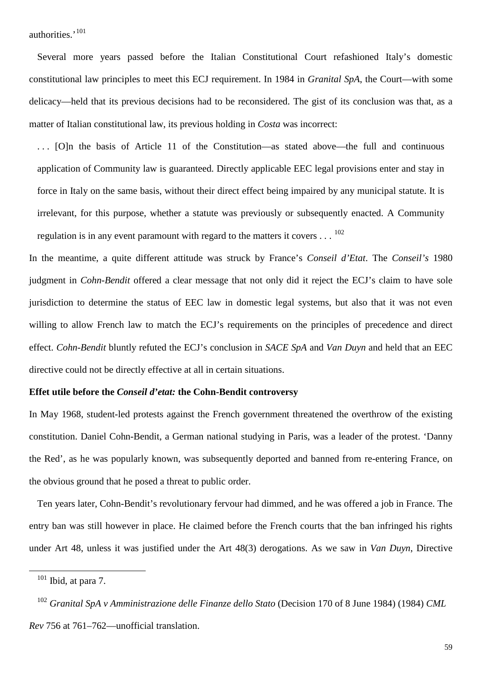authorities.'<sup>[101](#page-58-0)</sup>

Several more years passed before the Italian Constitutional Court refashioned Italy's domestic constitutional law principles to meet this ECJ requirement. In 1984 in *Granital SpA*, the Court—with some delicacy—held that its previous decisions had to be reconsidered. The gist of its conclusion was that, as a matter of Italian constitutional law, its previous holding in *Costa* was incorrect:

... [O]n the basis of Article 11 of the Constitution—as stated above—the full and continuous application of Community law is guaranteed. Directly applicable EEC legal provisions enter and stay in force in Italy on the same basis, without their direct effect being impaired by any municipal statute. It is irrelevant, for this purpose, whether a statute was previously or subsequently enacted. A Community regulation is in any event paramount with regard to the matters it covers  $\ldots$  <sup>[102](#page-58-1)</sup>

In the meantime, a quite different attitude was struck by France's *Conseil d'Etat*. The *Conseil's* 1980 judgment in *Cohn-Bendit* offered a clear message that not only did it reject the ECJ's claim to have sole jurisdiction to determine the status of EEC law in domestic legal systems, but also that it was not even willing to allow French law to match the ECJ's requirements on the principles of precedence and direct effect. *Cohn-Bendit* bluntly refuted the ECJ's conclusion in *SACE SpA* and *Van Duyn* and held that an EEC directive could not be directly effective at all in certain situations.

## **Effet utile before the** *Conseil d'etat:* **the Cohn-Bendit controversy**

In May 1968, student-led protests against the French government threatened the overthrow of the existing constitution. Daniel Cohn-Bendit, a German national studying in Paris, was a leader of the protest. 'Danny the Red', as he was popularly known, was subsequently deported and banned from re-entering France, on the obvious ground that he posed a threat to public order.

Ten years later, Cohn-Bendit's revolutionary fervour had dimmed, and he was offered a job in France. The entry ban was still however in place. He claimed before the French courts that the ban infringed his rights under Art 48, unless it was justified under the Art 48(3) derogations. As we saw in *Van Duyn*, Directive

 $101$  Ibid, at para 7.

<span id="page-58-1"></span><span id="page-58-0"></span><sup>102</sup> *Granital SpA v Amministrazione delle Finanze dello Stato* (Decision 170 of 8 June 1984) (1984) *CML Rev* 756 at 761–762—unofficial translation.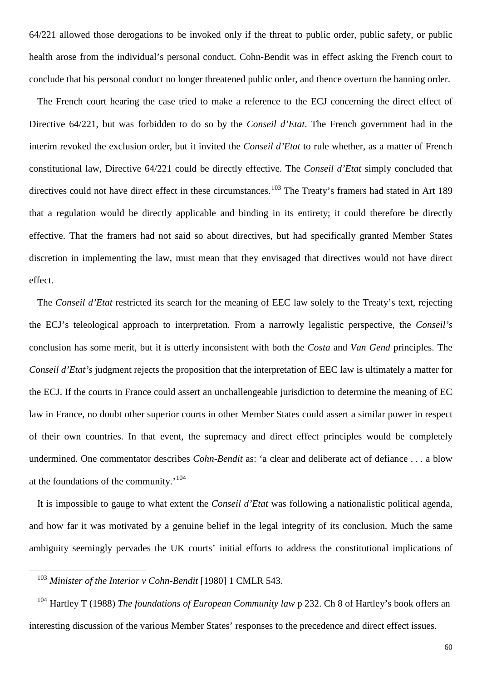64/221 allowed those derogations to be invoked only if the threat to public order, public safety, or public health arose from the individual's personal conduct. Cohn-Bendit was in effect asking the French court to conclude that his personal conduct no longer threatened public order, and thence overturn the banning order.

The French court hearing the case tried to make a reference to the ECJ concerning the direct effect of Directive 64/221, but was forbidden to do so by the *Conseil d'Etat*. The French government had in the interim revoked the exclusion order, but it invited the *Conseil d'Etat* to rule whether, as a matter of French constitutional law, Directive 64/221 could be directly effective. The *Conseil d'Etat* simply concluded that directives could not have direct effect in these circumstances.<sup>[103](#page-59-0)</sup> The Treaty's framers had stated in Art 189 that a regulation would be directly applicable and binding in its entirety; it could therefore be directly effective. That the framers had not said so about directives, but had specifically granted Member States discretion in implementing the law, must mean that they envisaged that directives would not have direct effect.

The *Conseil d'Etat* restricted its search for the meaning of EEC law solely to the Treaty's text, rejecting the ECJ's teleological approach to interpretation. From a narrowly legalistic perspective, the *Conseil's* conclusion has some merit, but it is utterly inconsistent with both the *Costa* and *Van Gend* principles. The *Conseil d'Etat's* judgment rejects the proposition that the interpretation of EEC law is ultimately a matter for the ECJ. If the courts in France could assert an unchallengeable jurisdiction to determine the meaning of EC law in France, no doubt other superior courts in other Member States could assert a similar power in respect of their own countries. In that event, the supremacy and direct effect principles would be completely undermined. One commentator describes *Cohn-Bendit* as: 'a clear and deliberate act of defiance . . . a blow at the foundations of the community.'[104](#page-59-1)

It is impossible to gauge to what extent the *Conseil d'Etat* was following a nationalistic political agenda, and how far it was motivated by a genuine belief in the legal integrity of its conclusion. Much the same ambiguity seemingly pervades the UK courts' initial efforts to address the constitutional implications of

<span id="page-59-0"></span>-

<span id="page-59-1"></span><sup>104</sup> Hartley T (1988) *The foundations of European Community law* p 232. Ch 8 of Hartley's book offers an interesting discussion of the various Member States' responses to the precedence and direct effect issues.

<sup>103</sup> *Minister of the Interior v Cohn-Bendit* [1980] 1 CMLR 543.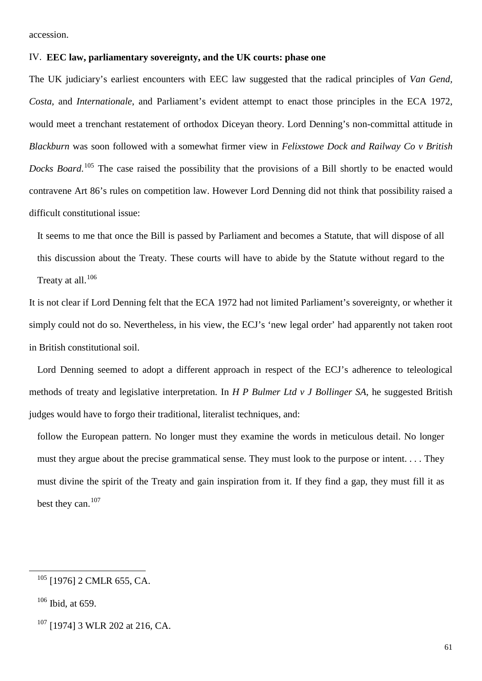accession.

#### IV. **EEC law, parliamentary sovereignty, and the UK courts: phase one**

The UK judiciary's earliest encounters with EEC law suggested that the radical principles of *Van Gend, Costa*, and *Internationale*, and Parliament's evident attempt to enact those principles in the ECA 1972, would meet a trenchant restatement of orthodox Diceyan theory. Lord Denning's non-committal attitude in *Blackburn* was soon followed with a somewhat firmer view in *Felixstowe Dock and Railway Co v British Docks Board*. [105](#page-60-0) The case raised the possibility that the provisions of a Bill shortly to be enacted would contravene Art 86's rules on competition law. However Lord Denning did not think that possibility raised a difficult constitutional issue:

It seems to me that once the Bill is passed by Parliament and becomes a Statute, that will dispose of all this discussion about the Treaty. These courts will have to abide by the Statute without regard to the Treaty at all. $106$ 

It is not clear if Lord Denning felt that the ECA 1972 had not limited Parliament's sovereignty, or whether it simply could not do so. Nevertheless, in his view, the ECJ's 'new legal order' had apparently not taken root in British constitutional soil.

Lord Denning seemed to adopt a different approach in respect of the ECJ's adherence to teleological methods of treaty and legislative interpretation. In *H P Bulmer Ltd v J Bollinger SA*, he suggested British judges would have to forgo their traditional, literalist techniques, and:

follow the European pattern. No longer must they examine the words in meticulous detail. No longer must they argue about the precise grammatical sense. They must look to the purpose or intent. . . . They must divine the spirit of the Treaty and gain inspiration from it. If they find a gap, they must fill it as best they can.  $107$ 

<span id="page-60-0"></span> $105$  [1976] 2 CMLR 655, CA.

<span id="page-60-1"></span> $106$  Ibid, at 659.

<span id="page-60-2"></span><sup>&</sup>lt;sup>107</sup> [1974] 3 WLR 202 at 216, CA.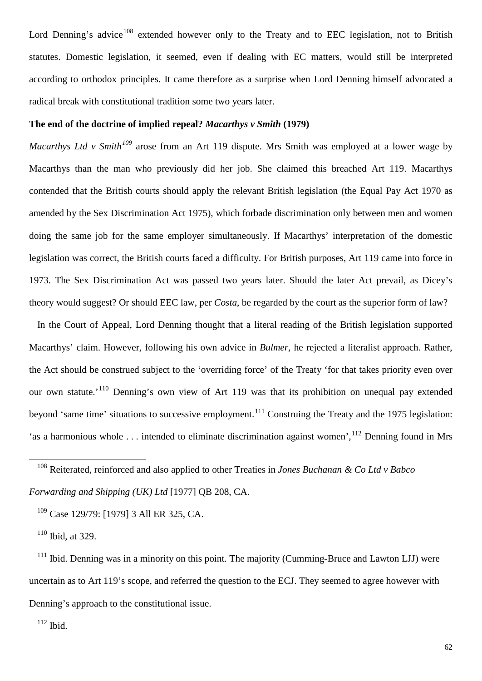Lord Denning's advice<sup>[108](#page-61-0)</sup> extended however only to the Treaty and to EEC legislation, not to British statutes. Domestic legislation, it seemed, even if dealing with EC matters, would still be interpreted according to orthodox principles. It came therefore as a surprise when Lord Denning himself advocated a radical break with constitutional tradition some two years later.

#### **The end of the doctrine of implied repeal?** *Macarthys v Smith* **(1979)**

*Macarthys Ltd v Smith[109](#page-61-1)* arose from an Art 119 dispute. Mrs Smith was employed at a lower wage by Macarthys than the man who previously did her job. She claimed this breached Art 119. Macarthys contended that the British courts should apply the relevant British legislation (the Equal Pay Act 1970 as amended by the Sex Discrimination Act 1975), which forbade discrimination only between men and women doing the same job for the same employer simultaneously. If Macarthys' interpretation of the domestic legislation was correct, the British courts faced a difficulty. For British purposes, Art 119 came into force in 1973. The Sex Discrimination Act was passed two years later. Should the later Act prevail, as Dicey's theory would suggest? Or should EEC law, per *Costa*, be regarded by the court as the superior form of law?

In the Court of Appeal, Lord Denning thought that a literal reading of the British legislation supported Macarthys' claim. However, following his own advice in *Bulmer*, he rejected a literalist approach. Rather, the Act should be construed subject to the 'overriding force' of the Treaty 'for that takes priority even over our own statute.<sup>'[110](#page-61-2)</sup> Denning's own view of Art 119 was that its prohibition on unequal pay extended beyond 'same time' situations to successive employment.<sup>[111](#page-61-3)</sup> Construing the Treaty and the 1975 legislation: 'as a harmonious whole  $\dots$  intended to eliminate discrimination against women',  $^{112}$  $^{112}$  $^{112}$  Denning found in Mrs

<span id="page-61-0"></span><sup>108</sup> Reiterated, reinforced and also applied to other Treaties in *Jones Buchanan & Co Ltd v Babco Forwarding and Shipping (UK) Ltd* [1977] QB 208, CA.

<span id="page-61-1"></span><sup>109</sup> Case 129/79: [1979] 3 All ER 325, CA.

 $110$  Ibid, at 329.

<span id="page-61-3"></span><span id="page-61-2"></span><sup>&</sup>lt;sup>111</sup> Ibid. Denning was in a minority on this point. The majority (Cumming-Bruce and Lawton LJJ) were uncertain as to Art 119's scope, and referred the question to the ECJ. They seemed to agree however with Denning's approach to the constitutional issue.

<span id="page-61-4"></span> $112$  Ibid.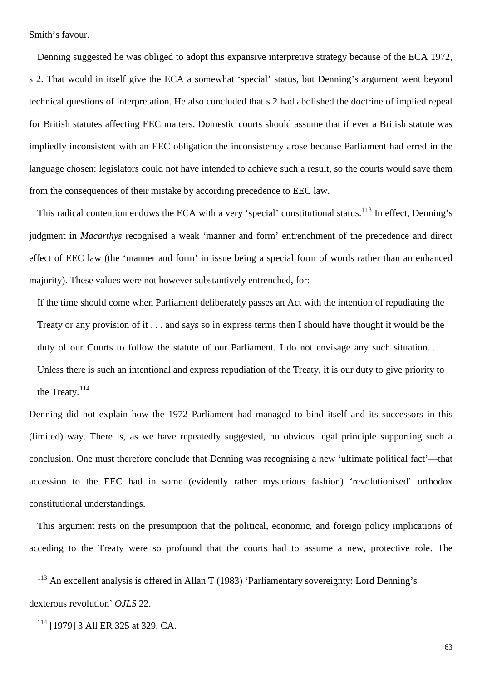Smith's favour.

Denning suggested he was obliged to adopt this expansive interpretive strategy because of the ECA 1972, s 2. That would in itself give the ECA a somewhat 'special' status, but Denning's argument went beyond technical questions of interpretation. He also concluded that s 2 had abolished the doctrine of implied repeal for British statutes affecting EEC matters. Domestic courts should assume that if ever a British statute was impliedly inconsistent with an EEC obligation the inconsistency arose because Parliament had erred in the language chosen: legislators could not have intended to achieve such a result, so the courts would save them from the consequences of their mistake by according precedence to EEC law.

This radical contention endows the ECA with a very 'special' constitutional status.<sup>[113](#page-62-0)</sup> In effect, Denning's judgment in *Macarthys* recognised a weak 'manner and form' entrenchment of the precedence and direct effect of EEC law (the 'manner and form' in issue being a special form of words rather than an enhanced majority). These values were not however substantively entrenched, for:

If the time should come when Parliament deliberately passes an Act with the intention of repudiating the Treaty or any provision of it . . . and says so in express terms then I should have thought it would be the duty of our Courts to follow the statute of our Parliament. I do not envisage any such situation.... Unless there is such an intentional and express repudiation of the Treaty, it is our duty to give priority to the Treaty.<sup>[114](#page-62-1)</sup>

Denning did not explain how the 1972 Parliament had managed to bind itself and its successors in this (limited) way. There is, as we have repeatedly suggested, no obvious legal principle supporting such a conclusion. One must therefore conclude that Denning was recognising a new 'ultimate political fact'—that accession to the EEC had in some (evidently rather mysterious fashion) 'revolutionised' orthodox constitutional understandings.

This argument rests on the presumption that the political, economic, and foreign policy implications of acceding to the Treaty were so profound that the courts had to assume a new, protective role. The

<span id="page-62-0"></span><sup>&</sup>lt;sup>113</sup> An excellent analysis is offered in Allan T (1983) 'Parliamentary sovereignty: Lord Denning's dexterous revolution' *OJLS* 22.

<span id="page-62-1"></span><sup>114</sup> [1979] 3 All ER 325 at 329, CA.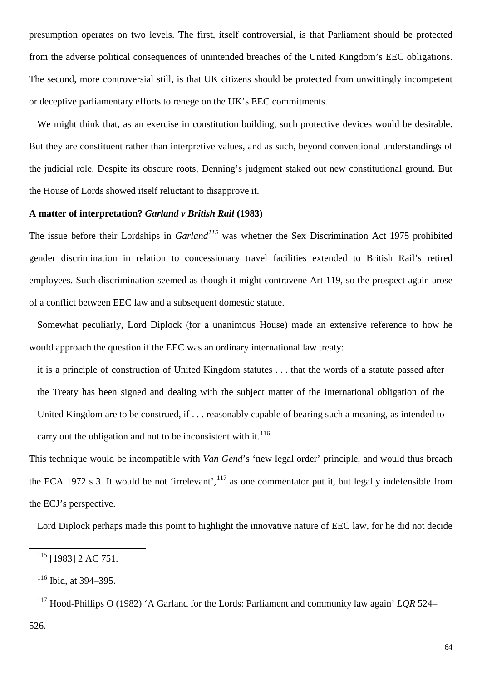presumption operates on two levels. The first, itself controversial, is that Parliament should be protected from the adverse political consequences of unintended breaches of the United Kingdom's EEC obligations. The second, more controversial still, is that UK citizens should be protected from unwittingly incompetent or deceptive parliamentary efforts to renege on the UK's EEC commitments.

We might think that, as an exercise in constitution building, such protective devices would be desirable. But they are constituent rather than interpretive values, and as such, beyond conventional understandings of the judicial role. Despite its obscure roots, Denning's judgment staked out new constitutional ground. But the House of Lords showed itself reluctant to disapprove it.

#### **A matter of interpretation?** *Garland v British Rail* **(1983)**

The issue before their Lordships in *Garland[115](#page-63-0)* was whether the Sex Discrimination Act 1975 prohibited gender discrimination in relation to concessionary travel facilities extended to British Rail's retired employees. Such discrimination seemed as though it might contravene Art 119, so the prospect again arose of a conflict between EEC law and a subsequent domestic statute.

Somewhat peculiarly, Lord Diplock (for a unanimous House) made an extensive reference to how he would approach the question if the EEC was an ordinary international law treaty:

it is a principle of construction of United Kingdom statutes . . . that the words of a statute passed after the Treaty has been signed and dealing with the subject matter of the international obligation of the United Kingdom are to be construed, if . . . reasonably capable of bearing such a meaning, as intended to carry out the obligation and not to be inconsistent with it. $116$ 

This technique would be incompatible with *Van Gend*'s 'new legal order' principle, and would thus breach the ECA 1972 s 3. It would be not 'irrelevant',  $117$  as one commentator put it, but legally indefensible from the ECJ's perspective.

Lord Diplock perhaps made this point to highlight the innovative nature of EEC law, for he did not decide

<span id="page-63-0"></span><sup>115</sup> [1983] 2 AC 751.

<span id="page-63-1"></span><sup>116</sup> Ibid, at 394–395.

<span id="page-63-2"></span><sup>117</sup> Hood-Phillips O (1982) 'A Garland for the Lords: Parliament and community law again' *LQR* 524–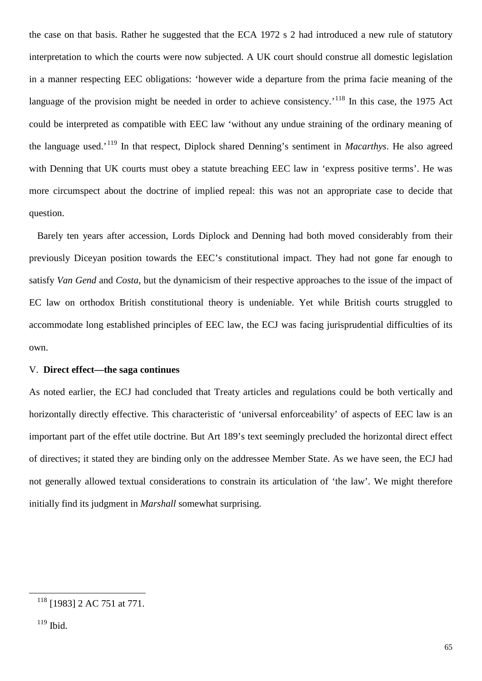the case on that basis. Rather he suggested that the ECA 1972 s 2 had introduced a new rule of statutory interpretation to which the courts were now subjected. A UK court should construe all domestic legislation in a manner respecting EEC obligations: 'however wide a departure from the prima facie meaning of the language of the provision might be needed in order to achieve consistency.<sup> $118$ </sup> In this case, the 1975 Act could be interpreted as compatible with EEC law 'without any undue straining of the ordinary meaning of the language used.'[119](#page-64-1) In that respect, Diplock shared Denning's sentiment in *Macarthys*. He also agreed with Denning that UK courts must obey a statute breaching EEC law in 'express positive terms'. He was more circumspect about the doctrine of implied repeal: this was not an appropriate case to decide that question.

Barely ten years after accession, Lords Diplock and Denning had both moved considerably from their previously Diceyan position towards the EEC's constitutional impact. They had not gone far enough to satisfy *Van Gend* and *Costa*, but the dynamicism of their respective approaches to the issue of the impact of EC law on orthodox British constitutional theory is undeniable. Yet while British courts struggled to accommodate long established principles of EEC law, the ECJ was facing jurisprudential difficulties of its own.

### V. **Direct effect—the saga continues**

As noted earlier, the ECJ had concluded that Treaty articles and regulations could be both vertically and horizontally directly effective. This characteristic of 'universal enforceability' of aspects of EEC law is an important part of the effet utile doctrine. But Art 189's text seemingly precluded the horizontal direct effect of directives; it stated they are binding only on the addressee Member State. As we have seen, the ECJ had not generally allowed textual considerations to constrain its articulation of 'the law'. We might therefore initially find its judgment in *Marshall* somewhat surprising.

<span id="page-64-0"></span> $118$  [1983] 2 AC 751 at 771.

<span id="page-64-1"></span> $119$  Ibid.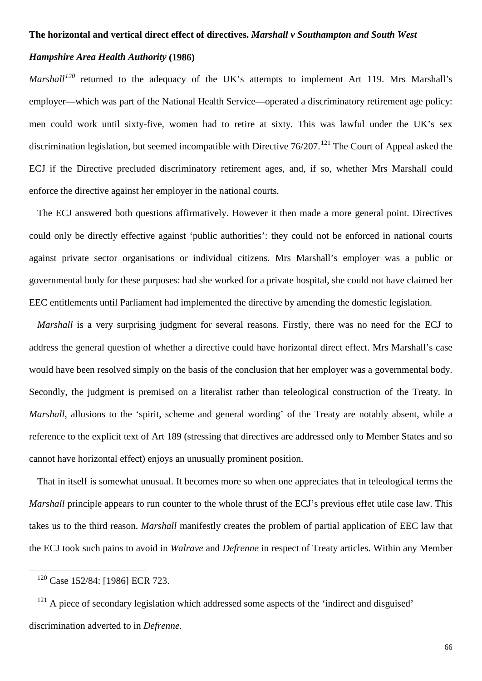#### **The horizontal and vertical direct effect of directives.** *Marshall v Southampton and South West*

#### *Hampshire Area Health Authority* **(1986)**

*Marshall*<sup>[120](#page-65-0)</sup> returned to the adequacy of the UK's attempts to implement Art 119. Mrs Marshall's employer—which was part of the National Health Service—operated a discriminatory retirement age policy: men could work until sixty-five, women had to retire at sixty. This was lawful under the UK's sex discrimination legislation, but seemed incompatible with Directive  $76/207$ .<sup>[121](#page-65-1)</sup> The Court of Appeal asked the ECJ if the Directive precluded discriminatory retirement ages, and, if so, whether Mrs Marshall could enforce the directive against her employer in the national courts.

The ECJ answered both questions affirmatively. However it then made a more general point. Directives could only be directly effective against 'public authorities': they could not be enforced in national courts against private sector organisations or individual citizens. Mrs Marshall's employer was a public or governmental body for these purposes: had she worked for a private hospital, she could not have claimed her EEC entitlements until Parliament had implemented the directive by amending the domestic legislation.

*Marshall* is a very surprising judgment for several reasons. Firstly, there was no need for the ECJ to address the general question of whether a directive could have horizontal direct effect. Mrs Marshall's case would have been resolved simply on the basis of the conclusion that her employer was a governmental body. Secondly, the judgment is premised on a literalist rather than teleological construction of the Treaty. In *Marshall*, allusions to the 'spirit, scheme and general wording' of the Treaty are notably absent, while a reference to the explicit text of Art 189 (stressing that directives are addressed only to Member States and so cannot have horizontal effect) enjoys an unusually prominent position.

That in itself is somewhat unusual. It becomes more so when one appreciates that in teleological terms the *Marshall* principle appears to run counter to the whole thrust of the ECJ's previous effet utile case law. This takes us to the third reason. *Marshall* manifestly creates the problem of partial application of EEC law that the ECJ took such pains to avoid in *Walrave* and *Defrenne* in respect of Treaty articles. Within any Member

<sup>120</sup> Case 152/84: [1986] ECR 723.

<span id="page-65-1"></span><span id="page-65-0"></span> $121$  A piece of secondary legislation which addressed some aspects of the 'indirect and disguised' discrimination adverted to in *Defrenne*.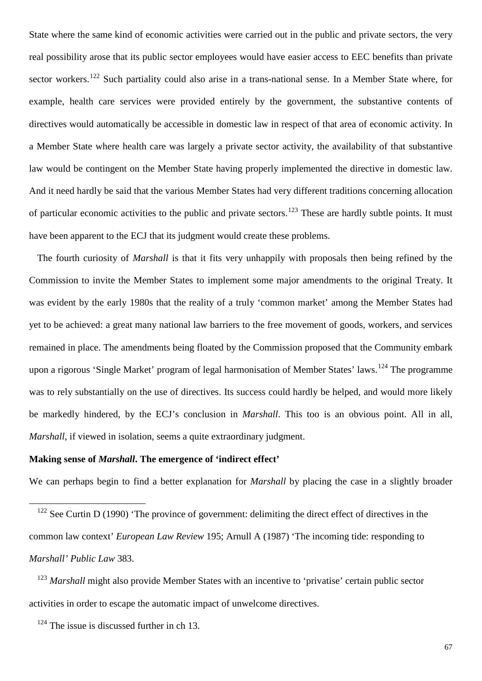State where the same kind of economic activities were carried out in the public and private sectors, the very real possibility arose that its public sector employees would have easier access to EEC benefits than private sector workers.<sup>[122](#page-66-0)</sup> Such partiality could also arise in a trans-national sense. In a Member State where, for example, health care services were provided entirely by the government, the substantive contents of directives would automatically be accessible in domestic law in respect of that area of economic activity. In a Member State where health care was largely a private sector activity, the availability of that substantive law would be contingent on the Member State having properly implemented the directive in domestic law. And it need hardly be said that the various Member States had very different traditions concerning allocation of particular economic activities to the public and private sectors.<sup>[123](#page-66-1)</sup> These are hardly subtle points. It must have been apparent to the ECJ that its judgment would create these problems.

The fourth curiosity of *Marshall* is that it fits very unhappily with proposals then being refined by the Commission to invite the Member States to implement some major amendments to the original Treaty. It was evident by the early 1980s that the reality of a truly 'common market' among the Member States had yet to be achieved: a great many national law barriers to the free movement of goods, workers, and services remained in place. The amendments being floated by the Commission proposed that the Community embark upon a rigorous 'Single Market' program of legal harmonisation of Member States' laws.<sup>[124](#page-66-2)</sup> The programme was to rely substantially on the use of directives. Its success could hardly be helped, and would more likely be markedly hindered, by the ECJ's conclusion in *Marshall*. This too is an obvious point. All in all, *Marshall*, if viewed in isolation, seems a quite extraordinary judgment.

### **Making sense of** *Marshall***. The emergence of 'indirect effect'**

We can perhaps begin to find a better explanation for *Marshall* by placing the case in a slightly broader

<span id="page-66-0"></span><sup>122</sup> See Curtin D (1990) 'The province of government: delimiting the direct effect of directives in the common law context' *European Law Review* 195; Arnull A (1987) 'The incoming tide: responding to *Marshall' Public Law* 383.

<span id="page-66-1"></span><sup>123</sup> Marshall might also provide Member States with an incentive to 'privatise' certain public sector activities in order to escape the automatic impact of unwelcome directives.

<span id="page-66-2"></span> $124$  The issue is discussed further in ch 13.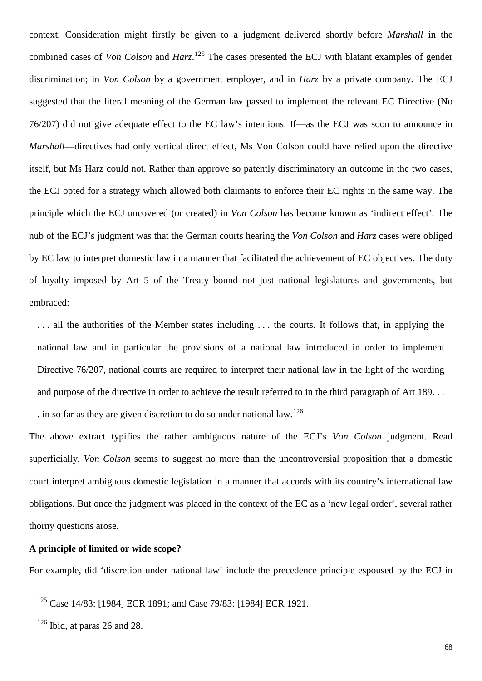context. Consideration might firstly be given to a judgment delivered shortly before *Marshall* in the combined cases of *Von Colson* and *Harz*. [125](#page-67-0) The cases presented the ECJ with blatant examples of gender discrimination; in *Von Colson* by a government employer, and in *Harz* by a private company. The ECJ suggested that the literal meaning of the German law passed to implement the relevant EC Directive (No 76/207) did not give adequate effect to the EC law's intentions. If—as the ECJ was soon to announce in *Marshall*—directives had only vertical direct effect, Ms Von Colson could have relied upon the directive itself, but Ms Harz could not. Rather than approve so patently discriminatory an outcome in the two cases, the ECJ opted for a strategy which allowed both claimants to enforce their EC rights in the same way. The principle which the ECJ uncovered (or created) in *Von Colson* has become known as 'indirect effect'. The nub of the ECJ's judgment was that the German courts hearing the *Von Colson* and *Harz* cases were obliged by EC law to interpret domestic law in a manner that facilitated the achievement of EC objectives. The duty of loyalty imposed by Art 5 of the Treaty bound not just national legislatures and governments, but embraced:

. . . all the authorities of the Member states including . . . the courts. It follows that, in applying the national law and in particular the provisions of a national law introduced in order to implement Directive 76/207, national courts are required to interpret their national law in the light of the wording and purpose of the directive in order to achieve the result referred to in the third paragraph of Art 189. . . . in so far as they are given discretion to do so under national law.<sup>[126](#page-67-1)</sup>

The above extract typifies the rather ambiguous nature of the ECJ's *Von Colson* judgment. Read superficially, *Von Colson* seems to suggest no more than the uncontroversial proposition that a domestic court interpret ambiguous domestic legislation in a manner that accords with its country's international law obligations. But once the judgment was placed in the context of the EC as a 'new legal order', several rather thorny questions arose.

### **A principle of limited or wide scope?**

For example, did 'discretion under national law' include the precedence principle espoused by the ECJ in

<span id="page-67-0"></span><sup>125</sup> Case 14/83: [1984] ECR 1891; and Case 79/83: [1984] ECR 1921.

<span id="page-67-1"></span> $126$  Ibid, at paras 26 and 28.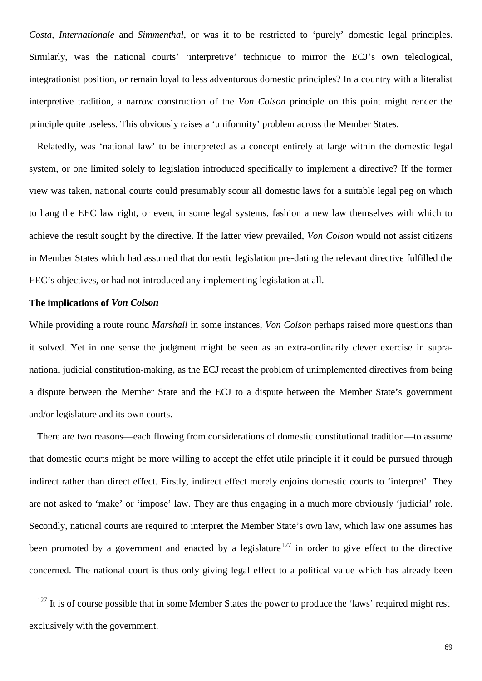*Costa, Internationale* and *Simmenthal*, or was it to be restricted to 'purely' domestic legal principles. Similarly, was the national courts' 'interpretive' technique to mirror the ECJ's own teleological, integrationist position, or remain loyal to less adventurous domestic principles? In a country with a literalist interpretive tradition, a narrow construction of the *Von Colson* principle on this point might render the principle quite useless. This obviously raises a 'uniformity' problem across the Member States.

Relatedly, was 'national law' to be interpreted as a concept entirely at large within the domestic legal system, or one limited solely to legislation introduced specifically to implement a directive? If the former view was taken, national courts could presumably scour all domestic laws for a suitable legal peg on which to hang the EEC law right, or even, in some legal systems, fashion a new law themselves with which to achieve the result sought by the directive. If the latter view prevailed, *Von Colson* would not assist citizens in Member States which had assumed that domestic legislation pre-dating the relevant directive fulfilled the EEC's objectives, or had not introduced any implementing legislation at all.

# **The implications of** *Von Colson*

-

While providing a route round *Marshall* in some instances, *Von Colson* perhaps raised more questions than it solved. Yet in one sense the judgment might be seen as an extra-ordinarily clever exercise in supranational judicial constitution-making, as the ECJ recast the problem of unimplemented directives from being a dispute between the Member State and the ECJ to a dispute between the Member State's government and/or legislature and its own courts.

There are two reasons—each flowing from considerations of domestic constitutional tradition—to assume that domestic courts might be more willing to accept the effet utile principle if it could be pursued through indirect rather than direct effect. Firstly, indirect effect merely enjoins domestic courts to 'interpret'. They are not asked to 'make' or 'impose' law. They are thus engaging in a much more obviously 'judicial' role. Secondly, national courts are required to interpret the Member State's own law, which law one assumes has been promoted by a government and enacted by a legislature<sup>[127](#page-68-0)</sup> in order to give effect to the directive concerned. The national court is thus only giving legal effect to a political value which has already been

<span id="page-68-0"></span><sup>&</sup>lt;sup>127</sup> It is of course possible that in some Member States the power to produce the 'laws' required might rest exclusively with the government.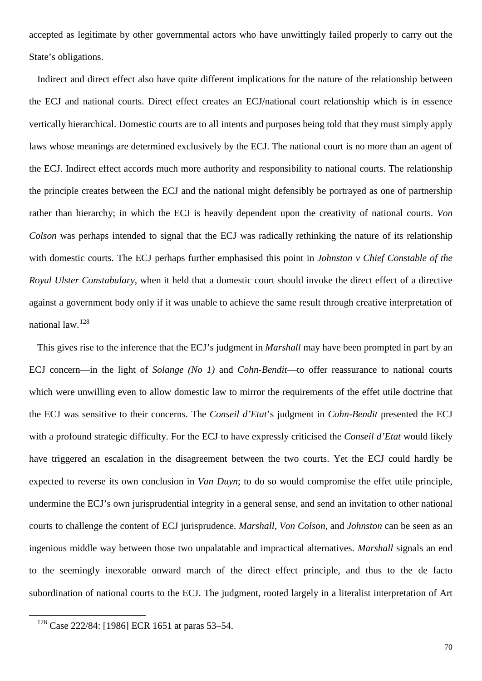accepted as legitimate by other governmental actors who have unwittingly failed properly to carry out the State's obligations.

Indirect and direct effect also have quite different implications for the nature of the relationship between the ECJ and national courts. Direct effect creates an ECJ/national court relationship which is in essence vertically hierarchical. Domestic courts are to all intents and purposes being told that they must simply apply laws whose meanings are determined exclusively by the ECJ. The national court is no more than an agent of the ECJ. Indirect effect accords much more authority and responsibility to national courts. The relationship the principle creates between the ECJ and the national might defensibly be portrayed as one of partnership rather than hierarchy; in which the ECJ is heavily dependent upon the creativity of national courts. *Von Colson* was perhaps intended to signal that the ECJ was radically rethinking the nature of its relationship with domestic courts. The ECJ perhaps further emphasised this point in *Johnston v Chief Constable of the Royal Ulster Constabulary*, when it held that a domestic court should invoke the direct effect of a directive against a government body only if it was unable to achieve the same result through creative interpretation of national law.[128](#page-69-0)

This gives rise to the inference that the ECJ's judgment in *Marshall* may have been prompted in part by an ECJ concern—in the light of *Solange (No 1)* and *Cohn-Bendit*—to offer reassurance to national courts which were unwilling even to allow domestic law to mirror the requirements of the effet utile doctrine that the ECJ was sensitive to their concerns. The *Conseil d'Etat*'s judgment in *Cohn-Bendit* presented the ECJ with a profound strategic difficulty. For the ECJ to have expressly criticised the *Conseil d'Etat* would likely have triggered an escalation in the disagreement between the two courts. Yet the ECJ could hardly be expected to reverse its own conclusion in *Van Duyn*; to do so would compromise the effet utile principle, undermine the ECJ's own jurisprudential integrity in a general sense, and send an invitation to other national courts to challenge the content of ECJ jurisprudence. *Marshall, Von Colson*, and *Johnston* can be seen as an ingenious middle way between those two unpalatable and impractical alternatives. *Marshall* signals an end to the seemingly inexorable onward march of the direct effect principle, and thus to the de facto subordination of national courts to the ECJ. The judgment, rooted largely in a literalist interpretation of Art

<span id="page-69-0"></span><sup>128</sup> Case 222/84: [1986] ECR 1651 at paras 53–54.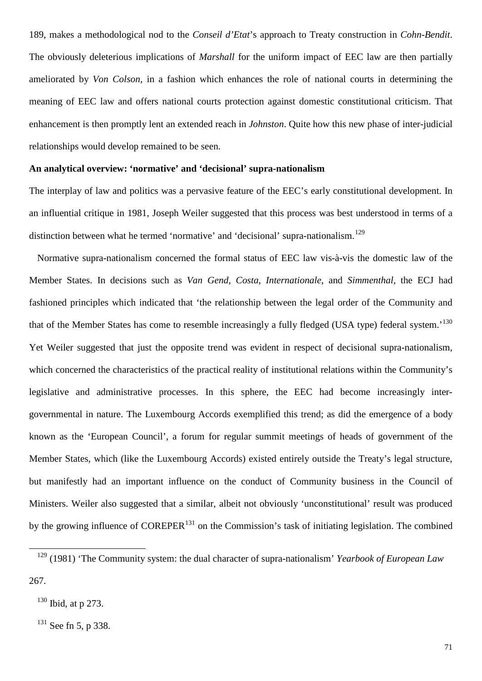189, makes a methodological nod to the *Conseil d'Etat*'s approach to Treaty construction in *Cohn-Bendit*. The obviously deleterious implications of *Marshall* for the uniform impact of EEC law are then partially ameliorated by *Von Colson*, in a fashion which enhances the role of national courts in determining the meaning of EEC law and offers national courts protection against domestic constitutional criticism. That enhancement is then promptly lent an extended reach in *Johnston*. Quite how this new phase of inter-judicial relationships would develop remained to be seen.

#### **An analytical overview: 'normative' and 'decisional' supra-nationalism**

The interplay of law and politics was a pervasive feature of the EEC's early constitutional development. In an influential critique in 1981, Joseph Weiler suggested that this process was best understood in terms of a distinction between what he termed 'normative' and 'decisional' supra-nationalism.<sup>[129](#page-70-0)</sup>

Normative supra-nationalism concerned the formal status of EEC law vis-à-vis the domestic law of the Member States. In decisions such as *Van Gend, Costa*, *Internationale*, and *Simmenthal*, the ECJ had fashioned principles which indicated that 'the relationship between the legal order of the Community and that of the Member States has come to resemble increasingly a fully fledged (USA type) federal system.<sup>[130](#page-70-1)</sup> Yet Weiler suggested that just the opposite trend was evident in respect of decisional supra-nationalism, which concerned the characteristics of the practical reality of institutional relations within the Community's legislative and administrative processes. In this sphere, the EEC had become increasingly intergovernmental in nature. The Luxembourg Accords exemplified this trend; as did the emergence of a body known as the 'European Council', a forum for regular summit meetings of heads of government of the Member States, which (like the Luxembourg Accords) existed entirely outside the Treaty's legal structure, but manifestly had an important influence on the conduct of Community business in the Council of Ministers. Weiler also suggested that a similar, albeit not obviously 'unconstitutional' result was produced by the growing influence of COREPER<sup>[131](#page-70-2)</sup> on the Commission's task of initiating legislation. The combined

<span id="page-70-0"></span><sup>129</sup> (1981) 'The Community system: the dual character of supra-nationalism' *Yearbook of European Law* 267.

<span id="page-70-1"></span> $130$  Ibid, at p 273.

<span id="page-70-2"></span> $131$  See fn 5, p 338.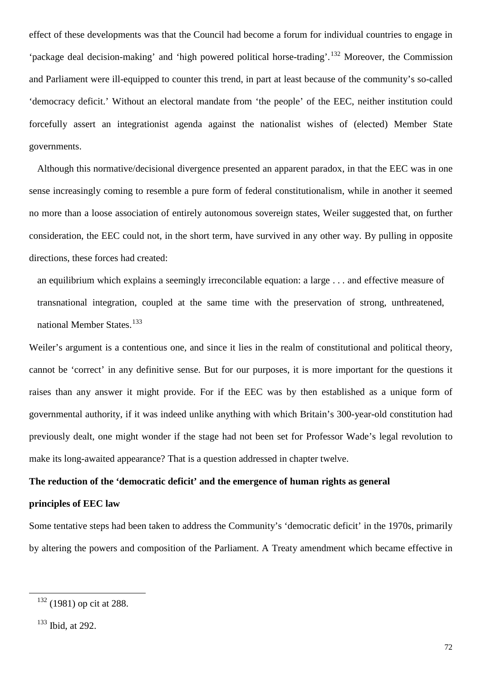effect of these developments was that the Council had become a forum for individual countries to engage in 'package deal decision-making' and 'high powered political horse-trading'.[132](#page-71-0) Moreover, the Commission and Parliament were ill-equipped to counter this trend, in part at least because of the community's so-called 'democracy deficit.' Without an electoral mandate from 'the people' of the EEC, neither institution could forcefully assert an integrationist agenda against the nationalist wishes of (elected) Member State governments.

Although this normative/decisional divergence presented an apparent paradox, in that the EEC was in one sense increasingly coming to resemble a pure form of federal constitutionalism, while in another it seemed no more than a loose association of entirely autonomous sovereign states, Weiler suggested that, on further consideration, the EEC could not, in the short term, have survived in any other way. By pulling in opposite directions, these forces had created:

an equilibrium which explains a seemingly irreconcilable equation: a large . . . and effective measure of transnational integration, coupled at the same time with the preservation of strong, unthreatened, national Member States.<sup>[133](#page-71-1)</sup>

Weiler's argument is a contentious one, and since it lies in the realm of constitutional and political theory, cannot be 'correct' in any definitive sense. But for our purposes, it is more important for the questions it raises than any answer it might provide. For if the EEC was by then established as a unique form of governmental authority, if it was indeed unlike anything with which Britain's 300-year-old constitution had previously dealt, one might wonder if the stage had not been set for Professor Wade's legal revolution to make its long-awaited appearance? That is a question addressed in chapter twelve.

#### **The reduction of the 'democratic deficit' and the emergence of human rights as general**

## **principles of EEC law**

Some tentative steps had been taken to address the Community's 'democratic deficit' in the 1970s, primarily by altering the powers and composition of the Parliament. A Treaty amendment which became effective in

<span id="page-71-0"></span> $132$  (1981) op cit at 288.

<span id="page-71-1"></span><sup>133</sup> Ibid, at 292.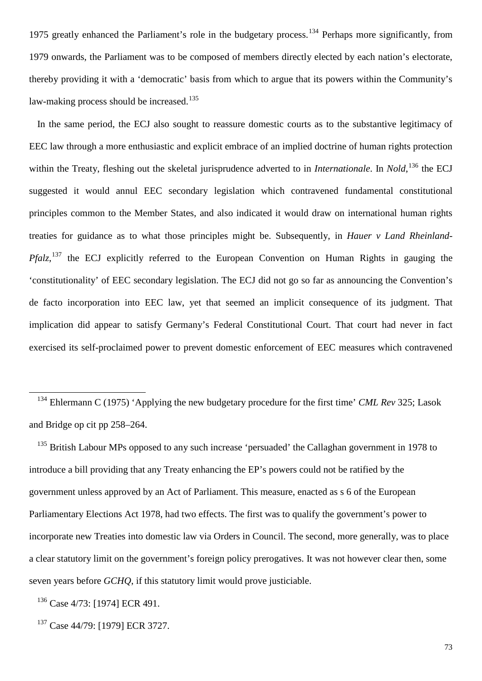1975 greatly enhanced the Parliament's role in the budgetary process.<sup>[134](#page-72-0)</sup> Perhaps more significantly, from 1979 onwards, the Parliament was to be composed of members directly elected by each nation's electorate, thereby providing it with a 'democratic' basis from which to argue that its powers within the Community's law-making process should be increased.<sup>[135](#page-72-1)</sup>

In the same period, the ECJ also sought to reassure domestic courts as to the substantive legitimacy of EEC law through a more enthusiastic and explicit embrace of an implied doctrine of human rights protection within the Treaty, fleshing out the skeletal jurisprudence adverted to in *Internationale*. In *Nold*, <sup>[136](#page-72-2)</sup> the ECJ suggested it would annul EEC secondary legislation which contravened fundamental constitutional principles common to the Member States, and also indicated it would draw on international human rights treaties for guidance as to what those principles might be. Subsequently, in *Hauer v Land Rheinland-*Pfalz,<sup>[137](#page-72-3)</sup> the ECJ explicitly referred to the European Convention on Human Rights in gauging the 'constitutionality' of EEC secondary legislation. The ECJ did not go so far as announcing the Convention's de facto incorporation into EEC law, yet that seemed an implicit consequence of its judgment. That implication did appear to satisfy Germany's Federal Constitutional Court. That court had never in fact exercised its self-proclaimed power to prevent domestic enforcement of EEC measures which contravened

<span id="page-72-0"></span><sup>134</sup> Ehlermann C (1975) 'Applying the new budgetary procedure for the first time' *CML Rev* 325; Lasok and Bridge op cit pp 258–264.

<span id="page-72-1"></span> $135$  British Labour MPs opposed to any such increase 'persuaded' the Callaghan government in 1978 to introduce a bill providing that any Treaty enhancing the EP's powers could not be ratified by the government unless approved by an Act of Parliament. This measure, enacted as s 6 of the European Parliamentary Elections Act 1978, had two effects. The first was to qualify the government's power to incorporate new Treaties into domestic law via Orders in Council. The second, more generally, was to place a clear statutory limit on the government's foreign policy prerogatives. It was not however clear then, some seven years before *GCHQ*, if this statutory limit would prove justiciable.

<span id="page-72-2"></span><sup>136</sup> Case 4/73: [1974] ECR 491.

-

<span id="page-72-3"></span><sup>137</sup> Case 44/79: [1979] ECR 3727.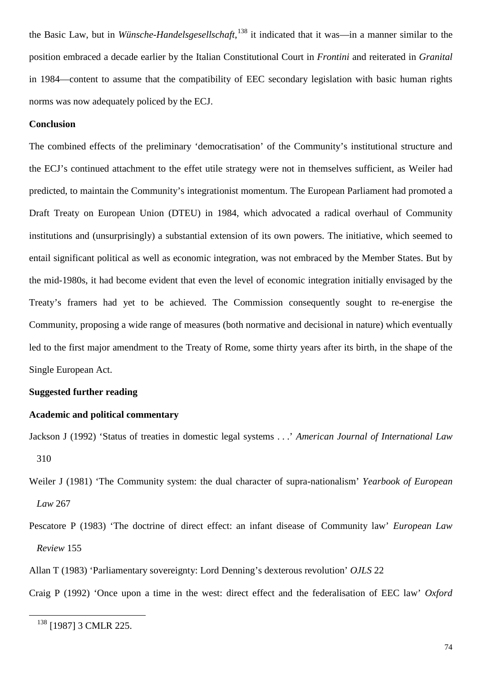the Basic Law, but in *Wünsche-Handelsgesellschaft*, [138](#page-73-0) it indicated that it was—in a manner similar to the position embraced a decade earlier by the Italian Constitutional Court in *Frontini* and reiterated in *Granital* in 1984—content to assume that the compatibility of EEC secondary legislation with basic human rights norms was now adequately policed by the ECJ.

## **Conclusion**

The combined effects of the preliminary 'democratisation' of the Community's institutional structure and the ECJ's continued attachment to the effet utile strategy were not in themselves sufficient, as Weiler had predicted, to maintain the Community's integrationist momentum. The European Parliament had promoted a Draft Treaty on European Union (DTEU) in 1984, which advocated a radical overhaul of Community institutions and (unsurprisingly) a substantial extension of its own powers. The initiative, which seemed to entail significant political as well as economic integration, was not embraced by the Member States. But by the mid-1980s, it had become evident that even the level of economic integration initially envisaged by the Treaty's framers had yet to be achieved. The Commission consequently sought to re-energise the Community, proposing a wide range of measures (both normative and decisional in nature) which eventually led to the first major amendment to the Treaty of Rome, some thirty years after its birth, in the shape of the Single European Act.

## **Suggested further reading**

## **Academic and political commentary**

- Jackson J (1992) 'Status of treaties in domestic legal systems . . .' *American Journal of International Law* 310
- Weiler J (1981) 'The Community system: the dual character of supra-nationalism' *Yearbook of European Law* 267
- Pescatore P (1983) 'The doctrine of direct effect: an infant disease of Community law' *European Law Review* 155
- Allan T (1983) 'Parliamentary sovereignty: Lord Denning's dexterous revolution' *OJLS* 22

Craig P (1992) 'Once upon a time in the west: direct effect and the federalisation of EEC law' *Oxford* 

<span id="page-73-0"></span>-

<sup>&</sup>lt;sup>138</sup> [1987] 3 CMLR 225.